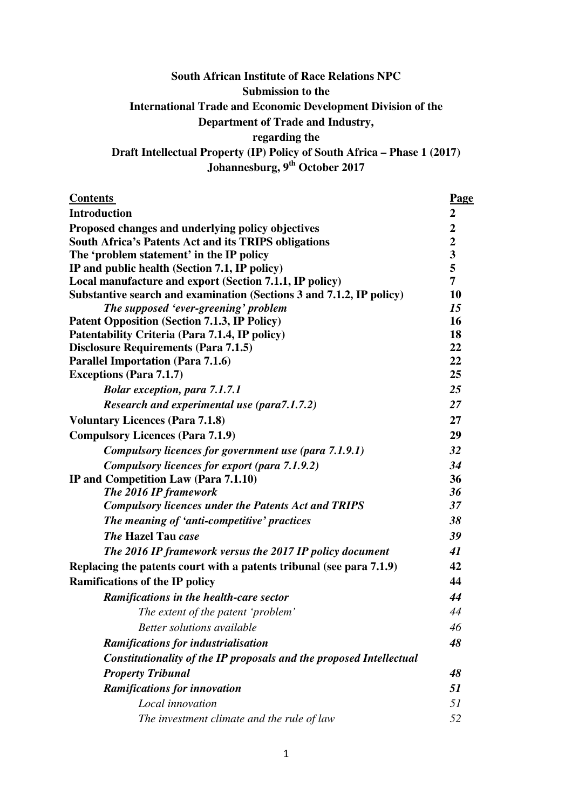# **South African Institute of Race Relations NPC Submission to the International Trade and Economic Development Division of the Department of Trade and Industry, regarding the Draft Intellectual Property (IP) Policy of South Africa – Phase 1 (2017)**

**Johannesburg, 9th October 2017** 

| <b>Contents</b>                                                      | Page             |
|----------------------------------------------------------------------|------------------|
| <b>Introduction</b>                                                  | $\boldsymbol{2}$ |
| Proposed changes and underlying policy objectives                    | $\boldsymbol{2}$ |
| <b>South Africa's Patents Act and its TRIPS obligations</b>          | $\overline{2}$   |
| The 'problem statement' in the IP policy                             | 3                |
| IP and public health (Section 7.1, IP policy)                        | 5                |
| Local manufacture and export (Section 7.1.1, IP policy)              | 7                |
| Substantive search and examination (Sections 3 and 7.1.2, IP policy) | 10               |
| The supposed 'ever-greening' problem                                 | 15               |
| <b>Patent Opposition (Section 7.1.3, IP Policy)</b>                  | <b>16</b>        |
| Patentability Criteria (Para 7.1.4, IP policy)                       | 18               |
| <b>Disclosure Requirements (Para 7.1.5)</b>                          | 22               |
| <b>Parallel Importation (Para 7.1.6)</b>                             | 22               |
| <b>Exceptions (Para 7.1.7)</b>                                       | 25               |
| <b>Bolar exception, para 7.1.7.1</b>                                 | 25               |
| <b>Research and experimental use (para7.1.7.2)</b>                   | 27               |
| <b>Voluntary Licences (Para 7.1.8)</b>                               | 27               |
| <b>Compulsory Licences (Para 7.1.9)</b>                              | 29               |
| Compulsory licences for government use (para 7.1.9.1)                | 32               |
| Compulsory licences for export (para 7.1.9.2)                        | 34               |
| IP and Competition Law (Para 7.1.10)                                 | 36               |
| The 2016 IP framework                                                | 36               |
| <b>Compulsory licences under the Patents Act and TRIPS</b>           | 37               |
| The meaning of 'anti-competitive' practices                          | 38               |
| <b>The Hazel Tau case</b>                                            | 39               |
| The 2016 IP framework versus the 2017 IP policy document             | 41               |
| Replacing the patents court with a patents tribunal (see para 7.1.9) | 42               |
| <b>Ramifications of the IP policy</b>                                | 44               |
| Ramifications in the health-care sector                              | 44               |
| The extent of the patent 'problem'                                   | 44               |
| Better solutions available                                           | 46               |
| <b>Ramifications for industrialisation</b>                           | 48               |
| Constitutionality of the IP proposals and the proposed Intellectual  |                  |
| <b>Property Tribunal</b>                                             | 48               |
| <b>Ramifications for innovation</b>                                  | 51               |
| Local innovation                                                     | 51               |
| The investment climate and the rule of law                           | 52               |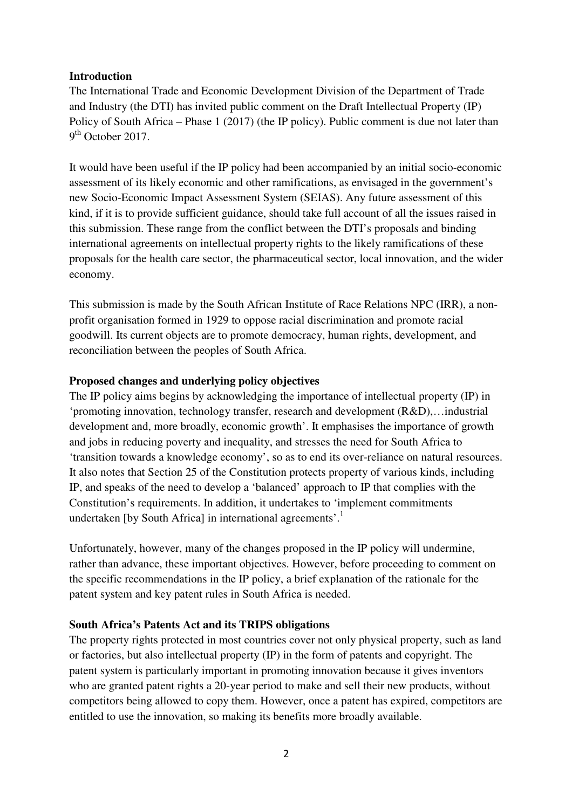#### **Introduction**

The International Trade and Economic Development Division of the Department of Trade and Industry (the DTI) has invited public comment on the Draft Intellectual Property (IP) Policy of South Africa – Phase 1 (2017) (the IP policy). Public comment is due not later than  $9<sup>th</sup>$  October 2017.

It would have been useful if the IP policy had been accompanied by an initial socio-economic assessment of its likely economic and other ramifications, as envisaged in the government's new Socio-Economic Impact Assessment System (SEIAS). Any future assessment of this kind, if it is to provide sufficient guidance, should take full account of all the issues raised in this submission. These range from the conflict between the DTI's proposals and binding international agreements on intellectual property rights to the likely ramifications of these proposals for the health care sector, the pharmaceutical sector, local innovation, and the wider economy.

This submission is made by the South African Institute of Race Relations NPC (IRR), a nonprofit organisation formed in 1929 to oppose racial discrimination and promote racial goodwill. Its current objects are to promote democracy, human rights, development, and reconciliation between the peoples of South Africa.

#### **Proposed changes and underlying policy objectives**

The IP policy aims begins by acknowledging the importance of intellectual property (IP) in 'promoting innovation, technology transfer, research and development (R&D),…industrial development and, more broadly, economic growth'. It emphasises the importance of growth and jobs in reducing poverty and inequality, and stresses the need for South Africa to 'transition towards a knowledge economy', so as to end its over-reliance on natural resources. It also notes that Section 25 of the Constitution protects property of various kinds, including IP, and speaks of the need to develop a 'balanced' approach to IP that complies with the Constitution's requirements. In addition, it undertakes to 'implement commitments undertaken [by South Africa] in international agreements'.<sup>1</sup>

Unfortunately, however, many of the changes proposed in the IP policy will undermine, rather than advance, these important objectives. However, before proceeding to comment on the specific recommendations in the IP policy, a brief explanation of the rationale for the patent system and key patent rules in South Africa is needed.

# **South Africa's Patents Act and its TRIPS obligations**

The property rights protected in most countries cover not only physical property, such as land or factories, but also intellectual property (IP) in the form of patents and copyright. The patent system is particularly important in promoting innovation because it gives inventors who are granted patent rights a 20-year period to make and sell their new products, without competitors being allowed to copy them. However, once a patent has expired, competitors are entitled to use the innovation, so making its benefits more broadly available.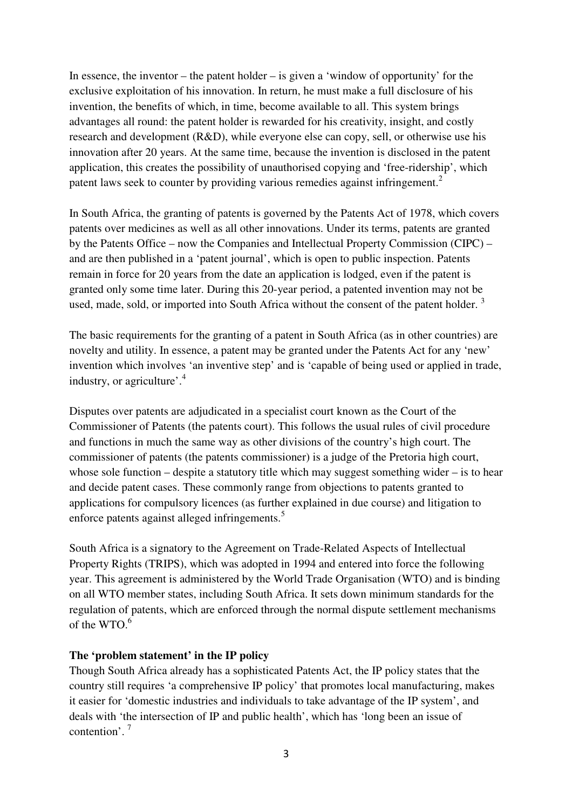In essence, the inventor – the patent holder – is given a 'window of opportunity' for the exclusive exploitation of his innovation. In return, he must make a full disclosure of his invention, the benefits of which, in time, become available to all. This system brings advantages all round: the patent holder is rewarded for his creativity, insight, and costly research and development (R&D), while everyone else can copy, sell, or otherwise use his innovation after 20 years. At the same time, because the invention is disclosed in the patent application, this creates the possibility of unauthorised copying and 'free-ridership', which patent laws seek to counter by providing various remedies against infringement.<sup>2</sup>

In South Africa, the granting of patents is governed by the Patents Act of 1978, which covers patents over medicines as well as all other innovations. Under its terms, patents are granted by the Patents Office – now the Companies and Intellectual Property Commission (CIPC) – and are then published in a 'patent journal', which is open to public inspection. Patents remain in force for 20 years from the date an application is lodged, even if the patent is granted only some time later. During this 20-year period, a patented invention may not be used, made, sold, or imported into South Africa without the consent of the patent holder.<sup>3</sup>

The basic requirements for the granting of a patent in South Africa (as in other countries) are novelty and utility. In essence, a patent may be granted under the Patents Act for any 'new' invention which involves 'an inventive step' and is 'capable of being used or applied in trade, industry, or agriculture'.<sup>4</sup>

Disputes over patents are adjudicated in a specialist court known as the Court of the Commissioner of Patents (the patents court). This follows the usual rules of civil procedure and functions in much the same way as other divisions of the country's high court. The commissioner of patents (the patents commissioner) is a judge of the Pretoria high court, whose sole function – despite a statutory title which may suggest something wider – is to hear and decide patent cases. These commonly range from objections to patents granted to applications for compulsory licences (as further explained in due course) and litigation to enforce patents against alleged infringements.<sup>5</sup>

South Africa is a signatory to the Agreement on Trade-Related Aspects of Intellectual Property Rights (TRIPS), which was adopted in 1994 and entered into force the following year. This agreement is administered by the World Trade Organisation (WTO) and is binding on all WTO member states, including South Africa. It sets down minimum standards for the regulation of patents, which are enforced through the normal dispute settlement mechanisms of the  $WTO.^6$ 

#### **The 'problem statement' in the IP policy**

Though South Africa already has a sophisticated Patents Act, the IP policy states that the country still requires 'a comprehensive IP policy' that promotes local manufacturing, makes it easier for 'domestic industries and individuals to take advantage of the IP system', and deals with 'the intersection of IP and public health', which has 'long been an issue of contention'.<sup>7</sup>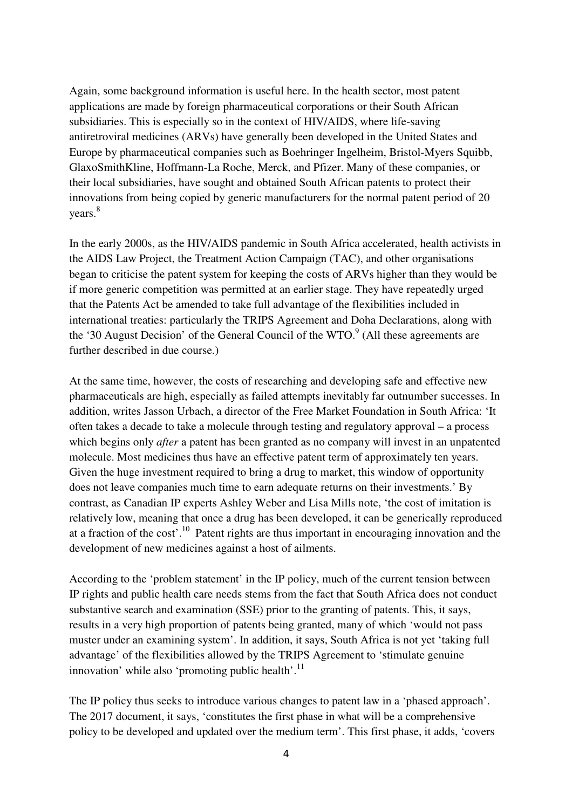Again, some background information is useful here. In the health sector, most patent applications are made by foreign pharmaceutical corporations or their South African subsidiaries. This is especially so in the context of HIV/AIDS, where life-saving antiretroviral medicines (ARVs) have generally been developed in the United States and Europe by pharmaceutical companies such as Boehringer Ingelheim, Bristol-Myers Squibb, GlaxoSmithKline, Hoffmann-La Roche, Merck, and Pfizer. Many of these companies, or their local subsidiaries, have sought and obtained South African patents to protect their innovations from being copied by generic manufacturers for the normal patent period of 20 years.<sup>8</sup>

In the early 2000s, as the HIV/AIDS pandemic in South Africa accelerated, health activists in the AIDS Law Project, the Treatment Action Campaign (TAC), and other organisations began to criticise the patent system for keeping the costs of ARVs higher than they would be if more generic competition was permitted at an earlier stage. They have repeatedly urged that the Patents Act be amended to take full advantage of the flexibilities included in international treaties: particularly the TRIPS Agreement and Doha Declarations, along with the '30 August Decision' of the General Council of the WTO. $9$  (All these agreements are further described in due course.)

At the same time, however, the costs of researching and developing safe and effective new pharmaceuticals are high, especially as failed attempts inevitably far outnumber successes. In addition, writes Jasson Urbach, a director of the Free Market Foundation in South Africa: 'It often takes a decade to take a molecule through testing and regulatory approval – a process which begins only *after* a patent has been granted as no company will invest in an unpatented molecule. Most medicines thus have an effective patent term of approximately ten years. Given the huge investment required to bring a drug to market, this window of opportunity does not leave companies much time to earn adequate returns on their investments.' By contrast, as Canadian IP experts Ashley Weber and Lisa Mills note, 'the cost of imitation is relatively low, meaning that once a drug has been developed, it can be generically reproduced at a fraction of the cost'.<sup>10</sup> Patent rights are thus important in encouraging innovation and the development of new medicines against a host of ailments.

According to the 'problem statement' in the IP policy, much of the current tension between IP rights and public health care needs stems from the fact that South Africa does not conduct substantive search and examination (SSE) prior to the granting of patents. This, it says, results in a very high proportion of patents being granted, many of which 'would not pass muster under an examining system'. In addition, it says, South Africa is not yet 'taking full advantage' of the flexibilities allowed by the TRIPS Agreement to 'stimulate genuine innovation' while also 'promoting public health'. $^{11}$ 

The IP policy thus seeks to introduce various changes to patent law in a 'phased approach'. The 2017 document, it says, 'constitutes the first phase in what will be a comprehensive policy to be developed and updated over the medium term'. This first phase, it adds, 'covers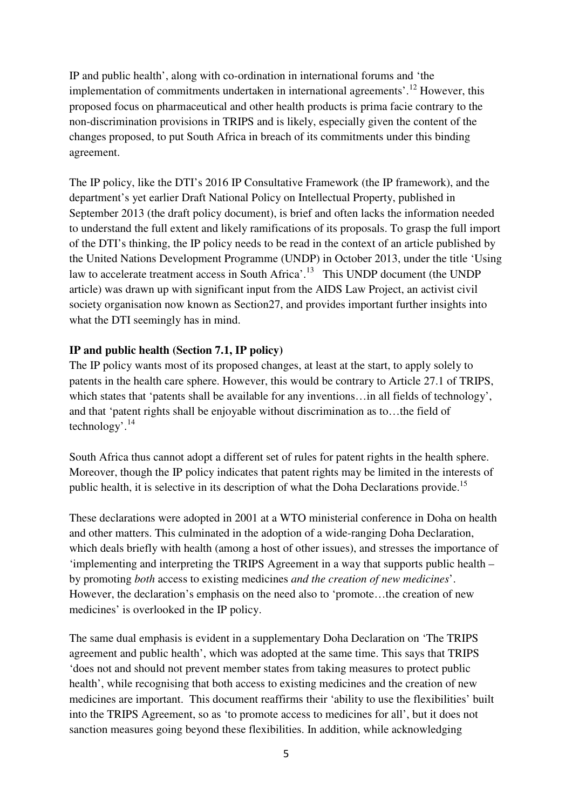IP and public health', along with co-ordination in international forums and 'the implementation of commitments undertaken in international agreements'.<sup>12</sup> However, this proposed focus on pharmaceutical and other health products is prima facie contrary to the non-discrimination provisions in TRIPS and is likely, especially given the content of the changes proposed, to put South Africa in breach of its commitments under this binding agreement.

The IP policy, like the DTI's 2016 IP Consultative Framework (the IP framework), and the department's yet earlier Draft National Policy on Intellectual Property, published in September 2013 (the draft policy document), is brief and often lacks the information needed to understand the full extent and likely ramifications of its proposals. To grasp the full import of the DTI's thinking, the IP policy needs to be read in the context of an article published by the United Nations Development Programme (UNDP) in October 2013, under the title 'Using law to accelerate treatment access in South Africa'.<sup>13</sup> This UNDP document (the UNDP article) was drawn up with significant input from the AIDS Law Project, an activist civil society organisation now known as Section27, and provides important further insights into what the DTI seemingly has in mind.

# **IP and public health (Section 7.1, IP policy)**

The IP policy wants most of its proposed changes, at least at the start, to apply solely to patents in the health care sphere. However, this would be contrary to Article 27.1 of TRIPS, which states that 'patents shall be available for any inventions…in all fields of technology', and that 'patent rights shall be enjoyable without discrimination as to…the field of technology'. $^{14}$ 

South Africa thus cannot adopt a different set of rules for patent rights in the health sphere. Moreover, though the IP policy indicates that patent rights may be limited in the interests of public health, it is selective in its description of what the Doha Declarations provide.<sup>15</sup>

These declarations were adopted in 2001 at a WTO ministerial conference in Doha on health and other matters. This culminated in the adoption of a wide-ranging Doha Declaration, which deals briefly with health (among a host of other issues), and stresses the importance of 'implementing and interpreting the TRIPS Agreement in a way that supports public health – by promoting *both* access to existing medicines *and the creation of new medicines*'. However, the declaration's emphasis on the need also to 'promote…the creation of new medicines' is overlooked in the IP policy.

The same dual emphasis is evident in a supplementary Doha Declaration on 'The TRIPS agreement and public health', which was adopted at the same time. This says that TRIPS 'does not and should not prevent member states from taking measures to protect public health', while recognising that both access to existing medicines and the creation of new medicines are important. This document reaffirms their 'ability to use the flexibilities' built into the TRIPS Agreement, so as 'to promote access to medicines for all', but it does not sanction measures going beyond these flexibilities. In addition, while acknowledging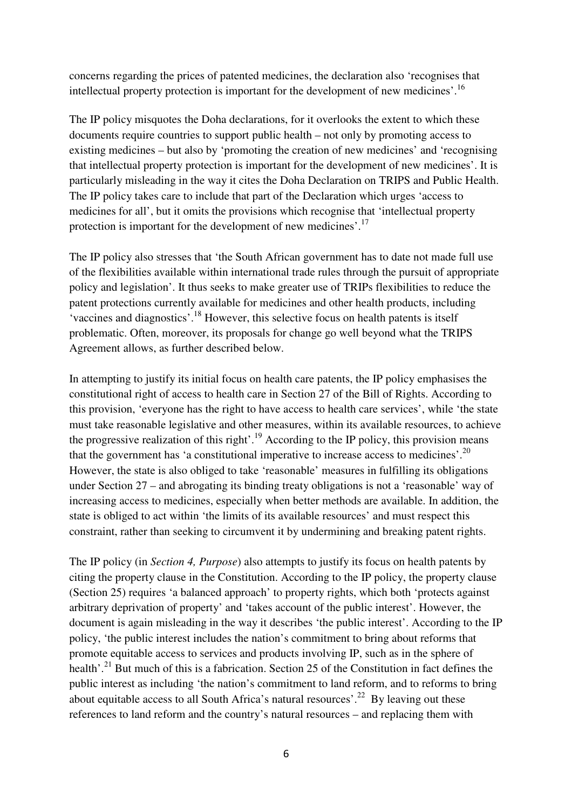concerns regarding the prices of patented medicines, the declaration also 'recognises that intellectual property protection is important for the development of new medicines'.<sup>16</sup>

The IP policy misquotes the Doha declarations, for it overlooks the extent to which these documents require countries to support public health – not only by promoting access to existing medicines – but also by 'promoting the creation of new medicines' and 'recognising that intellectual property protection is important for the development of new medicines'. It is particularly misleading in the way it cites the Doha Declaration on TRIPS and Public Health. The IP policy takes care to include that part of the Declaration which urges 'access to medicines for all', but it omits the provisions which recognise that 'intellectual property protection is important for the development of new medicines'.<sup>17</sup>

The IP policy also stresses that 'the South African government has to date not made full use of the flexibilities available within international trade rules through the pursuit of appropriate policy and legislation'. It thus seeks to make greater use of TRIPs flexibilities to reduce the patent protections currently available for medicines and other health products, including 'vaccines and diagnostics'.<sup>18</sup> However, this selective focus on health patents is itself problematic. Often, moreover, its proposals for change go well beyond what the TRIPS Agreement allows, as further described below.

In attempting to justify its initial focus on health care patents, the IP policy emphasises the constitutional right of access to health care in Section 27 of the Bill of Rights. According to this provision, 'everyone has the right to have access to health care services', while 'the state must take reasonable legislative and other measures, within its available resources, to achieve the progressive realization of this right'.<sup>19</sup> According to the IP policy, this provision means that the government has 'a constitutional imperative to increase access to medicines'.<sup>20</sup> However, the state is also obliged to take 'reasonable' measures in fulfilling its obligations under Section 27 – and abrogating its binding treaty obligations is not a 'reasonable' way of increasing access to medicines, especially when better methods are available. In addition, the state is obliged to act within 'the limits of its available resources' and must respect this constraint, rather than seeking to circumvent it by undermining and breaking patent rights.

The IP policy (in *Section 4, Purpose*) also attempts to justify its focus on health patents by citing the property clause in the Constitution. According to the IP policy, the property clause (Section 25) requires 'a balanced approach' to property rights, which both 'protects against arbitrary deprivation of property' and 'takes account of the public interest'. However, the document is again misleading in the way it describes 'the public interest'. According to the IP policy, 'the public interest includes the nation's commitment to bring about reforms that promote equitable access to services and products involving IP, such as in the sphere of health'.<sup>21</sup> But much of this is a fabrication. Section 25 of the Constitution in fact defines the public interest as including 'the nation's commitment to land reform, and to reforms to bring about equitable access to all South Africa's natural resources'.<sup>22</sup> By leaving out these references to land reform and the country's natural resources – and replacing them with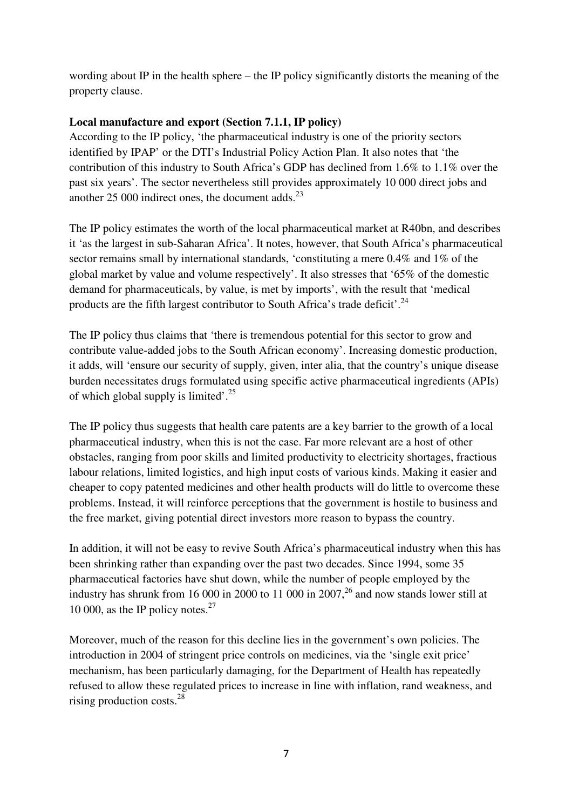wording about IP in the health sphere – the IP policy significantly distorts the meaning of the property clause.

# **Local manufacture and export (Section 7.1.1, IP policy)**

According to the IP policy, 'the pharmaceutical industry is one of the priority sectors identified by IPAP' or the DTI's Industrial Policy Action Plan. It also notes that 'the contribution of this industry to South Africa's GDP has declined from 1.6% to 1.1% over the past six years'. The sector nevertheless still provides approximately 10 000 direct jobs and another 25 000 indirect ones, the document adds. $^{23}$ 

The IP policy estimates the worth of the local pharmaceutical market at R40bn, and describes it 'as the largest in sub-Saharan Africa'. It notes, however, that South Africa's pharmaceutical sector remains small by international standards, 'constituting a mere 0.4% and 1% of the global market by value and volume respectively'. It also stresses that '65% of the domestic demand for pharmaceuticals, by value, is met by imports', with the result that 'medical products are the fifth largest contributor to South Africa's trade deficit'.<sup>24</sup>

The IP policy thus claims that 'there is tremendous potential for this sector to grow and contribute value-added jobs to the South African economy'. Increasing domestic production, it adds, will 'ensure our security of supply, given, inter alia, that the country's unique disease burden necessitates drugs formulated using specific active pharmaceutical ingredients (APIs) of which global supply is limited'. $25$ 

The IP policy thus suggests that health care patents are a key barrier to the growth of a local pharmaceutical industry, when this is not the case. Far more relevant are a host of other obstacles, ranging from poor skills and limited productivity to electricity shortages, fractious labour relations, limited logistics, and high input costs of various kinds. Making it easier and cheaper to copy patented medicines and other health products will do little to overcome these problems. Instead, it will reinforce perceptions that the government is hostile to business and the free market, giving potential direct investors more reason to bypass the country.

In addition, it will not be easy to revive South Africa's pharmaceutical industry when this has been shrinking rather than expanding over the past two decades. Since 1994, some 35 pharmaceutical factories have shut down, while the number of people employed by the industry has shrunk from 16 000 in 2000 to 11 000 in 2007,<sup>26</sup> and now stands lower still at 10 000, as the IP policy notes. $27$ 

Moreover, much of the reason for this decline lies in the government's own policies. The introduction in 2004 of stringent price controls on medicines, via the 'single exit price' mechanism, has been particularly damaging, for the Department of Health has repeatedly refused to allow these regulated prices to increase in line with inflation, rand weakness, and rising production costs.<sup>28</sup>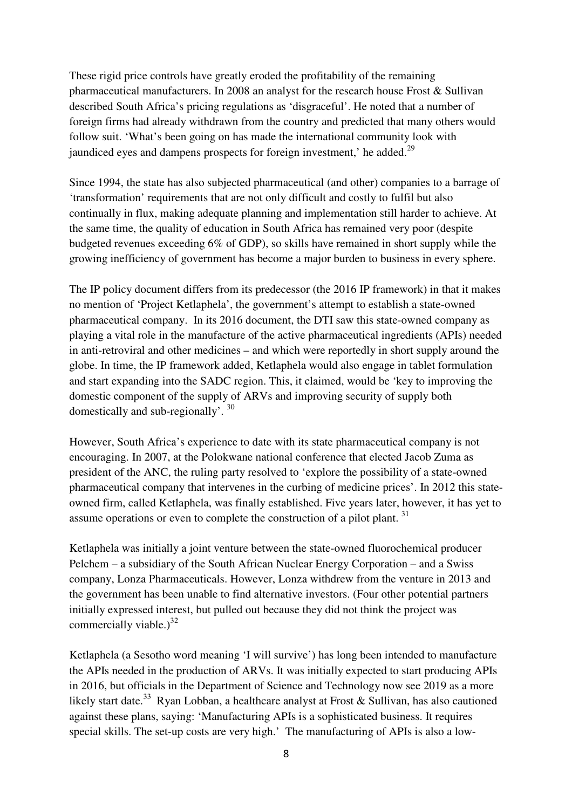These rigid price controls have greatly eroded the profitability of the remaining pharmaceutical manufacturers. In 2008 an analyst for the research house Frost & Sullivan described South Africa's pricing regulations as 'disgraceful'. He noted that a number of foreign firms had already withdrawn from the country and predicted that many others would follow suit. 'What's been going on has made the international community look with jaundiced eyes and dampens prospects for foreign investment,' he added.<sup>29</sup>

Since 1994, the state has also subjected pharmaceutical (and other) companies to a barrage of 'transformation' requirements that are not only difficult and costly to fulfil but also continually in flux, making adequate planning and implementation still harder to achieve. At the same time, the quality of education in South Africa has remained very poor (despite budgeted revenues exceeding 6% of GDP), so skills have remained in short supply while the growing inefficiency of government has become a major burden to business in every sphere.

The IP policy document differs from its predecessor (the 2016 IP framework) in that it makes no mention of 'Project Ketlaphela', the government's attempt to establish a state-owned pharmaceutical company. In its 2016 document, the DTI saw this state-owned company as playing a vital role in the manufacture of the active pharmaceutical ingredients (APIs) needed in anti-retroviral and other medicines – and which were reportedly in short supply around the globe. In time, the IP framework added, Ketlaphela would also engage in tablet formulation and start expanding into the SADC region. This, it claimed, would be 'key to improving the domestic component of the supply of ARVs and improving security of supply both domestically and sub-regionally'. 30

However, South Africa's experience to date with its state pharmaceutical company is not encouraging. In 2007, at the Polokwane national conference that elected Jacob Zuma as president of the ANC, the ruling party resolved to 'explore the possibility of a state-owned pharmaceutical company that intervenes in the curbing of medicine prices'. In 2012 this stateowned firm, called Ketlaphela, was finally established. Five years later, however, it has yet to assume operations or even to complete the construction of a pilot plant.  $31$ 

Ketlaphela was initially a joint venture between the state-owned fluorochemical producer Pelchem – a subsidiary of the South African Nuclear Energy Corporation – and a Swiss company, Lonza Pharmaceuticals. However, Lonza withdrew from the venture in 2013 and the government has been unable to find alternative investors. (Four other potential partners initially expressed interest, but pulled out because they did not think the project was commercially viable.) $32$ 

Ketlaphela (a Sesotho word meaning 'I will survive') has long been intended to manufacture the APIs needed in the production of ARVs. It was initially expected to start producing APIs in 2016, but officials in the Department of Science and Technology now see 2019 as a more likely start date.<sup>33</sup> Ryan Lobban, a healthcare analyst at Frost & Sullivan, has also cautioned against these plans, saying: 'Manufacturing APIs is a sophisticated business. It requires special skills. The set-up costs are very high.' The manufacturing of APIs is also a low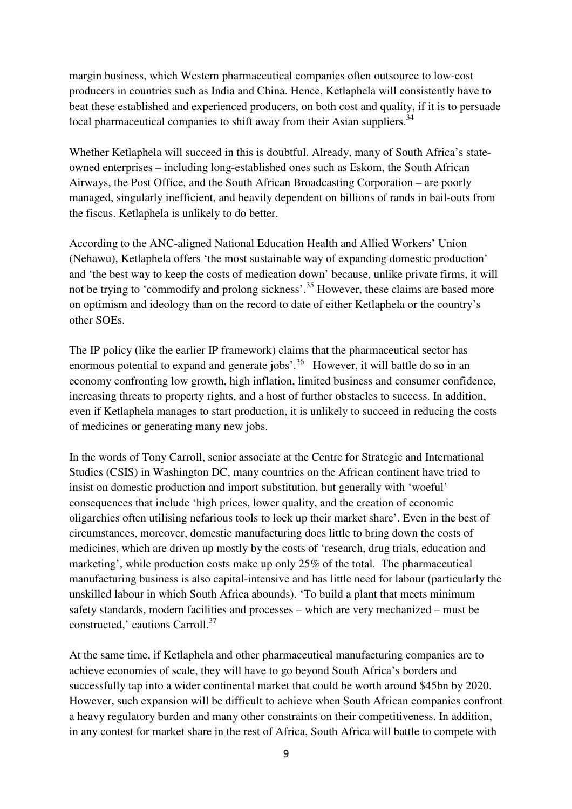margin business, which Western pharmaceutical companies often outsource to low-cost producers in countries such as India and China. Hence, Ketlaphela will consistently have to beat these established and experienced producers, on both cost and quality, if it is to persuade local pharmaceutical companies to shift away from their Asian suppliers.<sup>34</sup>

Whether Ketlaphela will succeed in this is doubtful. Already, many of South Africa's stateowned enterprises – including long-established ones such as Eskom, the South African Airways, the Post Office, and the South African Broadcasting Corporation – are poorly managed, singularly inefficient, and heavily dependent on billions of rands in bail-outs from the fiscus. Ketlaphela is unlikely to do better.

According to the ANC-aligned National Education Health and Allied Workers' Union (Nehawu), Ketlaphela offers 'the most sustainable way of expanding domestic production' and 'the best way to keep the costs of medication down' because, unlike private firms, it will not be trying to 'commodify and prolong sickness'.<sup>35</sup> However, these claims are based more on optimism and ideology than on the record to date of either Ketlaphela or the country's other SOEs.

The IP policy (like the earlier IP framework) claims that the pharmaceutical sector has enormous potential to expand and generate jobs'.<sup>36</sup> However, it will battle do so in an economy confronting low growth, high inflation, limited business and consumer confidence, increasing threats to property rights, and a host of further obstacles to success. In addition, even if Ketlaphela manages to start production, it is unlikely to succeed in reducing the costs of medicines or generating many new jobs.

In the words of Tony Carroll, senior associate at the Centre for Strategic and International Studies (CSIS) in Washington DC, many countries on the African continent have tried to insist on domestic production and import substitution, but generally with 'woeful' consequences that include 'high prices, lower quality, and the creation of economic oligarchies often utilising nefarious tools to lock up their market share'. Even in the best of circumstances, moreover, domestic manufacturing does little to bring down the costs of medicines, which are driven up mostly by the costs of 'research, drug trials, education and marketing', while production costs make up only 25% of the total. The pharmaceutical manufacturing business is also capital-intensive and has little need for labour (particularly the unskilled labour in which South Africa abounds). 'To build a plant that meets minimum safety standards, modern facilities and processes – which are very mechanized – must be constructed,' cautions Carroll.<sup>37</sup>

At the same time, if Ketlaphela and other pharmaceutical manufacturing companies are to achieve economies of scale, they will have to go beyond South Africa's borders and successfully tap into a wider continental market that could be worth around \$45bn by 2020. However, such expansion will be difficult to achieve when South African companies confront a heavy regulatory burden and many other constraints on their competitiveness. In addition, in any contest for market share in the rest of Africa, South Africa will battle to compete with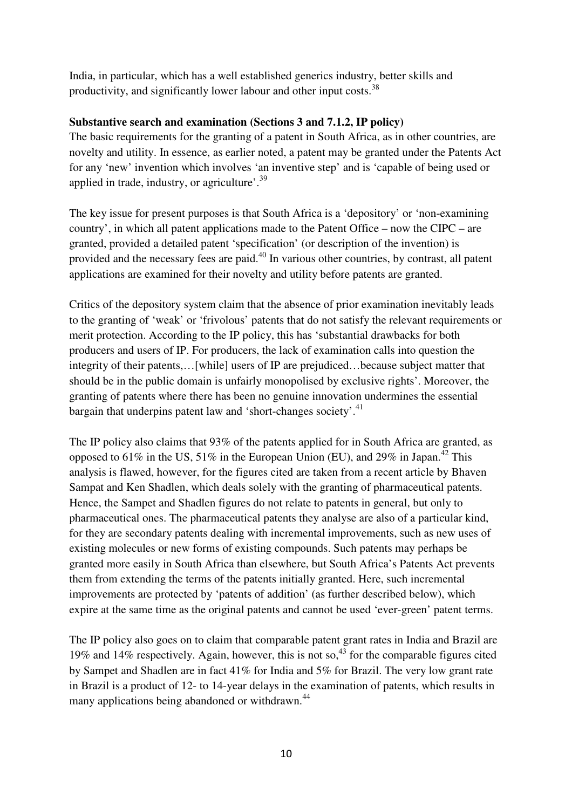India, in particular, which has a well established generics industry, better skills and productivity, and significantly lower labour and other input costs. $^{38}$ 

# **Substantive search and examination (Sections 3 and 7.1.2, IP policy)**

The basic requirements for the granting of a patent in South Africa, as in other countries, are novelty and utility. In essence, as earlier noted, a patent may be granted under the Patents Act for any 'new' invention which involves 'an inventive step' and is 'capable of being used or applied in trade, industry, or agriculture'. $39$ 

The key issue for present purposes is that South Africa is a 'depository' or 'non-examining country', in which all patent applications made to the Patent Office – now the CIPC – are granted, provided a detailed patent 'specification' (or description of the invention) is provided and the necessary fees are paid.<sup>40</sup> In various other countries, by contrast, all patent applications are examined for their novelty and utility before patents are granted.

Critics of the depository system claim that the absence of prior examination inevitably leads to the granting of 'weak' or 'frivolous' patents that do not satisfy the relevant requirements or merit protection. According to the IP policy, this has 'substantial drawbacks for both producers and users of IP. For producers, the lack of examination calls into question the integrity of their patents,…[while] users of IP are prejudiced…because subject matter that should be in the public domain is unfairly monopolised by exclusive rights'. Moreover, the granting of patents where there has been no genuine innovation undermines the essential bargain that underpins patent law and 'short-changes society'.<sup>41</sup>

The IP policy also claims that 93% of the patents applied for in South Africa are granted, as opposed to  $61\%$  in the US,  $51\%$  in the European Union (EU), and  $29\%$  in Japan.<sup>42</sup> This analysis is flawed, however, for the figures cited are taken from a recent article by Bhaven Sampat and Ken Shadlen, which deals solely with the granting of pharmaceutical patents. Hence, the Sampet and Shadlen figures do not relate to patents in general, but only to pharmaceutical ones. The pharmaceutical patents they analyse are also of a particular kind, for they are secondary patents dealing with incremental improvements, such as new uses of existing molecules or new forms of existing compounds. Such patents may perhaps be granted more easily in South Africa than elsewhere, but South Africa's Patents Act prevents them from extending the terms of the patents initially granted. Here, such incremental improvements are protected by 'patents of addition' (as further described below), which expire at the same time as the original patents and cannot be used 'ever-green' patent terms.

The IP policy also goes on to claim that comparable patent grant rates in India and Brazil are 19% and 14% respectively. Again, however, this is not so,  $43$  for the comparable figures cited by Sampet and Shadlen are in fact 41% for India and 5% for Brazil. The very low grant rate in Brazil is a product of 12- to 14-year delays in the examination of patents, which results in many applications being abandoned or withdrawn.<sup>44</sup>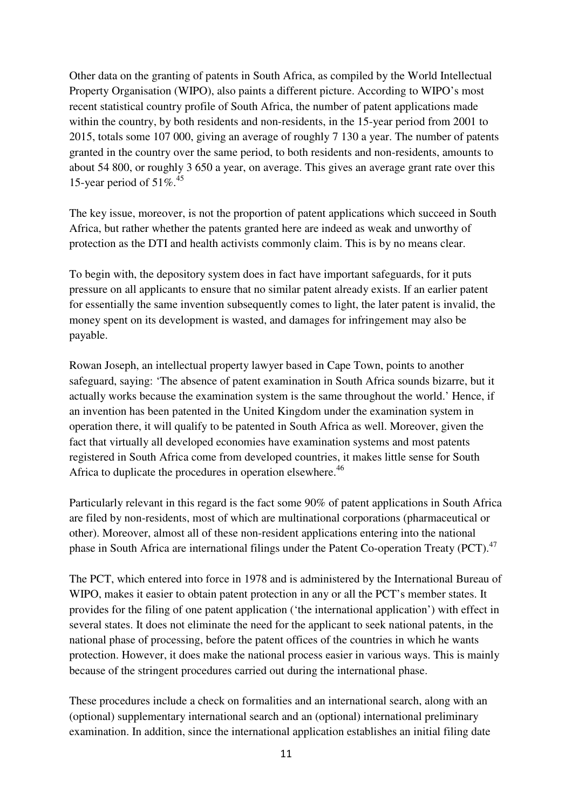Other data on the granting of patents in South Africa, as compiled by the World Intellectual Property Organisation (WIPO), also paints a different picture. According to WIPO's most recent statistical country profile of South Africa, the number of patent applications made within the country, by both residents and non-residents, in the 15-year period from 2001 to 2015, totals some 107 000, giving an average of roughly 7 130 a year. The number of patents granted in the country over the same period, to both residents and non-residents, amounts to about 54 800, or roughly 3 650 a year, on average. This gives an average grant rate over this 15-year period of  $51\%$ .<sup>45</sup>

The key issue, moreover, is not the proportion of patent applications which succeed in South Africa, but rather whether the patents granted here are indeed as weak and unworthy of protection as the DTI and health activists commonly claim. This is by no means clear.

To begin with, the depository system does in fact have important safeguards, for it puts pressure on all applicants to ensure that no similar patent already exists. If an earlier patent for essentially the same invention subsequently comes to light, the later patent is invalid, the money spent on its development is wasted, and damages for infringement may also be payable.

Rowan Joseph, an intellectual property lawyer based in Cape Town, points to another safeguard, saying: 'The absence of patent examination in South Africa sounds bizarre, but it actually works because the examination system is the same throughout the world.' Hence, if an invention has been patented in the United Kingdom under the examination system in operation there, it will qualify to be patented in South Africa as well. Moreover, given the fact that virtually all developed economies have examination systems and most patents registered in South Africa come from developed countries, it makes little sense for South Africa to duplicate the procedures in operation elsewhere.<sup>46</sup>

Particularly relevant in this regard is the fact some 90% of patent applications in South Africa are filed by non-residents, most of which are multinational corporations (pharmaceutical or other). Moreover, almost all of these non-resident applications entering into the national phase in South Africa are international filings under the Patent Co-operation Treaty (PCT).<sup>47</sup>

The PCT, which entered into force in 1978 and is administered by the International Bureau of WIPO, makes it easier to obtain patent protection in any or all the PCT's member states. It provides for the filing of one patent application ('the international application') with effect in several states. It does not eliminate the need for the applicant to seek national patents, in the national phase of processing, before the patent offices of the countries in which he wants protection. However, it does make the national process easier in various ways. This is mainly because of the stringent procedures carried out during the international phase.

These procedures include a check on formalities and an international search, along with an (optional) supplementary international search and an (optional) international preliminary examination. In addition, since the international application establishes an initial filing date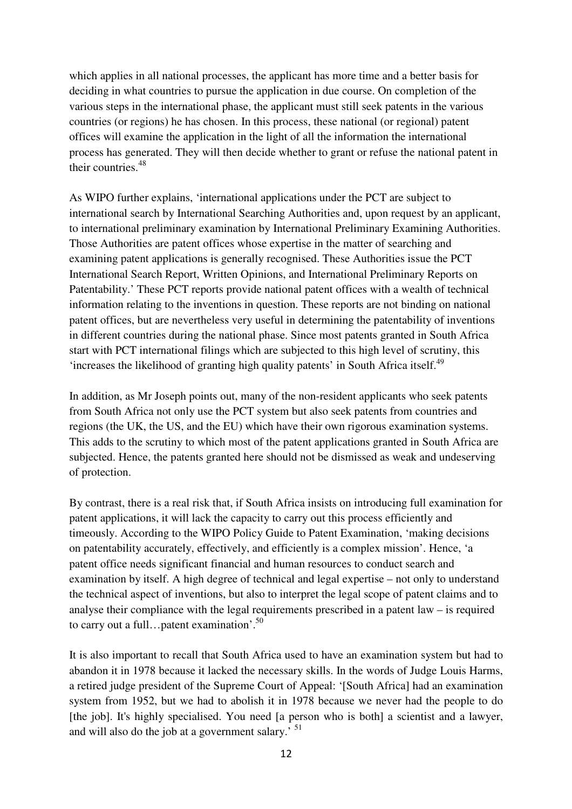which applies in all national processes, the applicant has more time and a better basis for deciding in what countries to pursue the application in due course. On completion of the various steps in the international phase, the applicant must still seek patents in the various countries (or regions) he has chosen. In this process, these national (or regional) patent offices will examine the application in the light of all the information the international process has generated. They will then decide whether to grant or refuse the national patent in their countries.<sup>48</sup>

As WIPO further explains, 'international applications under the PCT are subject to international search by International Searching Authorities and, upon request by an applicant, to international preliminary examination by International Preliminary Examining Authorities. Those Authorities are patent offices whose expertise in the matter of searching and examining patent applications is generally recognised. These Authorities issue the PCT International Search Report, Written Opinions, and International Preliminary Reports on Patentability.' These PCT reports provide national patent offices with a wealth of technical information relating to the inventions in question. These reports are not binding on national patent offices, but are nevertheless very useful in determining the patentability of inventions in different countries during the national phase. Since most patents granted in South Africa start with PCT international filings which are subjected to this high level of scrutiny, this 'increases the likelihood of granting high quality patents' in South Africa itself.<sup>49</sup>

In addition, as Mr Joseph points out, many of the non-resident applicants who seek patents from South Africa not only use the PCT system but also seek patents from countries and regions (the UK, the US, and the EU) which have their own rigorous examination systems. This adds to the scrutiny to which most of the patent applications granted in South Africa are subjected. Hence, the patents granted here should not be dismissed as weak and undeserving of protection.

By contrast, there is a real risk that, if South Africa insists on introducing full examination for patent applications, it will lack the capacity to carry out this process efficiently and timeously. According to the WIPO Policy Guide to Patent Examination, 'making decisions on patentability accurately, effectively, and efficiently is a complex mission'. Hence, 'a patent office needs significant financial and human resources to conduct search and examination by itself. A high degree of technical and legal expertise – not only to understand the technical aspect of inventions, but also to interpret the legal scope of patent claims and to analyse their compliance with the legal requirements prescribed in a patent law – is required to carry out a full... patent examination'. $50$ 

It is also important to recall that South Africa used to have an examination system but had to abandon it in 1978 because it lacked the necessary skills. In the words of Judge Louis Harms, a retired judge president of the Supreme Court of Appeal: '[South Africa] had an examination system from 1952, but we had to abolish it in 1978 because we never had the people to do [the job]. It's highly specialised. You need [a person who is both] a scientist and a lawyer, and will also do the job at a government salary.' <sup>51</sup>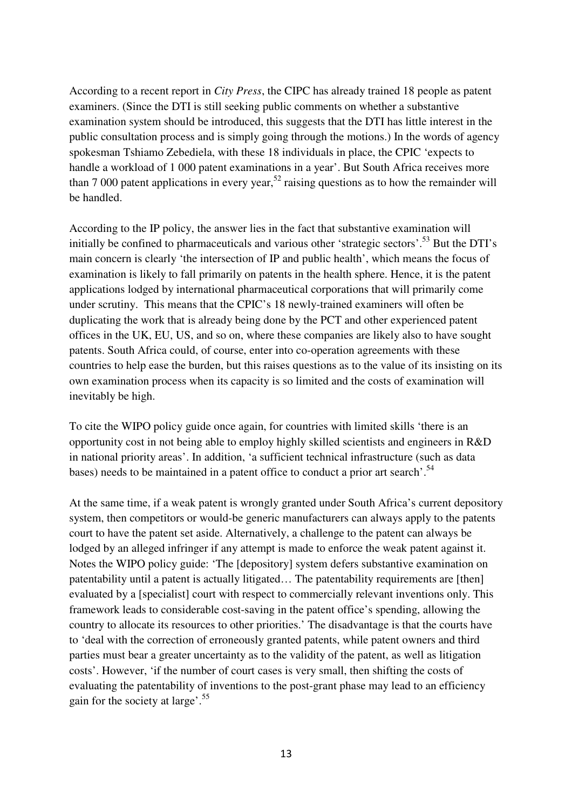According to a recent report in *City Press*, the CIPC has already trained 18 people as patent examiners. (Since the DTI is still seeking public comments on whether a substantive examination system should be introduced, this suggests that the DTI has little interest in the public consultation process and is simply going through the motions.) In the words of agency spokesman Tshiamo Zebediela, with these 18 individuals in place, the CPIC 'expects to handle a workload of 1 000 patent examinations in a year'. But South Africa receives more than 7 000 patent applications in every year,<sup>52</sup> raising questions as to how the remainder will be handled.

According to the IP policy, the answer lies in the fact that substantive examination will initially be confined to pharmaceuticals and various other 'strategic sectors'.<sup>53</sup> But the DTI's main concern is clearly 'the intersection of IP and public health', which means the focus of examination is likely to fall primarily on patents in the health sphere. Hence, it is the patent applications lodged by international pharmaceutical corporations that will primarily come under scrutiny. This means that the CPIC's 18 newly-trained examiners will often be duplicating the work that is already being done by the PCT and other experienced patent offices in the UK, EU, US, and so on, where these companies are likely also to have sought patents. South Africa could, of course, enter into co-operation agreements with these countries to help ease the burden, but this raises questions as to the value of its insisting on its own examination process when its capacity is so limited and the costs of examination will inevitably be high.

To cite the WIPO policy guide once again, for countries with limited skills 'there is an opportunity cost in not being able to employ highly skilled scientists and engineers in R&D in national priority areas'. In addition, 'a sufficient technical infrastructure (such as data bases) needs to be maintained in a patent office to conduct a prior art search'.<sup>54</sup>

At the same time, if a weak patent is wrongly granted under South Africa's current depository system, then competitors or would-be generic manufacturers can always apply to the patents court to have the patent set aside. Alternatively, a challenge to the patent can always be lodged by an alleged infringer if any attempt is made to enforce the weak patent against it. Notes the WIPO policy guide: 'The [depository] system defers substantive examination on patentability until a patent is actually litigated… The patentability requirements are [then] evaluated by a [specialist] court with respect to commercially relevant inventions only. This framework leads to considerable cost-saving in the patent office's spending, allowing the country to allocate its resources to other priorities.' The disadvantage is that the courts have to 'deal with the correction of erroneously granted patents, while patent owners and third parties must bear a greater uncertainty as to the validity of the patent, as well as litigation costs'. However, 'if the number of court cases is very small, then shifting the costs of evaluating the patentability of inventions to the post-grant phase may lead to an efficiency gain for the society at large'.<sup>55</sup>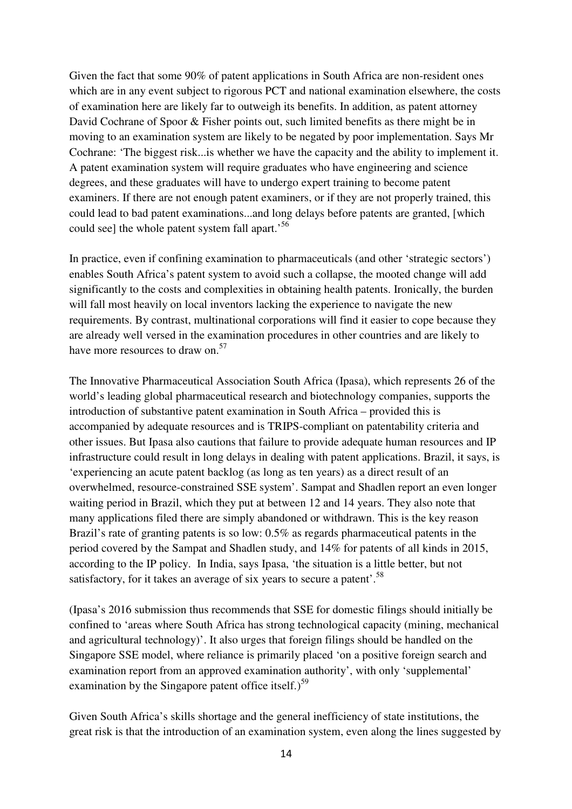Given the fact that some 90% of patent applications in South Africa are non-resident ones which are in any event subject to rigorous PCT and national examination elsewhere, the costs of examination here are likely far to outweigh its benefits. In addition, as patent attorney David Cochrane of Spoor & Fisher points out, such limited benefits as there might be in moving to an examination system are likely to be negated by poor implementation. Says Mr Cochrane: 'The biggest risk...is whether we have the capacity and the ability to implement it. A patent examination system will require graduates who have engineering and science degrees, and these graduates will have to undergo expert training to become patent examiners. If there are not enough patent examiners, or if they are not properly trained, this could lead to bad patent examinations...and long delays before patents are granted, [which could see] the whole patent system fall apart.<sup>56</sup>

In practice, even if confining examination to pharmaceuticals (and other 'strategic sectors') enables South Africa's patent system to avoid such a collapse, the mooted change will add significantly to the costs and complexities in obtaining health patents. Ironically, the burden will fall most heavily on local inventors lacking the experience to navigate the new requirements. By contrast, multinational corporations will find it easier to cope because they are already well versed in the examination procedures in other countries and are likely to have more resources to draw on.<sup>57</sup>

The Innovative Pharmaceutical Association South Africa (Ipasa), which represents 26 of the world's leading global pharmaceutical research and biotechnology companies, supports the introduction of substantive patent examination in South Africa – provided this is accompanied by adequate resources and is TRIPS-compliant on patentability criteria and other issues. But Ipasa also cautions that failure to provide adequate human resources and IP infrastructure could result in long delays in dealing with patent applications. Brazil, it says, is 'experiencing an acute patent backlog (as long as ten years) as a direct result of an overwhelmed, resource-constrained SSE system'. Sampat and Shadlen report an even longer waiting period in Brazil, which they put at between 12 and 14 years. They also note that many applications filed there are simply abandoned or withdrawn. This is the key reason Brazil's rate of granting patents is so low: 0.5% as regards pharmaceutical patents in the period covered by the Sampat and Shadlen study, and 14% for patents of all kinds in 2015, according to the IP policy. In India, says Ipasa, 'the situation is a little better, but not satisfactory, for it takes an average of six years to secure a patent'.<sup>58</sup>

(Ipasa's 2016 submission thus recommends that SSE for domestic filings should initially be confined to 'areas where South Africa has strong technological capacity (mining, mechanical and agricultural technology)'. It also urges that foreign filings should be handled on the Singapore SSE model, where reliance is primarily placed 'on a positive foreign search and examination report from an approved examination authority', with only 'supplemental' examination by the Singapore patent office itself.) $59$ 

Given South Africa's skills shortage and the general inefficiency of state institutions, the great risk is that the introduction of an examination system, even along the lines suggested by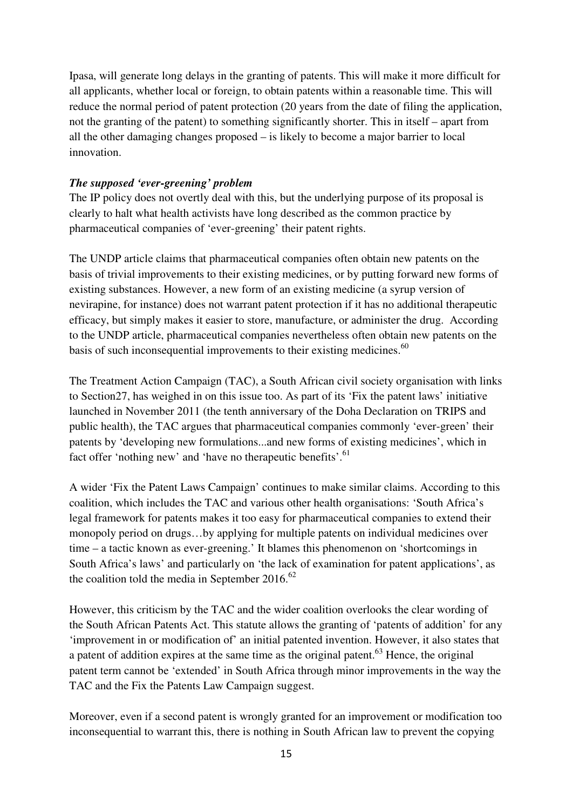Ipasa, will generate long delays in the granting of patents. This will make it more difficult for all applicants, whether local or foreign, to obtain patents within a reasonable time. This will reduce the normal period of patent protection (20 years from the date of filing the application, not the granting of the patent) to something significantly shorter. This in itself – apart from all the other damaging changes proposed – is likely to become a major barrier to local innovation.

#### *The supposed 'ever-greening' problem*

The IP policy does not overtly deal with this, but the underlying purpose of its proposal is clearly to halt what health activists have long described as the common practice by pharmaceutical companies of 'ever-greening' their patent rights.

The UNDP article claims that pharmaceutical companies often obtain new patents on the basis of trivial improvements to their existing medicines, or by putting forward new forms of existing substances. However, a new form of an existing medicine (a syrup version of nevirapine, for instance) does not warrant patent protection if it has no additional therapeutic efficacy, but simply makes it easier to store, manufacture, or administer the drug. According to the UNDP article, pharmaceutical companies nevertheless often obtain new patents on the basis of such inconsequential improvements to their existing medicines.<sup>60</sup>

The Treatment Action Campaign (TAC), a South African civil society organisation with links to Section27, has weighed in on this issue too. As part of its 'Fix the patent laws' initiative launched in November 2011 (the tenth anniversary of the Doha Declaration on TRIPS and public health), the TAC argues that pharmaceutical companies commonly 'ever-green' their patents by 'developing new formulations...and new forms of existing medicines', which in fact offer 'nothing new' and 'have no therapeutic benefits'.<sup>61</sup>

A wider 'Fix the Patent Laws Campaign' continues to make similar claims. According to this coalition, which includes the TAC and various other health organisations: 'South Africa's legal framework for patents makes it too easy for pharmaceutical companies to extend their monopoly period on drugs…by applying for multiple patents on individual medicines over time – a tactic known as ever-greening.' It blames this phenomenon on 'shortcomings in South Africa's laws' and particularly on 'the lack of examination for patent applications', as the coalition told the media in September 2016. $62$ 

However, this criticism by the TAC and the wider coalition overlooks the clear wording of the South African Patents Act. This statute allows the granting of 'patents of addition' for any 'improvement in or modification of' an initial patented invention. However, it also states that a patent of addition expires at the same time as the original patent.<sup>63</sup> Hence, the original patent term cannot be 'extended' in South Africa through minor improvements in the way the TAC and the Fix the Patents Law Campaign suggest.

Moreover, even if a second patent is wrongly granted for an improvement or modification too inconsequential to warrant this, there is nothing in South African law to prevent the copying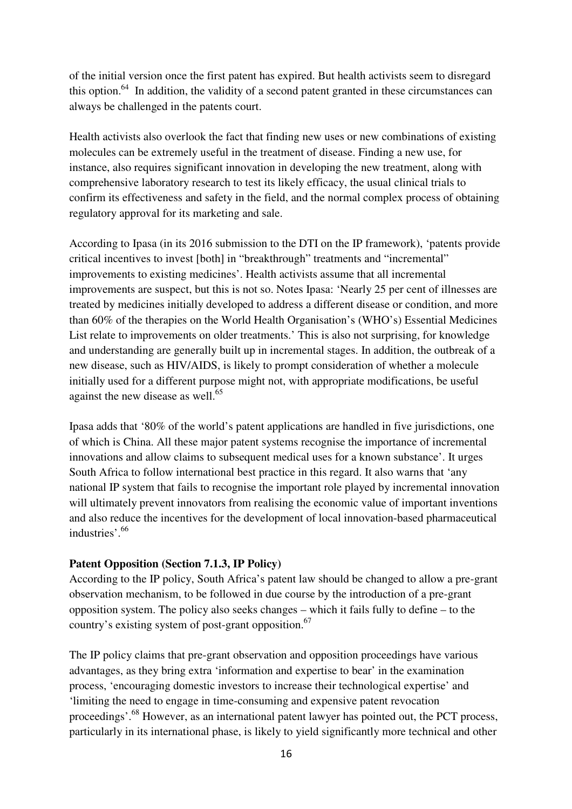of the initial version once the first patent has expired. But health activists seem to disregard this option.<sup>64</sup> In addition, the validity of a second patent granted in these circumstances can always be challenged in the patents court.

Health activists also overlook the fact that finding new uses or new combinations of existing molecules can be extremely useful in the treatment of disease. Finding a new use, for instance, also requires significant innovation in developing the new treatment, along with comprehensive laboratory research to test its likely efficacy, the usual clinical trials to confirm its effectiveness and safety in the field, and the normal complex process of obtaining regulatory approval for its marketing and sale.

According to Ipasa (in its 2016 submission to the DTI on the IP framework), 'patents provide critical incentives to invest [both] in "breakthrough" treatments and "incremental" improvements to existing medicines'. Health activists assume that all incremental improvements are suspect, but this is not so. Notes Ipasa: 'Nearly 25 per cent of illnesses are treated by medicines initially developed to address a different disease or condition, and more than 60% of the therapies on the World Health Organisation's (WHO's) Essential Medicines List relate to improvements on older treatments.' This is also not surprising, for knowledge and understanding are generally built up in incremental stages. In addition, the outbreak of a new disease, such as HIV/AIDS, is likely to prompt consideration of whether a molecule initially used for a different purpose might not, with appropriate modifications, be useful against the new disease as well. $^{65}$ 

Ipasa adds that '80% of the world's patent applications are handled in five jurisdictions, one of which is China. All these major patent systems recognise the importance of incremental innovations and allow claims to subsequent medical uses for a known substance'. It urges South Africa to follow international best practice in this regard. It also warns that 'any national IP system that fails to recognise the important role played by incremental innovation will ultimately prevent innovators from realising the economic value of important inventions and also reduce the incentives for the development of local innovation-based pharmaceutical industries'.<sup>66</sup>

#### **Patent Opposition (Section 7.1.3, IP Policy)**

According to the IP policy, South Africa's patent law should be changed to allow a pre-grant observation mechanism, to be followed in due course by the introduction of a pre-grant opposition system. The policy also seeks changes – which it fails fully to define – to the country's existing system of post-grant opposition.<sup>67</sup>

The IP policy claims that pre-grant observation and opposition proceedings have various advantages, as they bring extra 'information and expertise to bear' in the examination process, 'encouraging domestic investors to increase their technological expertise' and 'limiting the need to engage in time-consuming and expensive patent revocation proceedings'.<sup>68</sup> However, as an international patent lawyer has pointed out, the PCT process, particularly in its international phase, is likely to yield significantly more technical and other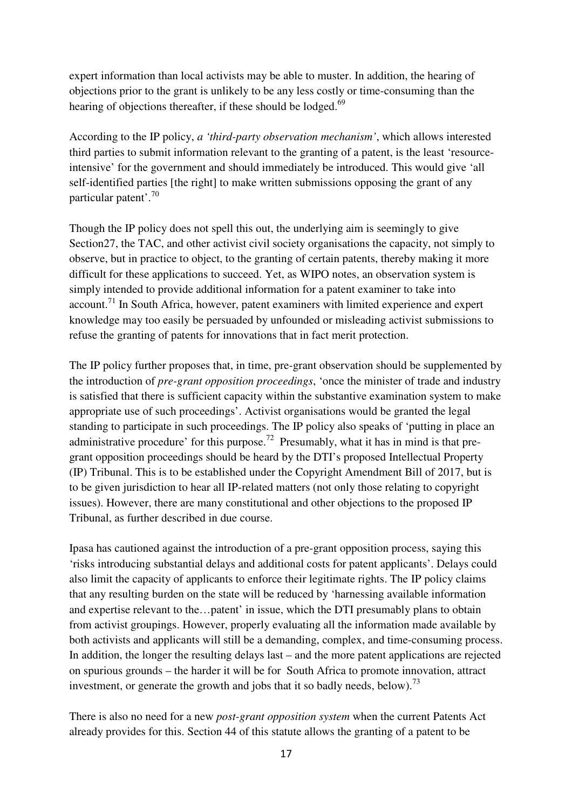expert information than local activists may be able to muster. In addition, the hearing of objections prior to the grant is unlikely to be any less costly or time-consuming than the hearing of objections thereafter, if these should be lodged.<sup>69</sup>

According to the IP policy, *a 'third-party observation mechanism'*, which allows interested third parties to submit information relevant to the granting of a patent, is the least 'resourceintensive' for the government and should immediately be introduced. This would give 'all self-identified parties [the right] to make written submissions opposing the grant of any particular patent'.<sup>70</sup>

Though the IP policy does not spell this out, the underlying aim is seemingly to give Section27, the TAC, and other activist civil society organisations the capacity, not simply to observe, but in practice to object, to the granting of certain patents, thereby making it more difficult for these applications to succeed. Yet, as WIPO notes, an observation system is simply intended to provide additional information for a patent examiner to take into  $account<sup>71</sup>$  In South Africa, however, patent examiners with limited experience and expert knowledge may too easily be persuaded by unfounded or misleading activist submissions to refuse the granting of patents for innovations that in fact merit protection.

The IP policy further proposes that, in time, pre-grant observation should be supplemented by the introduction of *pre-grant opposition proceedings*, 'once the minister of trade and industry is satisfied that there is sufficient capacity within the substantive examination system to make appropriate use of such proceedings'. Activist organisations would be granted the legal standing to participate in such proceedings. The IP policy also speaks of 'putting in place an administrative procedure' for this purpose.<sup>72</sup> Presumably, what it has in mind is that pregrant opposition proceedings should be heard by the DTI's proposed Intellectual Property (IP) Tribunal. This is to be established under the Copyright Amendment Bill of 2017, but is to be given jurisdiction to hear all IP-related matters (not only those relating to copyright issues). However, there are many constitutional and other objections to the proposed IP Tribunal, as further described in due course.

Ipasa has cautioned against the introduction of a pre-grant opposition process, saying this 'risks introducing substantial delays and additional costs for patent applicants'. Delays could also limit the capacity of applicants to enforce their legitimate rights. The IP policy claims that any resulting burden on the state will be reduced by 'harnessing available information and expertise relevant to the…patent' in issue, which the DTI presumably plans to obtain from activist groupings. However, properly evaluating all the information made available by both activists and applicants will still be a demanding, complex, and time-consuming process. In addition, the longer the resulting delays last – and the more patent applications are rejected on spurious grounds – the harder it will be for South Africa to promote innovation, attract investment, or generate the growth and jobs that it so badly needs, below).<sup>73</sup>

There is also no need for a new *post-grant opposition system* when the current Patents Act already provides for this. Section 44 of this statute allows the granting of a patent to be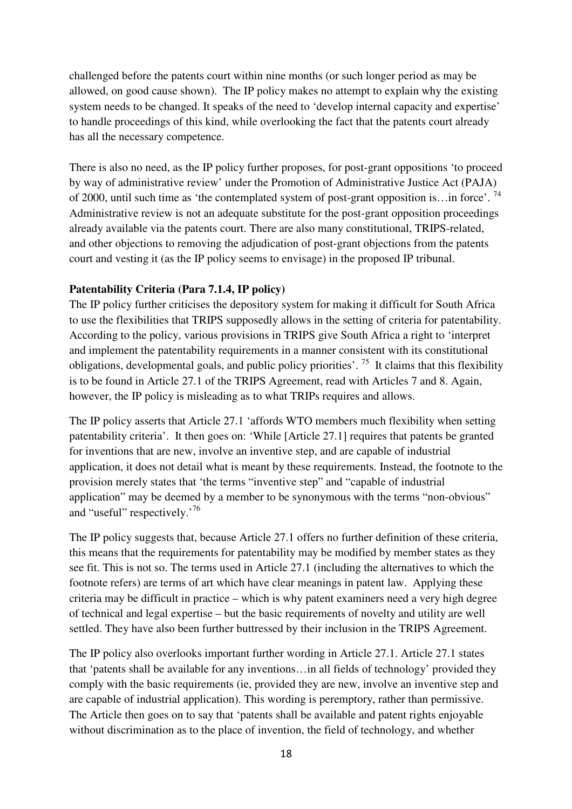challenged before the patents court within nine months (or such longer period as may be allowed, on good cause shown). The IP policy makes no attempt to explain why the existing system needs to be changed. It speaks of the need to 'develop internal capacity and expertise' to handle proceedings of this kind, while overlooking the fact that the patents court already has all the necessary competence.

There is also no need, as the IP policy further proposes, for post-grant oppositions 'to proceed by way of administrative review' under the Promotion of Administrative Justice Act (PAJA) of 2000, until such time as 'the contemplated system of post-grant opposition is... in force'.<sup>74</sup> Administrative review is not an adequate substitute for the post-grant opposition proceedings already available via the patents court. There are also many constitutional, TRIPS-related, and other objections to removing the adjudication of post-grant objections from the patents court and vesting it (as the IP policy seems to envisage) in the proposed IP tribunal.

# **Patentability Criteria (Para 7.1.4, IP policy)**

The IP policy further criticises the depository system for making it difficult for South Africa to use the flexibilities that TRIPS supposedly allows in the setting of criteria for patentability. According to the policy, various provisions in TRIPS give South Africa a right to 'interpret and implement the patentability requirements in a manner consistent with its constitutional obligations, developmental goals, and public policy priorities'. <sup>75</sup> It claims that this flexibility is to be found in Article 27.1 of the TRIPS Agreement, read with Articles 7 and 8. Again, however, the IP policy is misleading as to what TRIPs requires and allows.

The IP policy asserts that Article 27.1 'affords WTO members much flexibility when setting patentability criteria'. It then goes on: 'While [Article 27.1] requires that patents be granted for inventions that are new, involve an inventive step, and are capable of industrial application, it does not detail what is meant by these requirements. Instead, the footnote to the provision merely states that 'the terms "inventive step" and "capable of industrial application" may be deemed by a member to be synonymous with the terms "non-obvious" and "useful" respectively.<sup>76</sup>

The IP policy suggests that, because Article 27.1 offers no further definition of these criteria, this means that the requirements for patentability may be modified by member states as they see fit. This is not so. The terms used in Article 27.1 (including the alternatives to which the footnote refers) are terms of art which have clear meanings in patent law. Applying these criteria may be difficult in practice – which is why patent examiners need a very high degree of technical and legal expertise – but the basic requirements of novelty and utility are well settled. They have also been further buttressed by their inclusion in the TRIPS Agreement.

The IP policy also overlooks important further wording in Article 27.1. Article 27.1 states that 'patents shall be available for any inventions…in all fields of technology' provided they comply with the basic requirements (ie, provided they are new, involve an inventive step and are capable of industrial application). This wording is peremptory, rather than permissive. The Article then goes on to say that 'patents shall be available and patent rights enjoyable without discrimination as to the place of invention, the field of technology, and whether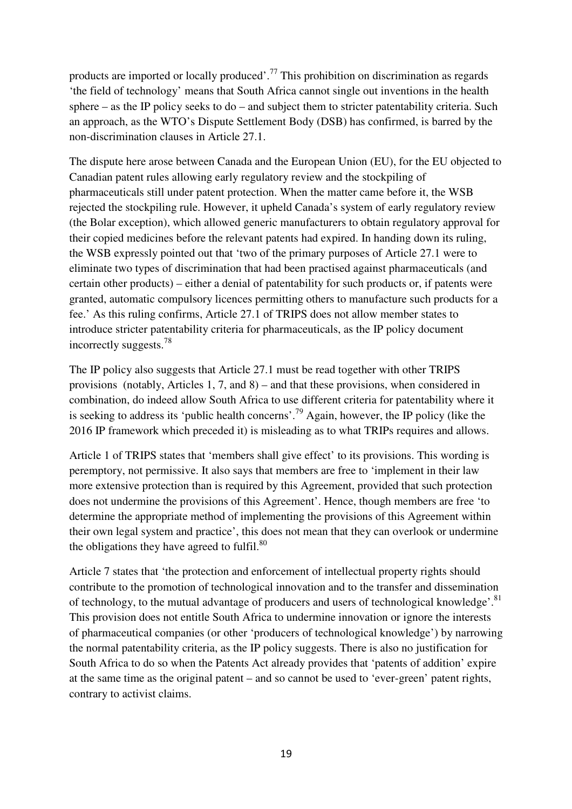products are imported or locally produced'.<sup>77</sup> This prohibition on discrimination as regards 'the field of technology' means that South Africa cannot single out inventions in the health sphere – as the IP policy seeks to do – and subject them to stricter patentability criteria. Such an approach, as the WTO's Dispute Settlement Body (DSB) has confirmed, is barred by the non-discrimination clauses in Article 27.1.

The dispute here arose between Canada and the European Union (EU), for the EU objected to Canadian patent rules allowing early regulatory review and the stockpiling of pharmaceuticals still under patent protection. When the matter came before it, the WSB rejected the stockpiling rule. However, it upheld Canada's system of early regulatory review (the Bolar exception), which allowed generic manufacturers to obtain regulatory approval for their copied medicines before the relevant patents had expired. In handing down its ruling, the WSB expressly pointed out that 'two of the primary purposes of Article 27.1 were to eliminate two types of discrimination that had been practised against pharmaceuticals (and certain other products) – either a denial of patentability for such products or, if patents were granted, automatic compulsory licences permitting others to manufacture such products for a fee.' As this ruling confirms, Article 27.1 of TRIPS does not allow member states to introduce stricter patentability criteria for pharmaceuticals, as the IP policy document incorrectly suggests.<sup>78</sup>

The IP policy also suggests that Article 27.1 must be read together with other TRIPS provisions (notably, Articles 1, 7, and 8) – and that these provisions, when considered in combination, do indeed allow South Africa to use different criteria for patentability where it is seeking to address its 'public health concerns'.<sup>79</sup> Again, however, the IP policy (like the 2016 IP framework which preceded it) is misleading as to what TRIPs requires and allows.

Article 1 of TRIPS states that 'members shall give effect' to its provisions. This wording is peremptory, not permissive. It also says that members are free to 'implement in their law more extensive protection than is required by this Agreement, provided that such protection does not undermine the provisions of this Agreement'. Hence, though members are free 'to determine the appropriate method of implementing the provisions of this Agreement within their own legal system and practice', this does not mean that they can overlook or undermine the obligations they have agreed to fulfil. $80$ 

Article 7 states that 'the protection and enforcement of intellectual property rights should contribute to the promotion of technological innovation and to the transfer and dissemination of technology, to the mutual advantage of producers and users of technological knowledge'.<sup>81</sup> This provision does not entitle South Africa to undermine innovation or ignore the interests of pharmaceutical companies (or other 'producers of technological knowledge') by narrowing the normal patentability criteria, as the IP policy suggests. There is also no justification for South Africa to do so when the Patents Act already provides that 'patents of addition' expire at the same time as the original patent – and so cannot be used to 'ever-green' patent rights, contrary to activist claims.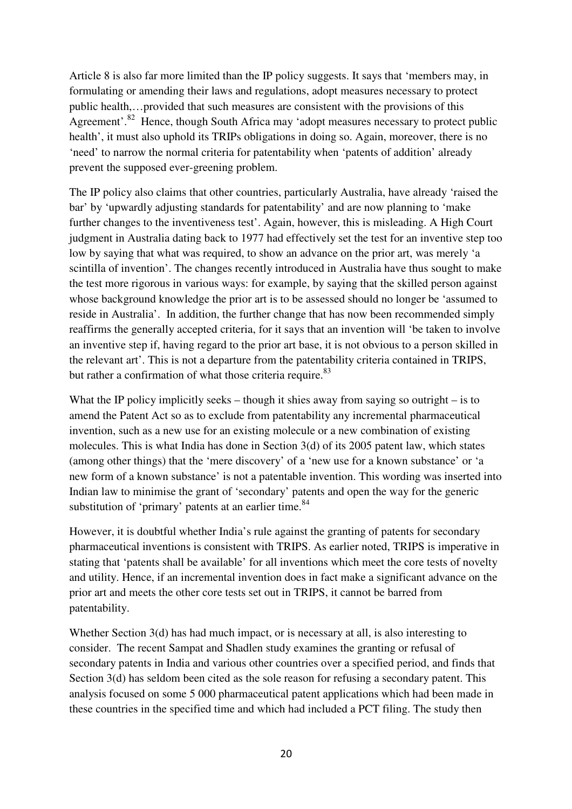Article 8 is also far more limited than the IP policy suggests. It says that 'members may, in formulating or amending their laws and regulations, adopt measures necessary to protect public health,…provided that such measures are consistent with the provisions of this Agreement'.<sup>82</sup> Hence, though South Africa may 'adopt measures necessary to protect public health', it must also uphold its TRIPs obligations in doing so. Again, moreover, there is no 'need' to narrow the normal criteria for patentability when 'patents of addition' already prevent the supposed ever-greening problem.

The IP policy also claims that other countries, particularly Australia, have already 'raised the bar' by 'upwardly adjusting standards for patentability' and are now planning to 'make further changes to the inventiveness test'. Again, however, this is misleading. A High Court judgment in Australia dating back to 1977 had effectively set the test for an inventive step too low by saying that what was required, to show an advance on the prior art, was merely 'a scintilla of invention'. The changes recently introduced in Australia have thus sought to make the test more rigorous in various ways: for example, by saying that the skilled person against whose background knowledge the prior art is to be assessed should no longer be 'assumed to reside in Australia'. In addition, the further change that has now been recommended simply reaffirms the generally accepted criteria, for it says that an invention will 'be taken to involve an inventive step if, having regard to the prior art base, it is not obvious to a person skilled in the relevant art'. This is not a departure from the patentability criteria contained in TRIPS, but rather a confirmation of what those criteria require.<sup>83</sup>

What the IP policy implicitly seeks – though it shies away from saying so outright – is to amend the Patent Act so as to exclude from patentability any incremental pharmaceutical invention, such as a new use for an existing molecule or a new combination of existing molecules. This is what India has done in Section 3(d) of its 2005 patent law, which states (among other things) that the 'mere discovery' of a 'new use for a known substance' or 'a new form of a known substance' is not a patentable invention. This wording was inserted into Indian law to minimise the grant of 'secondary' patents and open the way for the generic substitution of 'primary' patents at an earlier time.<sup>84</sup>

However, it is doubtful whether India's rule against the granting of patents for secondary pharmaceutical inventions is consistent with TRIPS. As earlier noted, TRIPS is imperative in stating that 'patents shall be available' for all inventions which meet the core tests of novelty and utility. Hence, if an incremental invention does in fact make a significant advance on the prior art and meets the other core tests set out in TRIPS, it cannot be barred from patentability.

Whether Section 3(d) has had much impact, or is necessary at all, is also interesting to consider. The recent Sampat and Shadlen study examines the granting or refusal of secondary patents in India and various other countries over a specified period, and finds that Section 3(d) has seldom been cited as the sole reason for refusing a secondary patent. This analysis focused on some 5 000 pharmaceutical patent applications which had been made in these countries in the specified time and which had included a PCT filing. The study then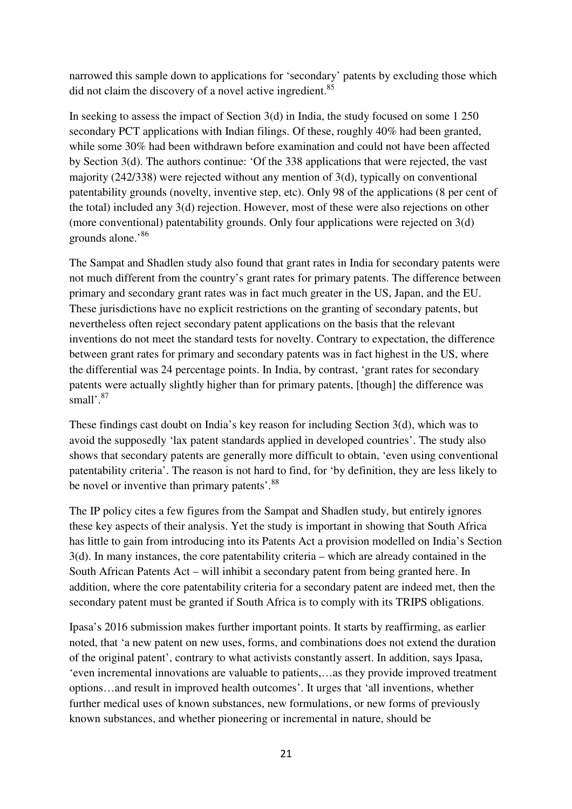narrowed this sample down to applications for 'secondary' patents by excluding those which did not claim the discovery of a novel active ingredient.<sup>85</sup>

In seeking to assess the impact of Section 3(d) in India, the study focused on some 1 250 secondary PCT applications with Indian filings. Of these, roughly 40% had been granted, while some 30% had been withdrawn before examination and could not have been affected by Section 3(d). The authors continue: 'Of the 338 applications that were rejected, the vast majority (242/338) were rejected without any mention of 3(d), typically on conventional patentability grounds (novelty, inventive step, etc). Only 98 of the applications (8 per cent of the total) included any 3(d) rejection. However, most of these were also rejections on other (more conventional) patentability grounds. Only four applications were rejected on 3(d) grounds alone.'<sup>86</sup>

The Sampat and Shadlen study also found that grant rates in India for secondary patents were not much different from the country's grant rates for primary patents. The difference between primary and secondary grant rates was in fact much greater in the US, Japan, and the EU. These jurisdictions have no explicit restrictions on the granting of secondary patents, but nevertheless often reject secondary patent applications on the basis that the relevant inventions do not meet the standard tests for novelty. Contrary to expectation, the difference between grant rates for primary and secondary patents was in fact highest in the US, where the differential was 24 percentage points. In India, by contrast, 'grant rates for secondary patents were actually slightly higher than for primary patents, [though] the difference was small'.<sup>87</sup>

These findings cast doubt on India's key reason for including Section 3(d), which was to avoid the supposedly 'lax patent standards applied in developed countries'. The study also shows that secondary patents are generally more difficult to obtain, 'even using conventional patentability criteria'. The reason is not hard to find, for 'by definition, they are less likely to be novel or inventive than primary patents'.<sup>88</sup>

The IP policy cites a few figures from the Sampat and Shadlen study, but entirely ignores these key aspects of their analysis. Yet the study is important in showing that South Africa has little to gain from introducing into its Patents Act a provision modelled on India's Section 3(d). In many instances, the core patentability criteria – which are already contained in the South African Patents Act – will inhibit a secondary patent from being granted here. In addition, where the core patentability criteria for a secondary patent are indeed met, then the secondary patent must be granted if South Africa is to comply with its TRIPS obligations.

Ipasa's 2016 submission makes further important points. It starts by reaffirming, as earlier noted, that 'a new patent on new uses, forms, and combinations does not extend the duration of the original patent', contrary to what activists constantly assert. In addition, says Ipasa, 'even incremental innovations are valuable to patients,…as they provide improved treatment options…and result in improved health outcomes'. It urges that 'all inventions, whether further medical uses of known substances, new formulations, or new forms of previously known substances, and whether pioneering or incremental in nature, should be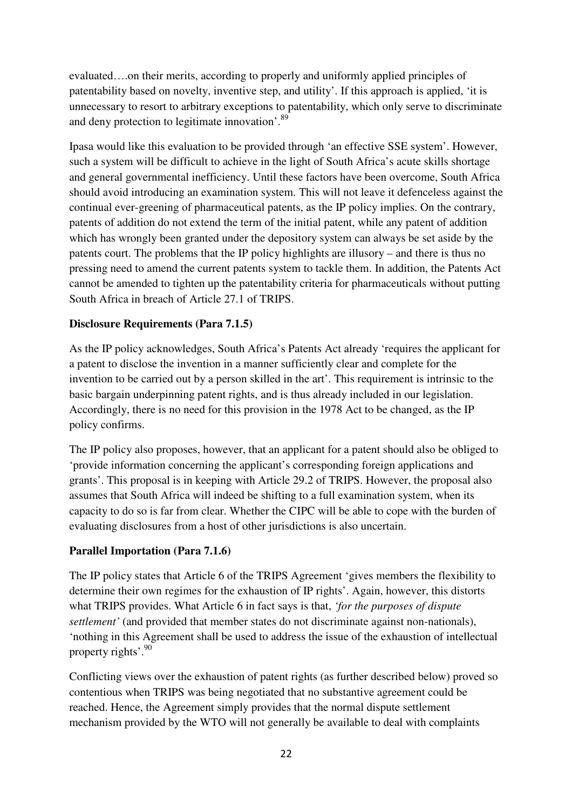evaluated….on their merits, according to properly and uniformly applied principles of patentability based on novelty, inventive step, and utility'. If this approach is applied, 'it is unnecessary to resort to arbitrary exceptions to patentability, which only serve to discriminate and deny protection to legitimate innovation'.<sup>89</sup>

Ipasa would like this evaluation to be provided through 'an effective SSE system'. However, such a system will be difficult to achieve in the light of South Africa's acute skills shortage and general governmental inefficiency. Until these factors have been overcome, South Africa should avoid introducing an examination system. This will not leave it defenceless against the continual ever-greening of pharmaceutical patents, as the IP policy implies. On the contrary, patents of addition do not extend the term of the initial patent, while any patent of addition which has wrongly been granted under the depository system can always be set aside by the patents court. The problems that the IP policy highlights are illusory – and there is thus no pressing need to amend the current patents system to tackle them. In addition, the Patents Act cannot be amended to tighten up the patentability criteria for pharmaceuticals without putting South Africa in breach of Article 27.1 of TRIPS.

# **Disclosure Requirements (Para 7.1.5)**

As the IP policy acknowledges, South Africa's Patents Act already 'requires the applicant for a patent to disclose the invention in a manner sufficiently clear and complete for the invention to be carried out by a person skilled in the art'. This requirement is intrinsic to the basic bargain underpinning patent rights, and is thus already included in our legislation. Accordingly, there is no need for this provision in the 1978 Act to be changed, as the IP policy confirms.

The IP policy also proposes, however, that an applicant for a patent should also be obliged to 'provide information concerning the applicant's corresponding foreign applications and grants'. This proposal is in keeping with Article 29.2 of TRIPS. However, the proposal also assumes that South Africa will indeed be shifting to a full examination system, when its capacity to do so is far from clear. Whether the CIPC will be able to cope with the burden of evaluating disclosures from a host of other jurisdictions is also uncertain.

# **Parallel Importation (Para 7.1.6)**

The IP policy states that Article 6 of the TRIPS Agreement 'gives members the flexibility to determine their own regimes for the exhaustion of IP rights'. Again, however, this distorts what TRIPS provides. What Article 6 in fact says is that, *'for the purposes of dispute settlement'* (and provided that member states do not discriminate against non-nationals), 'nothing in this Agreement shall be used to address the issue of the exhaustion of intellectual property rights'.<sup>90</sup>

Conflicting views over the exhaustion of patent rights (as further described below) proved so contentious when TRIPS was being negotiated that no substantive agreement could be reached. Hence, the Agreement simply provides that the normal dispute settlement mechanism provided by the WTO will not generally be available to deal with complaints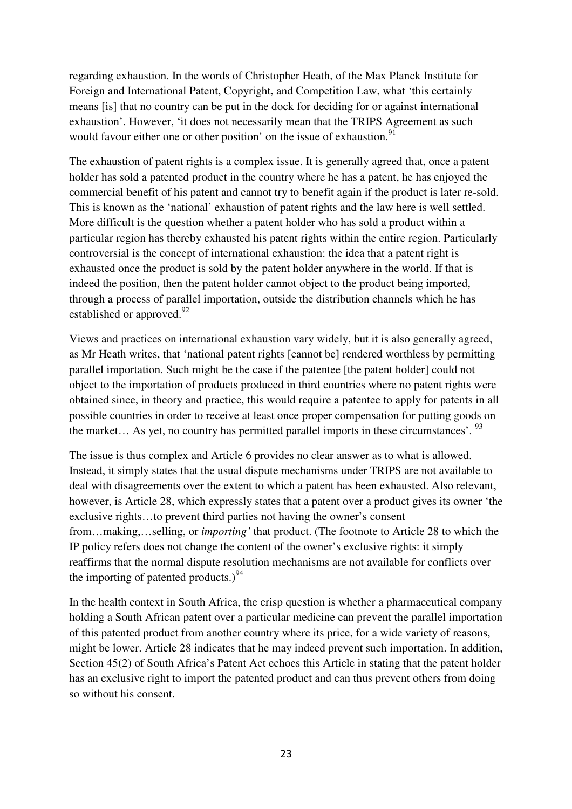regarding exhaustion. In the words of Christopher Heath, of the Max Planck Institute for Foreign and International Patent, Copyright, and Competition Law, what 'this certainly means [is] that no country can be put in the dock for deciding for or against international exhaustion'. However, 'it does not necessarily mean that the TRIPS Agreement as such would favour either one or other position' on the issue of exhaustion.<sup>91</sup>

The exhaustion of patent rights is a complex issue. It is generally agreed that, once a patent holder has sold a patented product in the country where he has a patent, he has enjoyed the commercial benefit of his patent and cannot try to benefit again if the product is later re-sold. This is known as the 'national' exhaustion of patent rights and the law here is well settled. More difficult is the question whether a patent holder who has sold a product within a particular region has thereby exhausted his patent rights within the entire region. Particularly controversial is the concept of international exhaustion: the idea that a patent right is exhausted once the product is sold by the patent holder anywhere in the world. If that is indeed the position, then the patent holder cannot object to the product being imported, through a process of parallel importation, outside the distribution channels which he has established or approved.<sup>92</sup>

Views and practices on international exhaustion vary widely, but it is also generally agreed, as Mr Heath writes, that 'national patent rights [cannot be] rendered worthless by permitting parallel importation. Such might be the case if the patentee [the patent holder] could not object to the importation of products produced in third countries where no patent rights were obtained since, in theory and practice, this would require a patentee to apply for patents in all possible countries in order to receive at least once proper compensation for putting goods on the market... As yet, no country has permitted parallel imports in these circumstances'.  $^{93}$ 

The issue is thus complex and Article 6 provides no clear answer as to what is allowed. Instead, it simply states that the usual dispute mechanisms under TRIPS are not available to deal with disagreements over the extent to which a patent has been exhausted. Also relevant, however, is Article 28, which expressly states that a patent over a product gives its owner 'the exclusive rights…to prevent third parties not having the owner's consent from…making,…selling, or *importing'* that product. (The footnote to Article 28 to which the IP policy refers does not change the content of the owner's exclusive rights: it simply reaffirms that the normal dispute resolution mechanisms are not available for conflicts over the importing of patented products.) $94$ 

In the health context in South Africa, the crisp question is whether a pharmaceutical company holding a South African patent over a particular medicine can prevent the parallel importation of this patented product from another country where its price, for a wide variety of reasons, might be lower. Article 28 indicates that he may indeed prevent such importation. In addition, Section 45(2) of South Africa's Patent Act echoes this Article in stating that the patent holder has an exclusive right to import the patented product and can thus prevent others from doing so without his consent.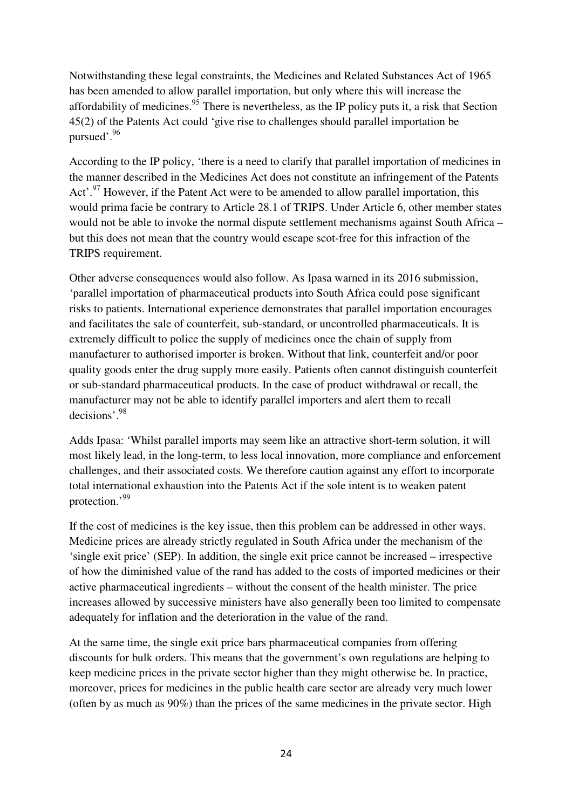Notwithstanding these legal constraints, the Medicines and Related Substances Act of 1965 has been amended to allow parallel importation, but only where this will increase the affordability of medicines.<sup>95</sup> There is nevertheless, as the IP policy puts it, a risk that Section 45(2) of the Patents Act could 'give rise to challenges should parallel importation be pursued'.<sup>96</sup>

According to the IP policy, 'there is a need to clarify that parallel importation of medicines in the manner described in the Medicines Act does not constitute an infringement of the Patents Act'.<sup>97</sup> However, if the Patent Act were to be amended to allow parallel importation, this would prima facie be contrary to Article 28.1 of TRIPS. Under Article 6, other member states would not be able to invoke the normal dispute settlement mechanisms against South Africa – but this does not mean that the country would escape scot-free for this infraction of the TRIPS requirement.

Other adverse consequences would also follow. As Ipasa warned in its 2016 submission, 'parallel importation of pharmaceutical products into South Africa could pose significant risks to patients. International experience demonstrates that parallel importation encourages and facilitates the sale of counterfeit, sub-standard, or uncontrolled pharmaceuticals. It is extremely difficult to police the supply of medicines once the chain of supply from manufacturer to authorised importer is broken. Without that link, counterfeit and/or poor quality goods enter the drug supply more easily. Patients often cannot distinguish counterfeit or sub-standard pharmaceutical products. In the case of product withdrawal or recall, the manufacturer may not be able to identify parallel importers and alert them to recall decisions'.<sup>98</sup>

Adds Ipasa: 'Whilst parallel imports may seem like an attractive short-term solution, it will most likely lead, in the long-term, to less local innovation, more compliance and enforcement challenges, and their associated costs. We therefore caution against any effort to incorporate total international exhaustion into the Patents Act if the sole intent is to weaken patent protection.'99

If the cost of medicines is the key issue, then this problem can be addressed in other ways. Medicine prices are already strictly regulated in South Africa under the mechanism of the 'single exit price' (SEP). In addition, the single exit price cannot be increased – irrespective of how the diminished value of the rand has added to the costs of imported medicines or their active pharmaceutical ingredients – without the consent of the health minister. The price increases allowed by successive ministers have also generally been too limited to compensate adequately for inflation and the deterioration in the value of the rand.

At the same time, the single exit price bars pharmaceutical companies from offering discounts for bulk orders. This means that the government's own regulations are helping to keep medicine prices in the private sector higher than they might otherwise be. In practice, moreover, prices for medicines in the public health care sector are already very much lower (often by as much as 90%) than the prices of the same medicines in the private sector. High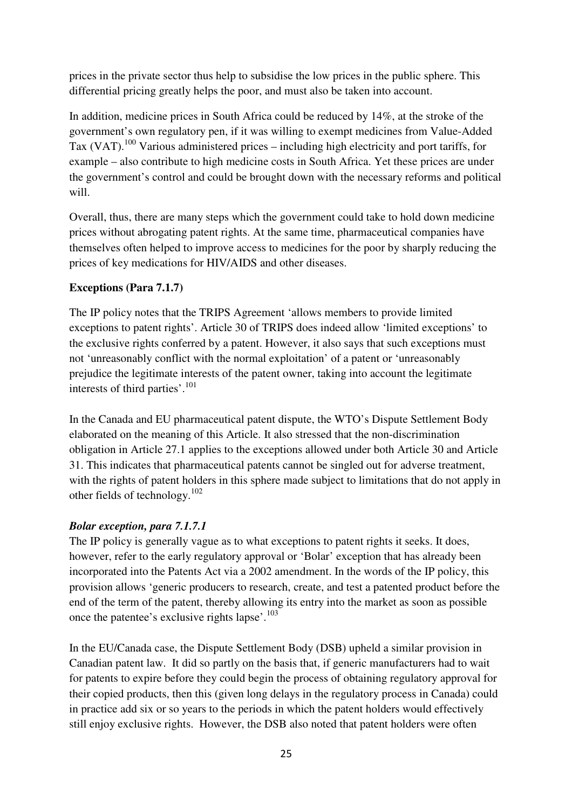prices in the private sector thus help to subsidise the low prices in the public sphere. This differential pricing greatly helps the poor, and must also be taken into account.

In addition, medicine prices in South Africa could be reduced by 14%, at the stroke of the government's own regulatory pen, if it was willing to exempt medicines from Value-Added Tax  $(VAT)$ <sup>100</sup> Various administered prices – including high electricity and port tariffs, for example – also contribute to high medicine costs in South Africa. Yet these prices are under the government's control and could be brought down with the necessary reforms and political will.

Overall, thus, there are many steps which the government could take to hold down medicine prices without abrogating patent rights. At the same time, pharmaceutical companies have themselves often helped to improve access to medicines for the poor by sharply reducing the prices of key medications for HIV/AIDS and other diseases.

# **Exceptions (Para 7.1.7)**

The IP policy notes that the TRIPS Agreement 'allows members to provide limited exceptions to patent rights'. Article 30 of TRIPS does indeed allow 'limited exceptions' to the exclusive rights conferred by a patent. However, it also says that such exceptions must not 'unreasonably conflict with the normal exploitation' of a patent or 'unreasonably prejudice the legitimate interests of the patent owner, taking into account the legitimate interests of third parties'.<sup>101</sup>

In the Canada and EU pharmaceutical patent dispute, the WTO's Dispute Settlement Body elaborated on the meaning of this Article. It also stressed that the non-discrimination obligation in Article 27.1 applies to the exceptions allowed under both Article 30 and Article 31. This indicates that pharmaceutical patents cannot be singled out for adverse treatment, with the rights of patent holders in this sphere made subject to limitations that do not apply in other fields of technology. $102$ 

# *Bolar exception, para 7.1.7.1*

The IP policy is generally vague as to what exceptions to patent rights it seeks. It does, however, refer to the early regulatory approval or 'Bolar' exception that has already been incorporated into the Patents Act via a 2002 amendment. In the words of the IP policy, this provision allows 'generic producers to research, create, and test a patented product before the end of the term of the patent, thereby allowing its entry into the market as soon as possible once the patentee's exclusive rights lapse'. $103$ 

In the EU/Canada case, the Dispute Settlement Body (DSB) upheld a similar provision in Canadian patent law. It did so partly on the basis that, if generic manufacturers had to wait for patents to expire before they could begin the process of obtaining regulatory approval for their copied products, then this (given long delays in the regulatory process in Canada) could in practice add six or so years to the periods in which the patent holders would effectively still enjoy exclusive rights. However, the DSB also noted that patent holders were often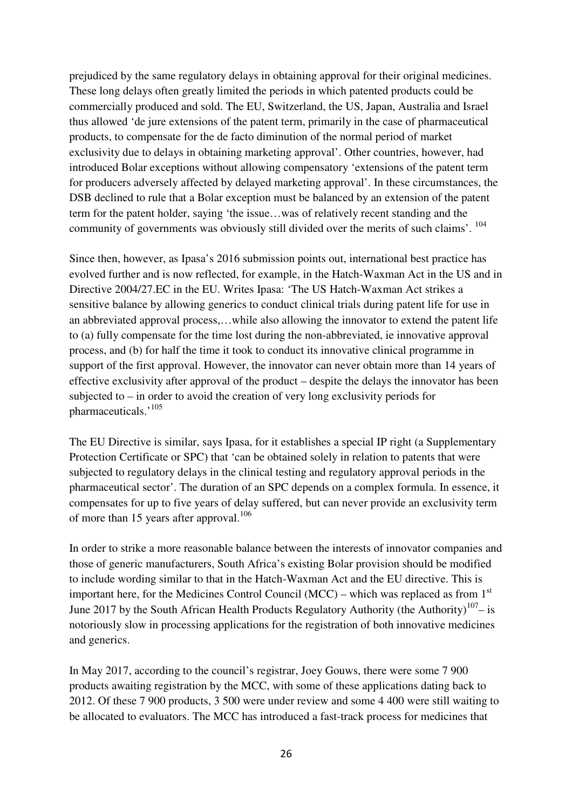prejudiced by the same regulatory delays in obtaining approval for their original medicines. These long delays often greatly limited the periods in which patented products could be commercially produced and sold. The EU, Switzerland, the US, Japan, Australia and Israel thus allowed 'de jure extensions of the patent term, primarily in the case of pharmaceutical products, to compensate for the de facto diminution of the normal period of market exclusivity due to delays in obtaining marketing approval'. Other countries, however, had introduced Bolar exceptions without allowing compensatory 'extensions of the patent term for producers adversely affected by delayed marketing approval'. In these circumstances, the DSB declined to rule that a Bolar exception must be balanced by an extension of the patent term for the patent holder, saying 'the issue…was of relatively recent standing and the community of governments was obviously still divided over the merits of such claims'.  $104$ 

Since then, however, as Ipasa's 2016 submission points out, international best practice has evolved further and is now reflected, for example, in the Hatch-Waxman Act in the US and in Directive 2004/27.EC in the EU. Writes Ipasa: 'The US Hatch-Waxman Act strikes a sensitive balance by allowing generics to conduct clinical trials during patent life for use in an abbreviated approval process,…while also allowing the innovator to extend the patent life to (a) fully compensate for the time lost during the non-abbreviated, ie innovative approval process, and (b) for half the time it took to conduct its innovative clinical programme in support of the first approval. However, the innovator can never obtain more than 14 years of effective exclusivity after approval of the product – despite the delays the innovator has been subjected to – in order to avoid the creation of very long exclusivity periods for pharmaceuticals.'<sup>105</sup>

The EU Directive is similar, says Ipasa, for it establishes a special IP right (a Supplementary Protection Certificate or SPC) that 'can be obtained solely in relation to patents that were subjected to regulatory delays in the clinical testing and regulatory approval periods in the pharmaceutical sector'. The duration of an SPC depends on a complex formula. In essence, it compensates for up to five years of delay suffered, but can never provide an exclusivity term of more than 15 years after approval.<sup>106</sup>

In order to strike a more reasonable balance between the interests of innovator companies and those of generic manufacturers, South Africa's existing Bolar provision should be modified to include wording similar to that in the Hatch-Waxman Act and the EU directive. This is important here, for the Medicines Control Council (MCC) – which was replaced as from  $1<sup>st</sup>$ June 2017 by the South African Health Products Regulatory Authority (the Authority)<sup>107</sup>– is notoriously slow in processing applications for the registration of both innovative medicines and generics.

In May 2017, according to the council's registrar, Joey Gouws, there were some 7 900 products awaiting registration by the MCC, with some of these applications dating back to 2012. Of these 7 900 products, 3 500 were under review and some 4 400 were still waiting to be allocated to evaluators. The MCC has introduced a fast-track process for medicines that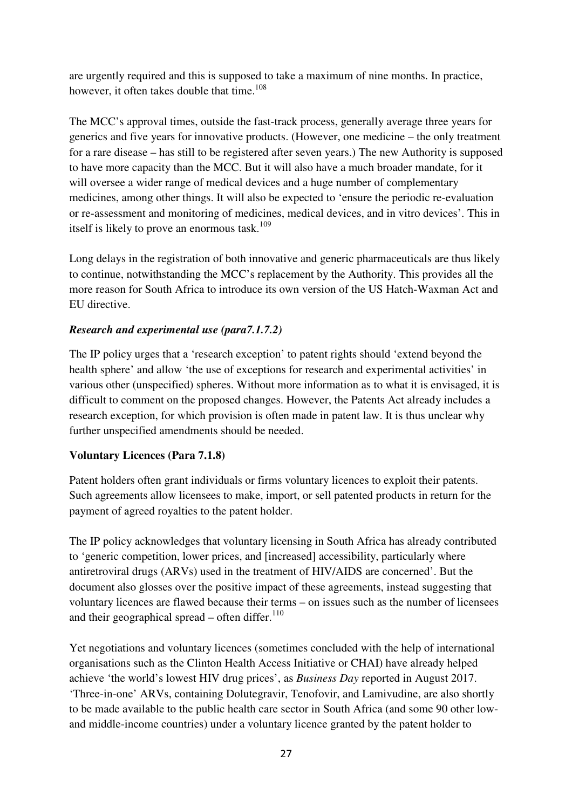are urgently required and this is supposed to take a maximum of nine months. In practice, however, it often takes double that time.<sup>108</sup>

The MCC's approval times, outside the fast-track process, generally average three years for generics and five years for innovative products. (However, one medicine – the only treatment for a rare disease – has still to be registered after seven years.) The new Authority is supposed to have more capacity than the MCC. But it will also have a much broader mandate, for it will oversee a wider range of medical devices and a huge number of complementary medicines, among other things. It will also be expected to 'ensure the periodic re-evaluation or re-assessment and monitoring of medicines, medical devices, and in vitro devices'. This in itself is likely to prove an enormous task.<sup>109</sup>

Long delays in the registration of both innovative and generic pharmaceuticals are thus likely to continue, notwithstanding the MCC's replacement by the Authority. This provides all the more reason for South Africa to introduce its own version of the US Hatch-Waxman Act and EU directive.

# *Research and experimental use (para7.1.7.2)*

The IP policy urges that a 'research exception' to patent rights should 'extend beyond the health sphere' and allow 'the use of exceptions for research and experimental activities' in various other (unspecified) spheres. Without more information as to what it is envisaged, it is difficult to comment on the proposed changes. However, the Patents Act already includes a research exception, for which provision is often made in patent law. It is thus unclear why further unspecified amendments should be needed.

# **Voluntary Licences (Para 7.1.8)**

Patent holders often grant individuals or firms voluntary licences to exploit their patents. Such agreements allow licensees to make, import, or sell patented products in return for the payment of agreed royalties to the patent holder.

The IP policy acknowledges that voluntary licensing in South Africa has already contributed to 'generic competition, lower prices, and [increased] accessibility, particularly where antiretroviral drugs (ARVs) used in the treatment of HIV/AIDS are concerned'. But the document also glosses over the positive impact of these agreements, instead suggesting that voluntary licences are flawed because their terms – on issues such as the number of licensees and their geographical spread – often differ. $110$ 

Yet negotiations and voluntary licences (sometimes concluded with the help of international organisations such as the Clinton Health Access Initiative or CHAI) have already helped achieve 'the world's lowest HIV drug prices', as *Business Day* reported in August 2017. 'Three-in-one' ARVs, containing Dolutegravir, Tenofovir, and Lamivudine, are also shortly to be made available to the public health care sector in South Africa (and some 90 other lowand middle-income countries) under a voluntary licence granted by the patent holder to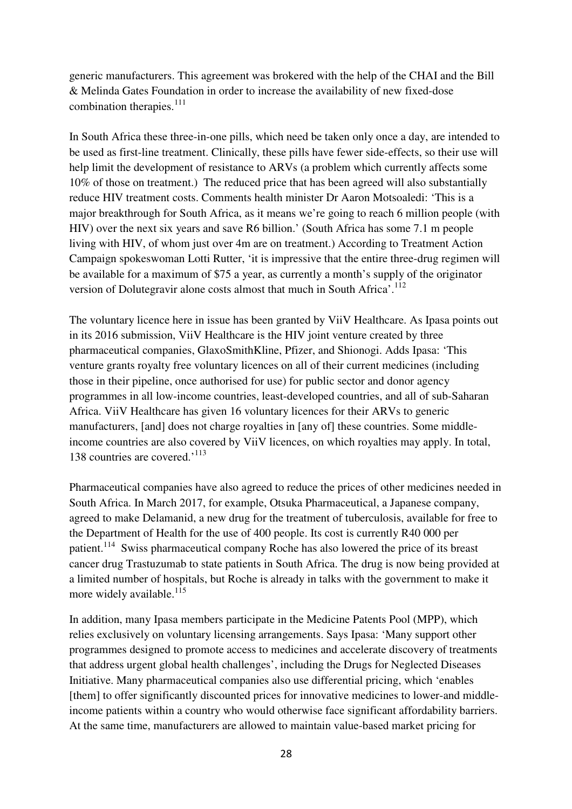generic manufacturers. This agreement was brokered with the help of the CHAI and the Bill & Melinda Gates Foundation in order to increase the availability of new fixed-dose combination therapies.<sup>111</sup>

In South Africa these three-in-one pills, which need be taken only once a day, are intended to be used as first-line treatment. Clinically, these pills have fewer side-effects, so their use will help limit the development of resistance to ARVs (a problem which currently affects some 10% of those on treatment.) The reduced price that has been agreed will also substantially reduce HIV treatment costs. Comments health minister Dr Aaron Motsoaledi: 'This is a major breakthrough for South Africa, as it means we're going to reach 6 million people (with HIV) over the next six years and save R6 billion.' (South Africa has some 7.1 m people living with HIV, of whom just over 4m are on treatment.) According to Treatment Action Campaign spokeswoman Lotti Rutter, 'it is impressive that the entire three-drug regimen will be available for a maximum of \$75 a year, as currently a month's supply of the originator version of Dolutegravir alone costs almost that much in South Africa'.<sup>112</sup>

The voluntary licence here in issue has been granted by ViiV Healthcare. As Ipasa points out in its 2016 submission, ViiV Healthcare is the HIV joint venture created by three pharmaceutical companies, GlaxoSmithKline, Pfizer, and Shionogi. Adds Ipasa: 'This venture grants royalty free voluntary licences on all of their current medicines (including those in their pipeline, once authorised for use) for public sector and donor agency programmes in all low-income countries, least-developed countries, and all of sub-Saharan Africa. ViiV Healthcare has given 16 voluntary licences for their ARVs to generic manufacturers, [and] does not charge royalties in [any of] these countries. Some middleincome countries are also covered by ViiV licences, on which royalties may apply. In total, 138 countries are covered.<sup>'113</sup>

Pharmaceutical companies have also agreed to reduce the prices of other medicines needed in South Africa. In March 2017, for example, Otsuka Pharmaceutical, a Japanese company, agreed to make Delamanid, a new drug for the treatment of tuberculosis, available for free to the Department of Health for the use of 400 people. Its cost is currently R40 000 per patient.<sup>114</sup> Swiss pharmaceutical company Roche has also lowered the price of its breast cancer drug Trastuzumab to state patients in South Africa. The drug is now being provided at a limited number of hospitals, but Roche is already in talks with the government to make it more widely available.<sup>115</sup>

In addition, many Ipasa members participate in the Medicine Patents Pool (MPP), which relies exclusively on voluntary licensing arrangements. Says Ipasa: 'Many support other programmes designed to promote access to medicines and accelerate discovery of treatments that address urgent global health challenges', including the Drugs for Neglected Diseases Initiative. Many pharmaceutical companies also use differential pricing, which 'enables [them] to offer significantly discounted prices for innovative medicines to lower-and middleincome patients within a country who would otherwise face significant affordability barriers. At the same time, manufacturers are allowed to maintain value-based market pricing for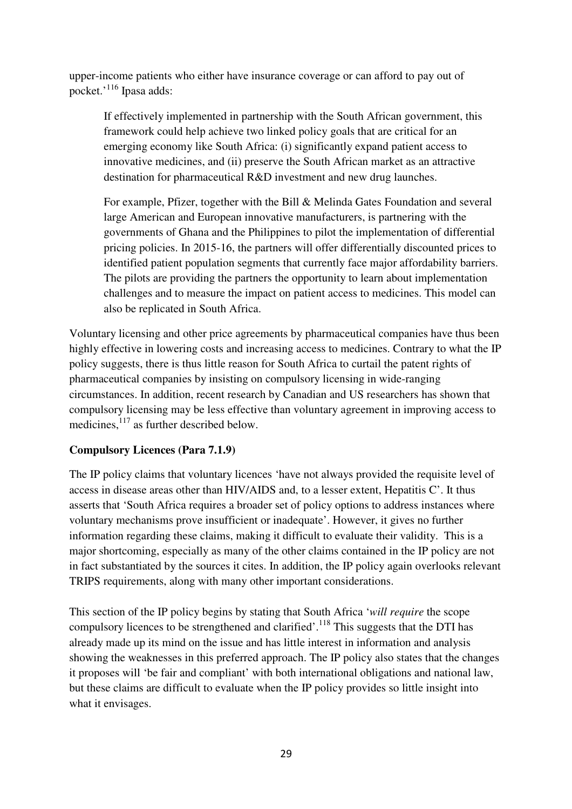upper-income patients who either have insurance coverage or can afford to pay out of pocket.'<sup>116</sup> Ipasa adds:

If effectively implemented in partnership with the South African government, this framework could help achieve two linked policy goals that are critical for an emerging economy like South Africa: (i) significantly expand patient access to innovative medicines, and (ii) preserve the South African market as an attractive destination for pharmaceutical R&D investment and new drug launches.

For example, Pfizer, together with the Bill & Melinda Gates Foundation and several large American and European innovative manufacturers, is partnering with the governments of Ghana and the Philippines to pilot the implementation of differential pricing policies. In 2015-16, the partners will offer differentially discounted prices to identified patient population segments that currently face major affordability barriers. The pilots are providing the partners the opportunity to learn about implementation challenges and to measure the impact on patient access to medicines. This model can also be replicated in South Africa.

Voluntary licensing and other price agreements by pharmaceutical companies have thus been highly effective in lowering costs and increasing access to medicines. Contrary to what the IP policy suggests, there is thus little reason for South Africa to curtail the patent rights of pharmaceutical companies by insisting on compulsory licensing in wide-ranging circumstances. In addition, recent research by Canadian and US researchers has shown that compulsory licensing may be less effective than voluntary agreement in improving access to medicines, <sup>117</sup> as further described below.

# **Compulsory Licences (Para 7.1.9)**

The IP policy claims that voluntary licences 'have not always provided the requisite level of access in disease areas other than HIV/AIDS and, to a lesser extent, Hepatitis C'. It thus asserts that 'South Africa requires a broader set of policy options to address instances where voluntary mechanisms prove insufficient or inadequate'. However, it gives no further information regarding these claims, making it difficult to evaluate their validity. This is a major shortcoming, especially as many of the other claims contained in the IP policy are not in fact substantiated by the sources it cites. In addition, the IP policy again overlooks relevant TRIPS requirements, along with many other important considerations.

This section of the IP policy begins by stating that South Africa '*will require* the scope compulsory licences to be strengthened and clarified'.<sup>118</sup> This suggests that the DTI has already made up its mind on the issue and has little interest in information and analysis showing the weaknesses in this preferred approach. The IP policy also states that the changes it proposes will 'be fair and compliant' with both international obligations and national law, but these claims are difficult to evaluate when the IP policy provides so little insight into what it envisages.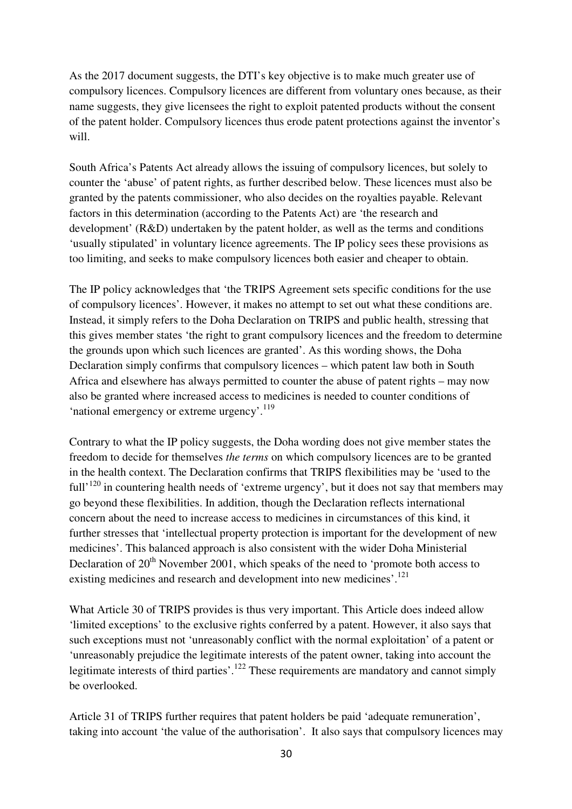As the 2017 document suggests, the DTI's key objective is to make much greater use of compulsory licences. Compulsory licences are different from voluntary ones because, as their name suggests, they give licensees the right to exploit patented products without the consent of the patent holder. Compulsory licences thus erode patent protections against the inventor's will.

South Africa's Patents Act already allows the issuing of compulsory licences, but solely to counter the 'abuse' of patent rights, as further described below. These licences must also be granted by the patents commissioner, who also decides on the royalties payable. Relevant factors in this determination (according to the Patents Act) are 'the research and development' (R&D) undertaken by the patent holder, as well as the terms and conditions 'usually stipulated' in voluntary licence agreements. The IP policy sees these provisions as too limiting, and seeks to make compulsory licences both easier and cheaper to obtain.

The IP policy acknowledges that 'the TRIPS Agreement sets specific conditions for the use of compulsory licences'. However, it makes no attempt to set out what these conditions are. Instead, it simply refers to the Doha Declaration on TRIPS and public health, stressing that this gives member states 'the right to grant compulsory licences and the freedom to determine the grounds upon which such licences are granted'. As this wording shows, the Doha Declaration simply confirms that compulsory licences – which patent law both in South Africa and elsewhere has always permitted to counter the abuse of patent rights – may now also be granted where increased access to medicines is needed to counter conditions of 'national emergency or extreme urgency'.<sup>119</sup>

Contrary to what the IP policy suggests, the Doha wording does not give member states the freedom to decide for themselves *the terms* on which compulsory licences are to be granted in the health context. The Declaration confirms that TRIPS flexibilities may be 'used to the full<sup> $120$ </sup> in countering health needs of 'extreme urgency', but it does not say that members may go beyond these flexibilities. In addition, though the Declaration reflects international concern about the need to increase access to medicines in circumstances of this kind, it further stresses that 'intellectual property protection is important for the development of new medicines'. This balanced approach is also consistent with the wider Doha Ministerial Declaration of 20<sup>th</sup> November 2001, which speaks of the need to 'promote both access to existing medicines and research and development into new medicines'.<sup>121</sup>

What Article 30 of TRIPS provides is thus very important. This Article does indeed allow 'limited exceptions' to the exclusive rights conferred by a patent. However, it also says that such exceptions must not 'unreasonably conflict with the normal exploitation' of a patent or 'unreasonably prejudice the legitimate interests of the patent owner, taking into account the legitimate interests of third parties'.<sup>122</sup> These requirements are mandatory and cannot simply be overlooked.

Article 31 of TRIPS further requires that patent holders be paid 'adequate remuneration', taking into account 'the value of the authorisation'. It also says that compulsory licences may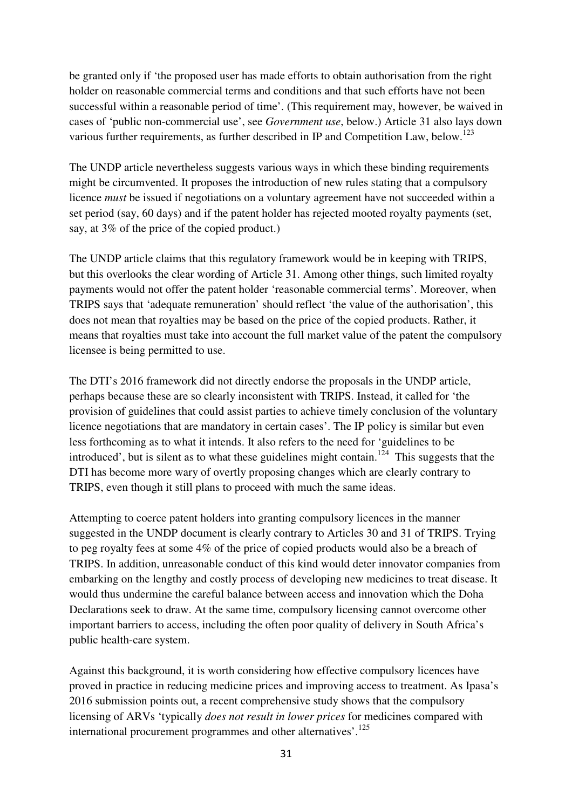be granted only if 'the proposed user has made efforts to obtain authorisation from the right holder on reasonable commercial terms and conditions and that such efforts have not been successful within a reasonable period of time'. (This requirement may, however, be waived in cases of 'public non-commercial use', see *Government use*, below.) Article 31 also lays down various further requirements, as further described in IP and Competition Law, below.<sup>123</sup>

The UNDP article nevertheless suggests various ways in which these binding requirements might be circumvented. It proposes the introduction of new rules stating that a compulsory licence *must* be issued if negotiations on a voluntary agreement have not succeeded within a set period (say, 60 days) and if the patent holder has rejected mooted royalty payments (set, say, at 3% of the price of the copied product.)

The UNDP article claims that this regulatory framework would be in keeping with TRIPS, but this overlooks the clear wording of Article 31. Among other things, such limited royalty payments would not offer the patent holder 'reasonable commercial terms'. Moreover, when TRIPS says that 'adequate remuneration' should reflect 'the value of the authorisation', this does not mean that royalties may be based on the price of the copied products. Rather, it means that royalties must take into account the full market value of the patent the compulsory licensee is being permitted to use.

The DTI's 2016 framework did not directly endorse the proposals in the UNDP article, perhaps because these are so clearly inconsistent with TRIPS. Instead, it called for 'the provision of guidelines that could assist parties to achieve timely conclusion of the voluntary licence negotiations that are mandatory in certain cases'. The IP policy is similar but even less forthcoming as to what it intends. It also refers to the need for 'guidelines to be introduced', but is silent as to what these guidelines might contain.<sup>124</sup> This suggests that the DTI has become more wary of overtly proposing changes which are clearly contrary to TRIPS, even though it still plans to proceed with much the same ideas.

Attempting to coerce patent holders into granting compulsory licences in the manner suggested in the UNDP document is clearly contrary to Articles 30 and 31 of TRIPS. Trying to peg royalty fees at some 4% of the price of copied products would also be a breach of TRIPS. In addition, unreasonable conduct of this kind would deter innovator companies from embarking on the lengthy and costly process of developing new medicines to treat disease. It would thus undermine the careful balance between access and innovation which the Doha Declarations seek to draw. At the same time, compulsory licensing cannot overcome other important barriers to access, including the often poor quality of delivery in South Africa's public health-care system.

Against this background, it is worth considering how effective compulsory licences have proved in practice in reducing medicine prices and improving access to treatment. As Ipasa's 2016 submission points out, a recent comprehensive study shows that the compulsory licensing of ARVs 'typically *does not result in lower prices* for medicines compared with international procurement programmes and other alternatives'.<sup>125</sup>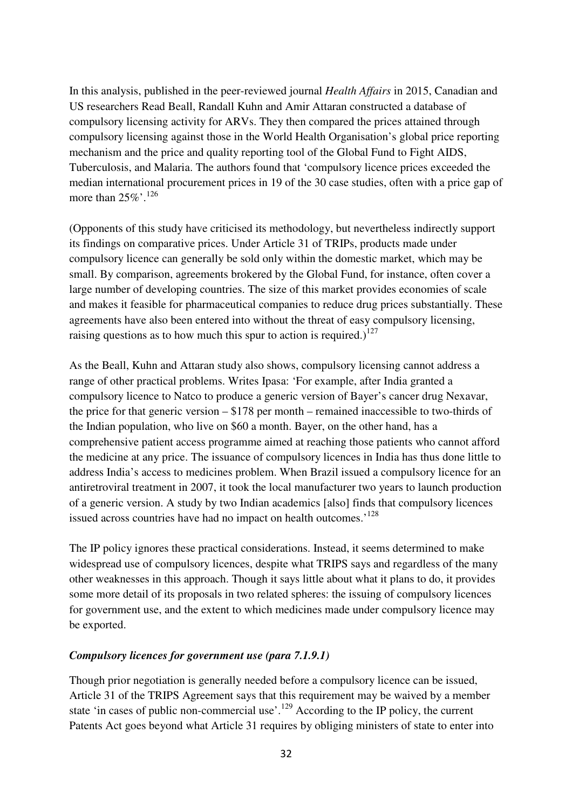In this analysis, published in the peer-reviewed journal *Health Affairs* in 2015, Canadian and US researchers Read Beall, Randall Kuhn and Amir Attaran constructed a database of compulsory licensing activity for ARVs. They then compared the prices attained through compulsory licensing against those in the World Health Organisation's global price reporting mechanism and the price and quality reporting tool of the Global Fund to Fight AIDS, Tuberculosis, and Malaria. The authors found that 'compulsory licence prices exceeded the median international procurement prices in 19 of the 30 case studies, often with a price gap of more than  $25\%$ <sup>'.126</sup>

(Opponents of this study have criticised its methodology, but nevertheless indirectly support its findings on comparative prices. Under Article 31 of TRIPs, products made under compulsory licence can generally be sold only within the domestic market, which may be small. By comparison, agreements brokered by the Global Fund, for instance, often cover a large number of developing countries. The size of this market provides economies of scale and makes it feasible for pharmaceutical companies to reduce drug prices substantially. These agreements have also been entered into without the threat of easy compulsory licensing, raising questions as to how much this spur to action is required.)<sup>127</sup>

As the Beall, Kuhn and Attaran study also shows, compulsory licensing cannot address a range of other practical problems. Writes Ipasa: 'For example, after India granted a compulsory licence to Natco to produce a generic version of Bayer's cancer drug Nexavar, the price for that generic version – \$178 per month – remained inaccessible to two-thirds of the Indian population, who live on \$60 a month. Bayer, on the other hand, has a comprehensive patient access programme aimed at reaching those patients who cannot afford the medicine at any price. The issuance of compulsory licences in India has thus done little to address India's access to medicines problem. When Brazil issued a compulsory licence for an antiretroviral treatment in 2007, it took the local manufacturer two years to launch production of a generic version. A study by two Indian academics [also] finds that compulsory licences issued across countries have had no impact on health outcomes.<sup>'128</sup>

The IP policy ignores these practical considerations. Instead, it seems determined to make widespread use of compulsory licences, despite what TRIPS says and regardless of the many other weaknesses in this approach. Though it says little about what it plans to do, it provides some more detail of its proposals in two related spheres: the issuing of compulsory licences for government use, and the extent to which medicines made under compulsory licence may be exported.

# *Compulsory licences for government use (para 7.1.9.1)*

Though prior negotiation is generally needed before a compulsory licence can be issued, Article 31 of the TRIPS Agreement says that this requirement may be waived by a member state 'in cases of public non-commercial use'.<sup>129</sup> According to the IP policy, the current Patents Act goes beyond what Article 31 requires by obliging ministers of state to enter into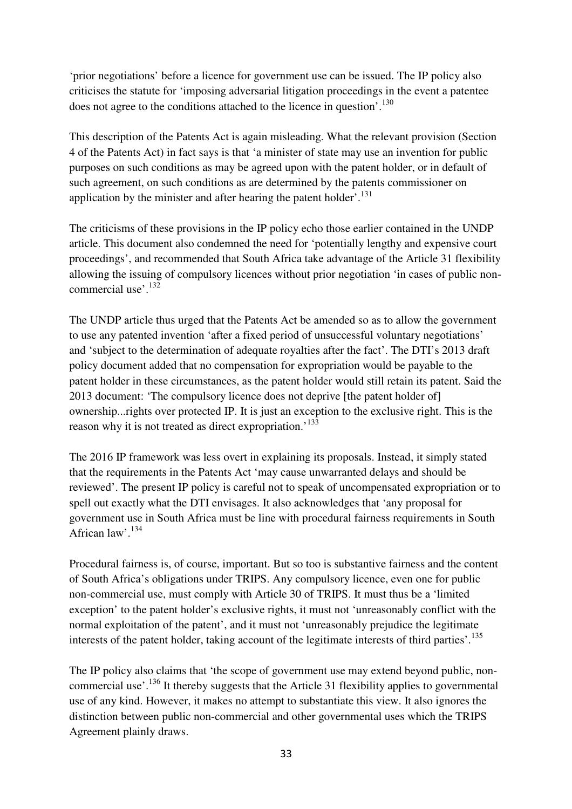'prior negotiations' before a licence for government use can be issued. The IP policy also criticises the statute for 'imposing adversarial litigation proceedings in the event a patentee does not agree to the conditions attached to the licence in question'.<sup>130</sup>

This description of the Patents Act is again misleading. What the relevant provision (Section 4 of the Patents Act) in fact says is that 'a minister of state may use an invention for public purposes on such conditions as may be agreed upon with the patent holder, or in default of such agreement, on such conditions as are determined by the patents commissioner on application by the minister and after hearing the patent holder'.<sup>131</sup>

The criticisms of these provisions in the IP policy echo those earlier contained in the UNDP article. This document also condemned the need for 'potentially lengthy and expensive court proceedings', and recommended that South Africa take advantage of the Article 31 flexibility allowing the issuing of compulsory licences without prior negotiation 'in cases of public noncommercial use'.<sup>132</sup>

The UNDP article thus urged that the Patents Act be amended so as to allow the government to use any patented invention 'after a fixed period of unsuccessful voluntary negotiations' and 'subject to the determination of adequate royalties after the fact'. The DTI's 2013 draft policy document added that no compensation for expropriation would be payable to the patent holder in these circumstances, as the patent holder would still retain its patent. Said the 2013 document: 'The compulsory licence does not deprive [the patent holder of] ownership...rights over protected IP. It is just an exception to the exclusive right. This is the reason why it is not treated as direct expropriation.<sup>133</sup>

The 2016 IP framework was less overt in explaining its proposals. Instead, it simply stated that the requirements in the Patents Act 'may cause unwarranted delays and should be reviewed'. The present IP policy is careful not to speak of uncompensated expropriation or to spell out exactly what the DTI envisages. It also acknowledges that 'any proposal for government use in South Africa must be line with procedural fairness requirements in South African law'.<sup>134</sup>

Procedural fairness is, of course, important. But so too is substantive fairness and the content of South Africa's obligations under TRIPS. Any compulsory licence, even one for public non-commercial use, must comply with Article 30 of TRIPS. It must thus be a 'limited exception' to the patent holder's exclusive rights, it must not 'unreasonably conflict with the normal exploitation of the patent', and it must not 'unreasonably prejudice the legitimate interests of the patent holder, taking account of the legitimate interests of third parties'.<sup>135</sup>

The IP policy also claims that 'the scope of government use may extend beyond public, noncommercial use'.<sup>136</sup> It thereby suggests that the Article 31 flexibility applies to governmental use of any kind. However, it makes no attempt to substantiate this view. It also ignores the distinction between public non-commercial and other governmental uses which the TRIPS Agreement plainly draws.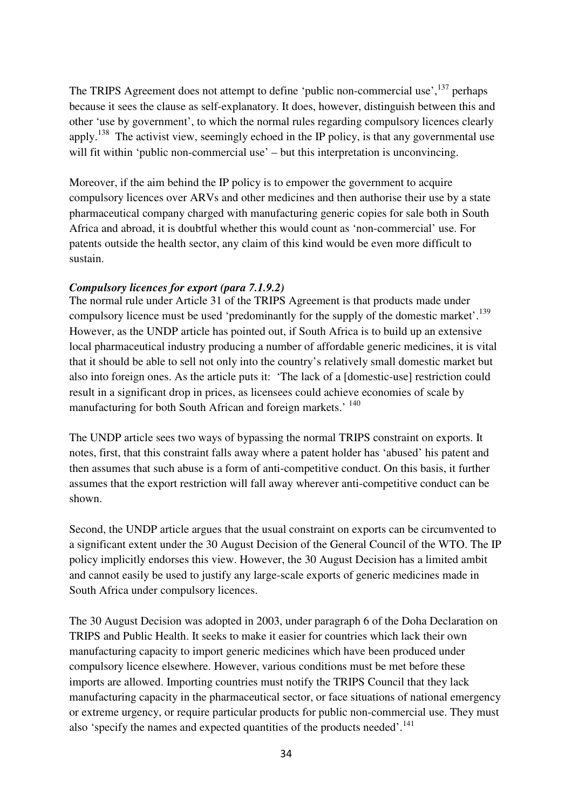The TRIPS Agreement does not attempt to define 'public non-commercial use',<sup>137</sup> perhaps because it sees the clause as self-explanatory. It does, however, distinguish between this and other 'use by government', to which the normal rules regarding compulsory licences clearly apply.<sup>138</sup> The activist view, seemingly echoed in the IP policy, is that any governmental use will fit within 'public non-commercial use' – but this interpretation is unconvincing.

Moreover, if the aim behind the IP policy is to empower the government to acquire compulsory licences over ARVs and other medicines and then authorise their use by a state pharmaceutical company charged with manufacturing generic copies for sale both in South Africa and abroad, it is doubtful whether this would count as 'non-commercial' use. For patents outside the health sector, any claim of this kind would be even more difficult to sustain.

# *Compulsory licences for export (para 7.1.9.2)*

The normal rule under Article 31 of the TRIPS Agreement is that products made under compulsory licence must be used 'predominantly for the supply of the domestic market'.<sup>139</sup> However, as the UNDP article has pointed out, if South Africa is to build up an extensive local pharmaceutical industry producing a number of affordable generic medicines, it is vital that it should be able to sell not only into the country's relatively small domestic market but also into foreign ones. As the article puts it: 'The lack of a [domestic-use] restriction could result in a significant drop in prices, as licensees could achieve economies of scale by manufacturing for both South African and foreign markets.' <sup>140</sup>

The UNDP article sees two ways of bypassing the normal TRIPS constraint on exports. It notes, first, that this constraint falls away where a patent holder has 'abused' his patent and then assumes that such abuse is a form of anti-competitive conduct. On this basis, it further assumes that the export restriction will fall away wherever anti-competitive conduct can be shown.

Second, the UNDP article argues that the usual constraint on exports can be circumvented to a significant extent under the 30 August Decision of the General Council of the WTO. The IP policy implicitly endorses this view. However, the 30 August Decision has a limited ambit and cannot easily be used to justify any large-scale exports of generic medicines made in South Africa under compulsory licences.

The 30 August Decision was adopted in 2003, under paragraph 6 of the Doha Declaration on TRIPS and Public Health. It seeks to make it easier for countries which lack their own manufacturing capacity to import generic medicines which have been produced under compulsory licence elsewhere. However, various conditions must be met before these imports are allowed. Importing countries must notify the TRIPS Council that they lack manufacturing capacity in the pharmaceutical sector, or face situations of national emergency or extreme urgency, or require particular products for public non-commercial use. They must also 'specify the names and expected quantities of the products needed'.<sup>141</sup>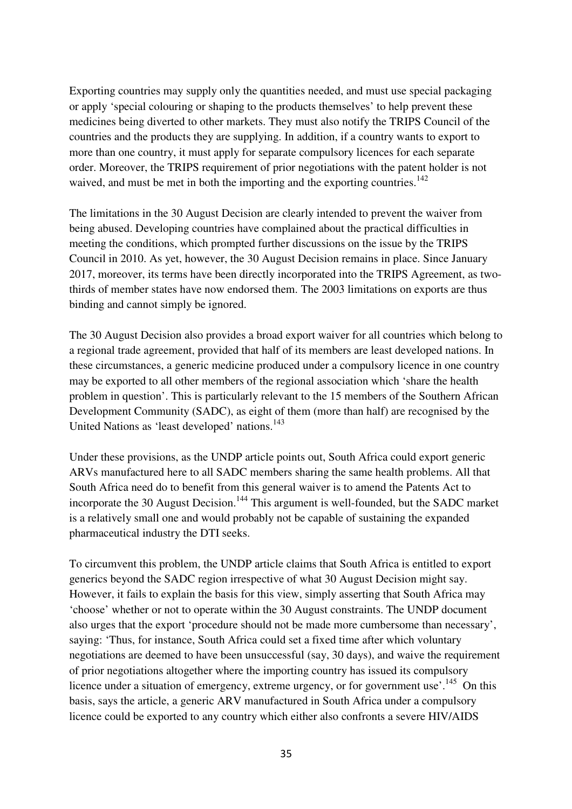Exporting countries may supply only the quantities needed, and must use special packaging or apply 'special colouring or shaping to the products themselves' to help prevent these medicines being diverted to other markets. They must also notify the TRIPS Council of the countries and the products they are supplying. In addition, if a country wants to export to more than one country, it must apply for separate compulsory licences for each separate order. Moreover, the TRIPS requirement of prior negotiations with the patent holder is not waived, and must be met in both the importing and the exporting countries.<sup>142</sup>

The limitations in the 30 August Decision are clearly intended to prevent the waiver from being abused. Developing countries have complained about the practical difficulties in meeting the conditions, which prompted further discussions on the issue by the TRIPS Council in 2010. As yet, however, the 30 August Decision remains in place. Since January 2017, moreover, its terms have been directly incorporated into the TRIPS Agreement, as twothirds of member states have now endorsed them. The 2003 limitations on exports are thus binding and cannot simply be ignored.

The 30 August Decision also provides a broad export waiver for all countries which belong to a regional trade agreement, provided that half of its members are least developed nations. In these circumstances, a generic medicine produced under a compulsory licence in one country may be exported to all other members of the regional association which 'share the health problem in question'. This is particularly relevant to the 15 members of the Southern African Development Community (SADC), as eight of them (more than half) are recognised by the United Nations as 'least developed' nations.<sup>143</sup>

Under these provisions, as the UNDP article points out, South Africa could export generic ARVs manufactured here to all SADC members sharing the same health problems. All that South Africa need do to benefit from this general waiver is to amend the Patents Act to incorporate the 30 August Decision.<sup>144</sup> This argument is well-founded, but the SADC market is a relatively small one and would probably not be capable of sustaining the expanded pharmaceutical industry the DTI seeks.

To circumvent this problem, the UNDP article claims that South Africa is entitled to export generics beyond the SADC region irrespective of what 30 August Decision might say. However, it fails to explain the basis for this view, simply asserting that South Africa may 'choose' whether or not to operate within the 30 August constraints. The UNDP document also urges that the export 'procedure should not be made more cumbersome than necessary', saying: 'Thus, for instance, South Africa could set a fixed time after which voluntary negotiations are deemed to have been unsuccessful (say, 30 days), and waive the requirement of prior negotiations altogether where the importing country has issued its compulsory licence under a situation of emergency, extreme urgency, or for government use'.<sup>145</sup> On this basis, says the article, a generic ARV manufactured in South Africa under a compulsory licence could be exported to any country which either also confronts a severe HIV/AIDS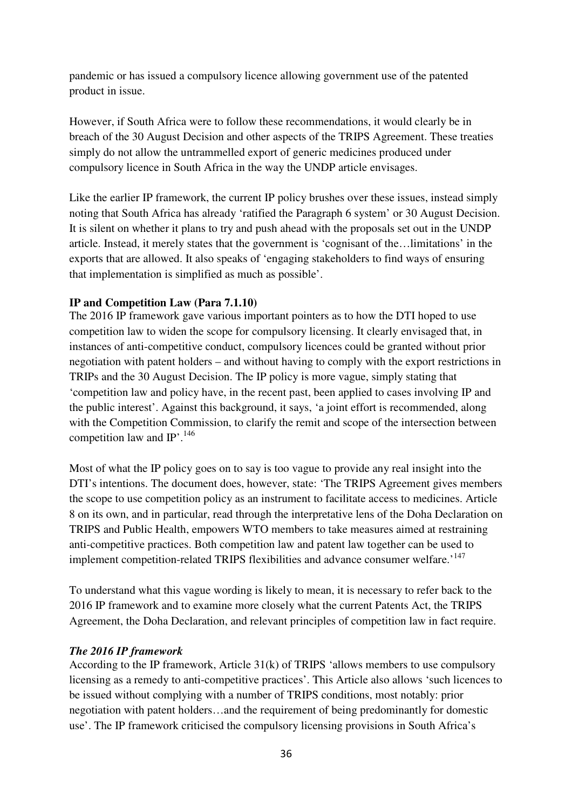pandemic or has issued a compulsory licence allowing government use of the patented product in issue.

However, if South Africa were to follow these recommendations, it would clearly be in breach of the 30 August Decision and other aspects of the TRIPS Agreement. These treaties simply do not allow the untrammelled export of generic medicines produced under compulsory licence in South Africa in the way the UNDP article envisages.

Like the earlier IP framework, the current IP policy brushes over these issues, instead simply noting that South Africa has already 'ratified the Paragraph 6 system' or 30 August Decision. It is silent on whether it plans to try and push ahead with the proposals set out in the UNDP article. Instead, it merely states that the government is 'cognisant of the…limitations' in the exports that are allowed. It also speaks of 'engaging stakeholders to find ways of ensuring that implementation is simplified as much as possible'.

# **IP and Competition Law (Para 7.1.10)**

The 2016 IP framework gave various important pointers as to how the DTI hoped to use competition law to widen the scope for compulsory licensing. It clearly envisaged that, in instances of anti-competitive conduct, compulsory licences could be granted without prior negotiation with patent holders – and without having to comply with the export restrictions in TRIPs and the 30 August Decision. The IP policy is more vague, simply stating that 'competition law and policy have, in the recent past, been applied to cases involving IP and the public interest'. Against this background, it says, 'a joint effort is recommended, along with the Competition Commission, to clarify the remit and scope of the intersection between competition law and IP'.<sup>146</sup>

Most of what the IP policy goes on to say is too vague to provide any real insight into the DTI's intentions. The document does, however, state: 'The TRIPS Agreement gives members the scope to use competition policy as an instrument to facilitate access to medicines. Article 8 on its own, and in particular, read through the interpretative lens of the Doha Declaration on TRIPS and Public Health, empowers WTO members to take measures aimed at restraining anti-competitive practices. Both competition law and patent law together can be used to implement competition-related TRIPS flexibilities and advance consumer welfare.<sup>'147</sup>

To understand what this vague wording is likely to mean, it is necessary to refer back to the 2016 IP framework and to examine more closely what the current Patents Act, the TRIPS Agreement, the Doha Declaration, and relevant principles of competition law in fact require.

#### *The 2016 IP framework*

According to the IP framework, Article 31(k) of TRIPS 'allows members to use compulsory licensing as a remedy to anti-competitive practices'. This Article also allows 'such licences to be issued without complying with a number of TRIPS conditions, most notably: prior negotiation with patent holders…and the requirement of being predominantly for domestic use'. The IP framework criticised the compulsory licensing provisions in South Africa's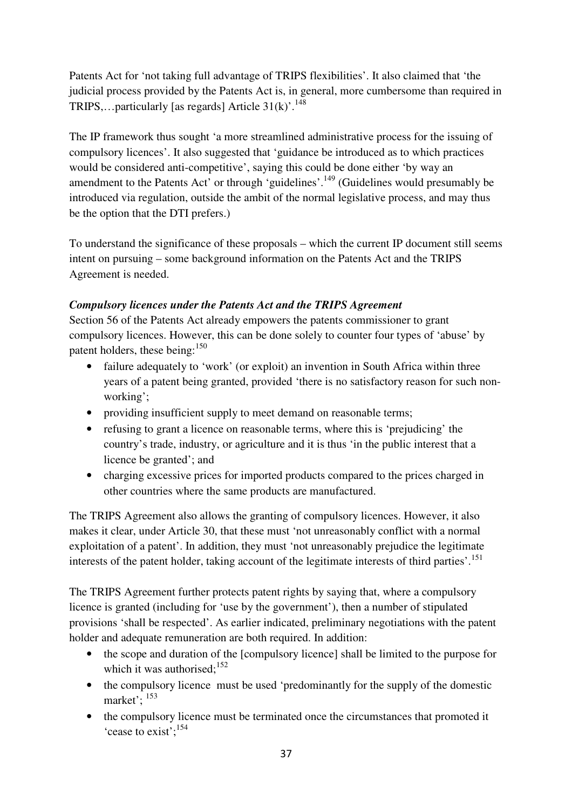Patents Act for 'not taking full advantage of TRIPS flexibilities'. It also claimed that 'the judicial process provided by the Patents Act is, in general, more cumbersome than required in TRIPS,...particularly [as regards] Article  $31(k)$ <sup>'.148</sup>

The IP framework thus sought 'a more streamlined administrative process for the issuing of compulsory licences'. It also suggested that 'guidance be introduced as to which practices would be considered anti-competitive', saying this could be done either 'by way an amendment to the Patents Act' or through 'guidelines'.<sup>149</sup> (Guidelines would presumably be introduced via regulation, outside the ambit of the normal legislative process, and may thus be the option that the DTI prefers.)

To understand the significance of these proposals – which the current IP document still seems intent on pursuing – some background information on the Patents Act and the TRIPS Agreement is needed.

# *Compulsory licences under the Patents Act and the TRIPS Agreement*

Section 56 of the Patents Act already empowers the patents commissioner to grant compulsory licences. However, this can be done solely to counter four types of 'abuse' by patent holders, these being:<sup>150</sup>

- failure adequately to 'work' (or exploit) an invention in South Africa within three years of a patent being granted, provided 'there is no satisfactory reason for such nonworking';
- providing insufficient supply to meet demand on reasonable terms;
- refusing to grant a licence on reasonable terms, where this is 'prejudicing' the country's trade, industry, or agriculture and it is thus 'in the public interest that a licence be granted'; and
- charging excessive prices for imported products compared to the prices charged in other countries where the same products are manufactured.

The TRIPS Agreement also allows the granting of compulsory licences. However, it also makes it clear, under Article 30, that these must 'not unreasonably conflict with a normal exploitation of a patent'. In addition, they must 'not unreasonably prejudice the legitimate interests of the patent holder, taking account of the legitimate interests of third parties'.<sup>151</sup>

The TRIPS Agreement further protects patent rights by saying that, where a compulsory licence is granted (including for 'use by the government'), then a number of stipulated provisions 'shall be respected'. As earlier indicated, preliminary negotiations with the patent holder and adequate remuneration are both required. In addition:

- the scope and duration of the [compulsory licence] shall be limited to the purpose for which it was authorised; $152$
- the compulsory licence must be used 'predominantly for the supply of the domestic market';  $^{153}$
- the compulsory licence must be terminated once the circumstances that promoted it 'cease to exist';<sup>154</sup>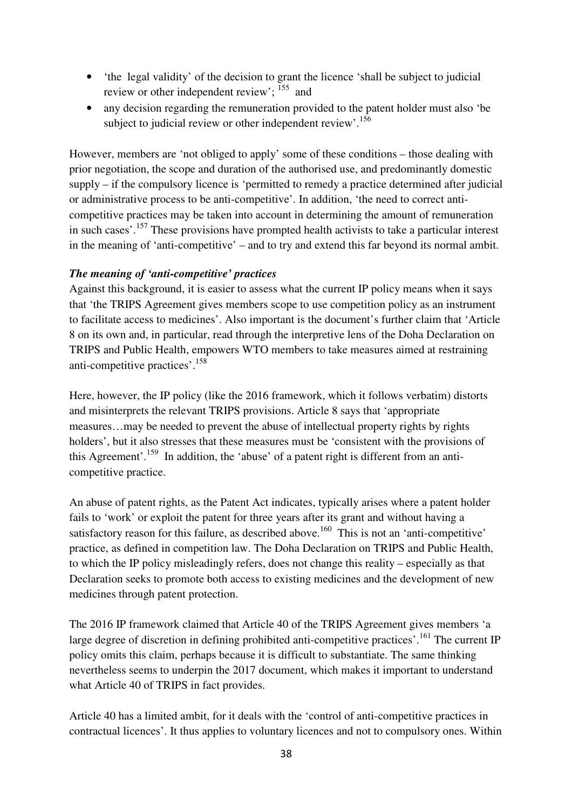- 'the legal validity' of the decision to grant the licence 'shall be subject to judicial review or other independent review'; <sup>155</sup> and
- any decision regarding the remuneration provided to the patent holder must also 'be subject to judicial review or other independent review'.<sup>156</sup>

However, members are 'not obliged to apply' some of these conditions – those dealing with prior negotiation, the scope and duration of the authorised use, and predominantly domestic supply – if the compulsory licence is 'permitted to remedy a practice determined after judicial or administrative process to be anti-competitive'. In addition, 'the need to correct anticompetitive practices may be taken into account in determining the amount of remuneration in such cases'.<sup>157</sup> These provisions have prompted health activists to take a particular interest in the meaning of 'anti-competitive' – and to try and extend this far beyond its normal ambit.

# *The meaning of 'anti-competitive' practices*

Against this background, it is easier to assess what the current IP policy means when it says that 'the TRIPS Agreement gives members scope to use competition policy as an instrument to facilitate access to medicines'. Also important is the document's further claim that 'Article 8 on its own and, in particular, read through the interpretive lens of the Doha Declaration on TRIPS and Public Health, empowers WTO members to take measures aimed at restraining anti-competitive practices'.<sup>158</sup>

Here, however, the IP policy (like the 2016 framework, which it follows verbatim) distorts and misinterprets the relevant TRIPS provisions. Article 8 says that 'appropriate measures…may be needed to prevent the abuse of intellectual property rights by rights holders', but it also stresses that these measures must be 'consistent with the provisions of this Agreement'.<sup>159</sup> In addition, the 'abuse' of a patent right is different from an anticompetitive practice.

An abuse of patent rights, as the Patent Act indicates, typically arises where a patent holder fails to 'work' or exploit the patent for three years after its grant and without having a satisfactory reason for this failure, as described above.<sup>160</sup> This is not an 'anti-competitive' practice, as defined in competition law. The Doha Declaration on TRIPS and Public Health, to which the IP policy misleadingly refers, does not change this reality – especially as that Declaration seeks to promote both access to existing medicines and the development of new medicines through patent protection.

The 2016 IP framework claimed that Article 40 of the TRIPS Agreement gives members 'a large degree of discretion in defining prohibited anti-competitive practices'.<sup>161</sup> The current IP policy omits this claim, perhaps because it is difficult to substantiate. The same thinking nevertheless seems to underpin the 2017 document, which makes it important to understand what Article 40 of TRIPS in fact provides.

Article 40 has a limited ambit, for it deals with the 'control of anti-competitive practices in contractual licences'. It thus applies to voluntary licences and not to compulsory ones. Within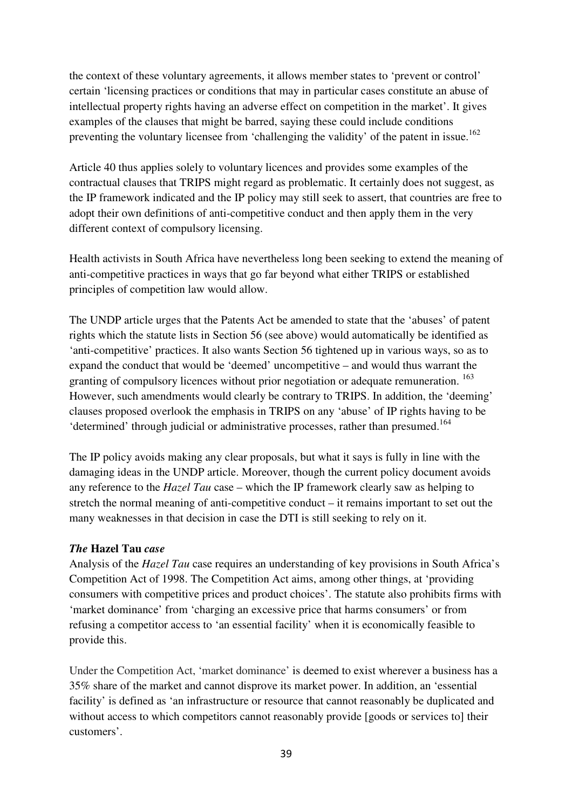the context of these voluntary agreements, it allows member states to 'prevent or control' certain 'licensing practices or conditions that may in particular cases constitute an abuse of intellectual property rights having an adverse effect on competition in the market'. It gives examples of the clauses that might be barred, saying these could include conditions preventing the voluntary licensee from 'challenging the validity' of the patent in issue.<sup>162</sup>

Article 40 thus applies solely to voluntary licences and provides some examples of the contractual clauses that TRIPS might regard as problematic. It certainly does not suggest, as the IP framework indicated and the IP policy may still seek to assert, that countries are free to adopt their own definitions of anti-competitive conduct and then apply them in the very different context of compulsory licensing.

Health activists in South Africa have nevertheless long been seeking to extend the meaning of anti-competitive practices in ways that go far beyond what either TRIPS or established principles of competition law would allow.

The UNDP article urges that the Patents Act be amended to state that the 'abuses' of patent rights which the statute lists in Section 56 (see above) would automatically be identified as 'anti-competitive' practices. It also wants Section 56 tightened up in various ways, so as to expand the conduct that would be 'deemed' uncompetitive – and would thus warrant the granting of compulsory licences without prior negotiation or adequate remuneration. <sup>163</sup> However, such amendments would clearly be contrary to TRIPS. In addition, the 'deeming' clauses proposed overlook the emphasis in TRIPS on any 'abuse' of IP rights having to be 'determined' through judicial or administrative processes, rather than presumed.<sup>164</sup>

The IP policy avoids making any clear proposals, but what it says is fully in line with the damaging ideas in the UNDP article. Moreover, though the current policy document avoids any reference to the *Hazel Tau* case – which the IP framework clearly saw as helping to stretch the normal meaning of anti-competitive conduct – it remains important to set out the many weaknesses in that decision in case the DTI is still seeking to rely on it.

# *The* **Hazel Tau** *case*

Analysis of the *Hazel Tau* case requires an understanding of key provisions in South Africa's Competition Act of 1998. The Competition Act aims, among other things, at 'providing consumers with competitive prices and product choices'. The statute also prohibits firms with 'market dominance' from 'charging an excessive price that harms consumers' or from refusing a competitor access to 'an essential facility' when it is economically feasible to provide this.

Under the Competition Act, 'market dominance' is deemed to exist wherever a business has a 35% share of the market and cannot disprove its market power. In addition, an 'essential facility' is defined as 'an infrastructure or resource that cannot reasonably be duplicated and without access to which competitors cannot reasonably provide [goods or services to] their customers'.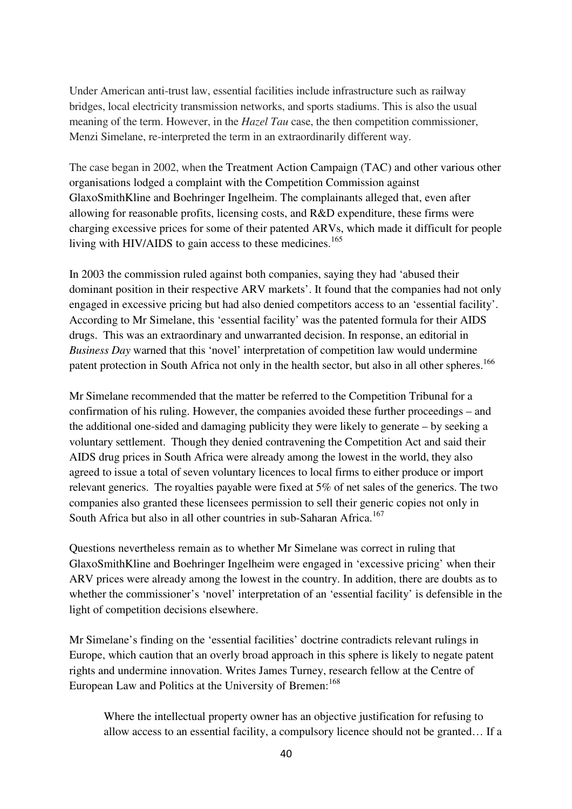Under American anti-trust law, essential facilities include infrastructure such as railway bridges, local electricity transmission networks, and sports stadiums. This is also the usual meaning of the term. However, in the *Hazel Tau* case, the then competition commissioner, Menzi Simelane, re-interpreted the term in an extraordinarily different way.

The case began in 2002, when the Treatment Action Campaign (TAC) and other various other organisations lodged a complaint with the Competition Commission against GlaxoSmithKline and Boehringer Ingelheim. The complainants alleged that, even after allowing for reasonable profits, licensing costs, and R&D expenditure, these firms were charging excessive prices for some of their patented ARVs, which made it difficult for people living with HIV/AIDS to gain access to these medicines.<sup>165</sup>

In 2003 the commission ruled against both companies, saying they had 'abused their dominant position in their respective ARV markets'. It found that the companies had not only engaged in excessive pricing but had also denied competitors access to an 'essential facility'. According to Mr Simelane, this 'essential facility' was the patented formula for their AIDS drugs. This was an extraordinary and unwarranted decision. In response, an editorial in *Business Day* warned that this 'novel' interpretation of competition law would undermine patent protection in South Africa not only in the health sector, but also in all other spheres.<sup>166</sup>

Mr Simelane recommended that the matter be referred to the Competition Tribunal for a confirmation of his ruling. However, the companies avoided these further proceedings – and the additional one-sided and damaging publicity they were likely to generate – by seeking a voluntary settlement. Though they denied contravening the Competition Act and said their AIDS drug prices in South Africa were already among the lowest in the world, they also agreed to issue a total of seven voluntary licences to local firms to either produce or import relevant generics. The royalties payable were fixed at 5% of net sales of the generics. The two companies also granted these licensees permission to sell their generic copies not only in South Africa but also in all other countries in sub-Saharan Africa.<sup>167</sup>

Questions nevertheless remain as to whether Mr Simelane was correct in ruling that GlaxoSmithKline and Boehringer Ingelheim were engaged in 'excessive pricing' when their ARV prices were already among the lowest in the country. In addition, there are doubts as to whether the commissioner's 'novel' interpretation of an 'essential facility' is defensible in the light of competition decisions elsewhere.

Mr Simelane's finding on the 'essential facilities' doctrine contradicts relevant rulings in Europe, which caution that an overly broad approach in this sphere is likely to negate patent rights and undermine innovation. Writes James Turney, research fellow at the Centre of European Law and Politics at the University of Bremen:<sup>168</sup>

Where the intellectual property owner has an objective justification for refusing to allow access to an essential facility, a compulsory licence should not be granted… If a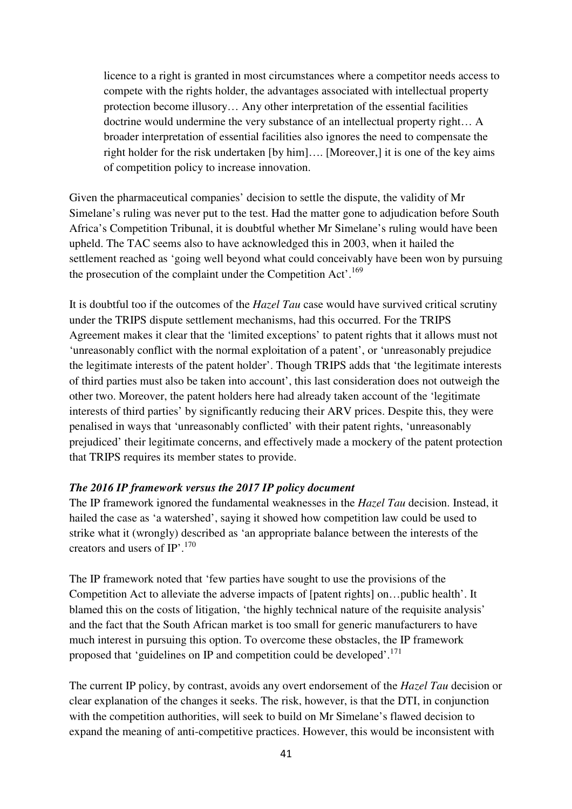licence to a right is granted in most circumstances where a competitor needs access to compete with the rights holder, the advantages associated with intellectual property protection become illusory… Any other interpretation of the essential facilities doctrine would undermine the very substance of an intellectual property right… A broader interpretation of essential facilities also ignores the need to compensate the right holder for the risk undertaken [by him]…. [Moreover,] it is one of the key aims of competition policy to increase innovation.

Given the pharmaceutical companies' decision to settle the dispute, the validity of Mr Simelane's ruling was never put to the test. Had the matter gone to adjudication before South Africa's Competition Tribunal, it is doubtful whether Mr Simelane's ruling would have been upheld. The TAC seems also to have acknowledged this in 2003, when it hailed the settlement reached as 'going well beyond what could conceivably have been won by pursuing the prosecution of the complaint under the Competition Act'.<sup>169</sup>

It is doubtful too if the outcomes of the *Hazel Tau* case would have survived critical scrutiny under the TRIPS dispute settlement mechanisms, had this occurred. For the TRIPS Agreement makes it clear that the 'limited exceptions' to patent rights that it allows must not 'unreasonably conflict with the normal exploitation of a patent', or 'unreasonably prejudice the legitimate interests of the patent holder'. Though TRIPS adds that 'the legitimate interests of third parties must also be taken into account', this last consideration does not outweigh the other two. Moreover, the patent holders here had already taken account of the 'legitimate interests of third parties' by significantly reducing their ARV prices. Despite this, they were penalised in ways that 'unreasonably conflicted' with their patent rights, 'unreasonably prejudiced' their legitimate concerns, and effectively made a mockery of the patent protection that TRIPS requires its member states to provide.

#### *The 2016 IP framework versus the 2017 IP policy document*

The IP framework ignored the fundamental weaknesses in the *Hazel Tau* decision. Instead, it hailed the case as 'a watershed', saying it showed how competition law could be used to strike what it (wrongly) described as 'an appropriate balance between the interests of the creators and users of  $IP$ <sup>'.170</sup>

The IP framework noted that 'few parties have sought to use the provisions of the Competition Act to alleviate the adverse impacts of [patent rights] on…public health'. It blamed this on the costs of litigation, 'the highly technical nature of the requisite analysis' and the fact that the South African market is too small for generic manufacturers to have much interest in pursuing this option. To overcome these obstacles, the IP framework proposed that 'guidelines on IP and competition could be developed'.<sup>171</sup>

The current IP policy, by contrast, avoids any overt endorsement of the *Hazel Tau* decision or clear explanation of the changes it seeks. The risk, however, is that the DTI, in conjunction with the competition authorities, will seek to build on Mr Simelane's flawed decision to expand the meaning of anti-competitive practices. However, this would be inconsistent with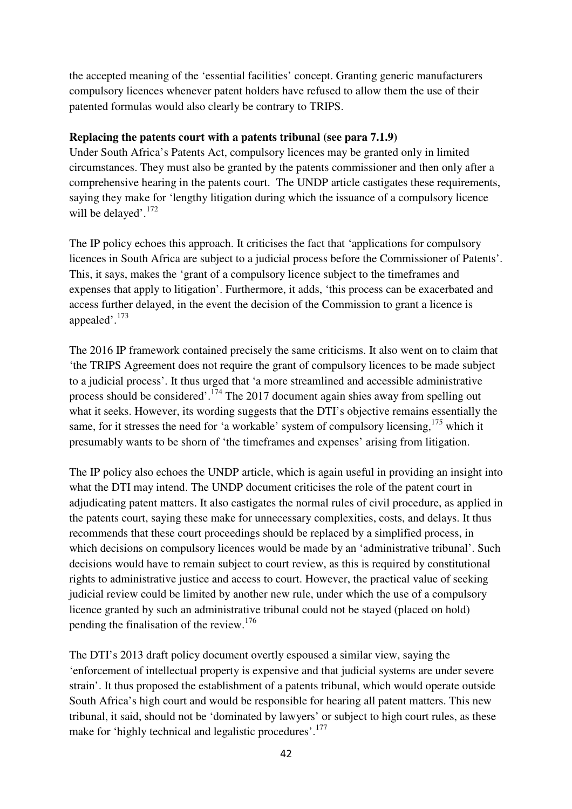the accepted meaning of the 'essential facilities' concept. Granting generic manufacturers compulsory licences whenever patent holders have refused to allow them the use of their patented formulas would also clearly be contrary to TRIPS.

#### **Replacing the patents court with a patents tribunal (see para 7.1.9)**

Under South Africa's Patents Act, compulsory licences may be granted only in limited circumstances. They must also be granted by the patents commissioner and then only after a comprehensive hearing in the patents court. The UNDP article castigates these requirements, saying they make for 'lengthy litigation during which the issuance of a compulsory licence will be delayed'.<sup>172</sup>

The IP policy echoes this approach. It criticises the fact that 'applications for compulsory licences in South Africa are subject to a judicial process before the Commissioner of Patents'. This, it says, makes the 'grant of a compulsory licence subject to the timeframes and expenses that apply to litigation'. Furthermore, it adds, 'this process can be exacerbated and access further delayed, in the event the decision of the Commission to grant a licence is appealed'.<sup>173</sup>

The 2016 IP framework contained precisely the same criticisms. It also went on to claim that 'the TRIPS Agreement does not require the grant of compulsory licences to be made subject to a judicial process'. It thus urged that 'a more streamlined and accessible administrative process should be considered'.<sup>174</sup> The 2017 document again shies away from spelling out what it seeks. However, its wording suggests that the DTI's objective remains essentially the same, for it stresses the need for 'a workable' system of compulsory licensing,<sup>175</sup> which it presumably wants to be shorn of 'the timeframes and expenses' arising from litigation.

The IP policy also echoes the UNDP article, which is again useful in providing an insight into what the DTI may intend. The UNDP document criticises the role of the patent court in adjudicating patent matters. It also castigates the normal rules of civil procedure, as applied in the patents court, saying these make for unnecessary complexities, costs, and delays. It thus recommends that these court proceedings should be replaced by a simplified process, in which decisions on compulsory licences would be made by an 'administrative tribunal'. Such decisions would have to remain subject to court review, as this is required by constitutional rights to administrative justice and access to court. However, the practical value of seeking judicial review could be limited by another new rule, under which the use of a compulsory licence granted by such an administrative tribunal could not be stayed (placed on hold) pending the finalisation of the review.<sup>176</sup>

The DTI's 2013 draft policy document overtly espoused a similar view, saying the 'enforcement of intellectual property is expensive and that judicial systems are under severe strain'. It thus proposed the establishment of a patents tribunal, which would operate outside South Africa's high court and would be responsible for hearing all patent matters. This new tribunal, it said, should not be 'dominated by lawyers' or subject to high court rules, as these make for 'highly technical and legalistic procedures'.<sup>177</sup>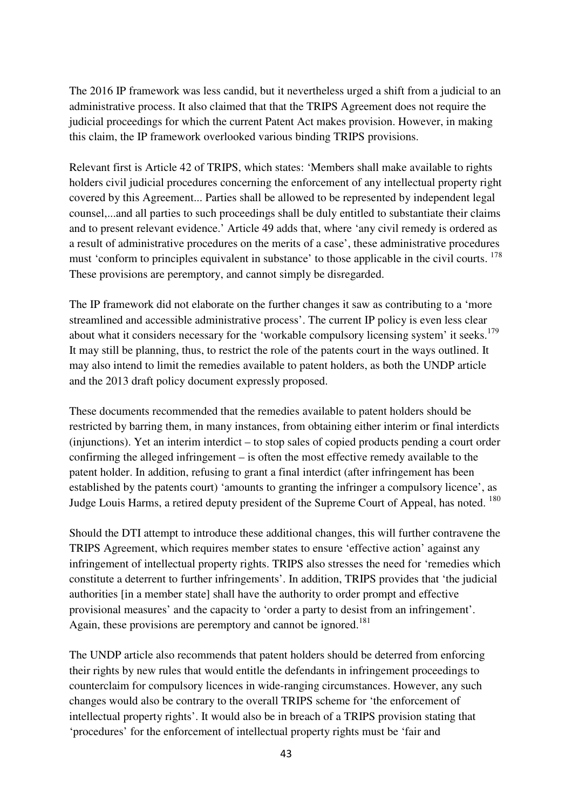The 2016 IP framework was less candid, but it nevertheless urged a shift from a judicial to an administrative process. It also claimed that that the TRIPS Agreement does not require the judicial proceedings for which the current Patent Act makes provision. However, in making this claim, the IP framework overlooked various binding TRIPS provisions.

Relevant first is Article 42 of TRIPS, which states: 'Members shall make available to rights holders civil judicial procedures concerning the enforcement of any intellectual property right covered by this Agreement... Parties shall be allowed to be represented by independent legal counsel,...and all parties to such proceedings shall be duly entitled to substantiate their claims and to present relevant evidence.' Article 49 adds that, where 'any civil remedy is ordered as a result of administrative procedures on the merits of a case', these administrative procedures must 'conform to principles equivalent in substance' to those applicable in the civil courts. <sup>178</sup> These provisions are peremptory, and cannot simply be disregarded.

The IP framework did not elaborate on the further changes it saw as contributing to a 'more streamlined and accessible administrative process'. The current IP policy is even less clear about what it considers necessary for the 'workable compulsory licensing system' it seeks.<sup>179</sup> It may still be planning, thus, to restrict the role of the patents court in the ways outlined. It may also intend to limit the remedies available to patent holders, as both the UNDP article and the 2013 draft policy document expressly proposed.

These documents recommended that the remedies available to patent holders should be restricted by barring them, in many instances, from obtaining either interim or final interdicts (injunctions). Yet an interim interdict – to stop sales of copied products pending a court order confirming the alleged infringement – is often the most effective remedy available to the patent holder. In addition, refusing to grant a final interdict (after infringement has been established by the patents court) 'amounts to granting the infringer a compulsory licence', as Judge Louis Harms, a retired deputy president of the Supreme Court of Appeal, has noted. <sup>180</sup>

Should the DTI attempt to introduce these additional changes, this will further contravene the TRIPS Agreement, which requires member states to ensure 'effective action' against any infringement of intellectual property rights. TRIPS also stresses the need for 'remedies which constitute a deterrent to further infringements'. In addition, TRIPS provides that 'the judicial authorities [in a member state] shall have the authority to order prompt and effective provisional measures' and the capacity to 'order a party to desist from an infringement'. Again, these provisions are peremptory and cannot be ignored.<sup>181</sup>

The UNDP article also recommends that patent holders should be deterred from enforcing their rights by new rules that would entitle the defendants in infringement proceedings to counterclaim for compulsory licences in wide-ranging circumstances. However, any such changes would also be contrary to the overall TRIPS scheme for 'the enforcement of intellectual property rights'. It would also be in breach of a TRIPS provision stating that 'procedures' for the enforcement of intellectual property rights must be 'fair and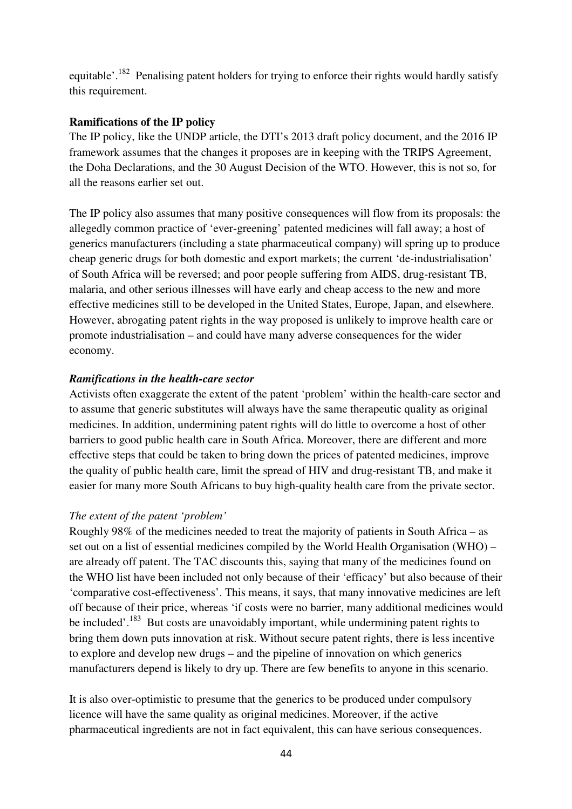equitable'.<sup>182</sup> Penalising patent holders for trying to enforce their rights would hardly satisfy this requirement.

#### **Ramifications of the IP policy**

The IP policy, like the UNDP article, the DTI's 2013 draft policy document, and the 2016 IP framework assumes that the changes it proposes are in keeping with the TRIPS Agreement, the Doha Declarations, and the 30 August Decision of the WTO. However, this is not so, for all the reasons earlier set out.

The IP policy also assumes that many positive consequences will flow from its proposals: the allegedly common practice of 'ever-greening' patented medicines will fall away; a host of generics manufacturers (including a state pharmaceutical company) will spring up to produce cheap generic drugs for both domestic and export markets; the current 'de-industrialisation' of South Africa will be reversed; and poor people suffering from AIDS, drug-resistant TB, malaria, and other serious illnesses will have early and cheap access to the new and more effective medicines still to be developed in the United States, Europe, Japan, and elsewhere. However, abrogating patent rights in the way proposed is unlikely to improve health care or promote industrialisation – and could have many adverse consequences for the wider economy.

#### *Ramifications in the health-care sector*

Activists often exaggerate the extent of the patent 'problem' within the health-care sector and to assume that generic substitutes will always have the same therapeutic quality as original medicines. In addition, undermining patent rights will do little to overcome a host of other barriers to good public health care in South Africa. Moreover, there are different and more effective steps that could be taken to bring down the prices of patented medicines, improve the quality of public health care, limit the spread of HIV and drug-resistant TB, and make it easier for many more South Africans to buy high-quality health care from the private sector.

#### *The extent of the patent 'problem'*

Roughly 98% of the medicines needed to treat the majority of patients in South Africa – as set out on a list of essential medicines compiled by the World Health Organisation (WHO) – are already off patent. The TAC discounts this, saying that many of the medicines found on the WHO list have been included not only because of their 'efficacy' but also because of their 'comparative cost-effectiveness'. This means, it says, that many innovative medicines are left off because of their price, whereas 'if costs were no barrier, many additional medicines would be included'.<sup>183</sup> But costs are unavoidably important, while undermining patent rights to bring them down puts innovation at risk. Without secure patent rights, there is less incentive to explore and develop new drugs – and the pipeline of innovation on which generics manufacturers depend is likely to dry up. There are few benefits to anyone in this scenario.

It is also over-optimistic to presume that the generics to be produced under compulsory licence will have the same quality as original medicines. Moreover, if the active pharmaceutical ingredients are not in fact equivalent, this can have serious consequences.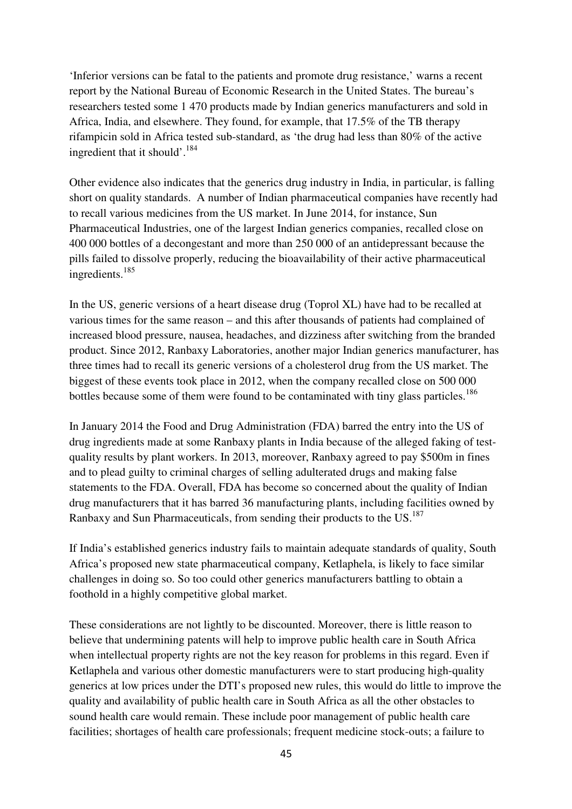'Inferior versions can be fatal to the patients and promote drug resistance,' warns a recent report by the National Bureau of Economic Research in the United States. The bureau's researchers tested some 1 470 products made by Indian generics manufacturers and sold in Africa, India, and elsewhere. They found, for example, that 17.5% of the TB therapy rifampicin sold in Africa tested sub-standard, as 'the drug had less than 80% of the active ingredient that it should'.<sup>184</sup>

Other evidence also indicates that the generics drug industry in India, in particular, is falling short on quality standards. A number of Indian pharmaceutical companies have recently had to recall various medicines from the US market. In June 2014, for instance, Sun Pharmaceutical Industries, one of the largest Indian generics companies, recalled close on 400 000 bottles of a decongestant and more than 250 000 of an antidepressant because the pills failed to dissolve properly, reducing the bioavailability of their active pharmaceutical ingredients.<sup>185</sup>

In the US, generic versions of a heart disease drug (Toprol XL) have had to be recalled at various times for the same reason – and this after thousands of patients had complained of increased blood pressure, nausea, headaches, and dizziness after switching from the branded product. Since 2012, Ranbaxy Laboratories, another major Indian generics manufacturer, has three times had to recall its generic versions of a cholesterol drug from the US market. The biggest of these events took place in 2012, when the company recalled close on 500 000 bottles because some of them were found to be contaminated with tiny glass particles.<sup>186</sup>

In January 2014 the Food and Drug Administration (FDA) barred the entry into the US of drug ingredients made at some Ranbaxy plants in India because of the alleged faking of testquality results by plant workers. In 2013, moreover, Ranbaxy agreed to pay \$500m in fines and to plead guilty to criminal charges of selling adulterated drugs and making false statements to the FDA. Overall, FDA has become so concerned about the quality of Indian drug manufacturers that it has barred 36 manufacturing plants, including facilities owned by Ranbaxy and Sun Pharmaceuticals, from sending their products to the US. $^{187}$ 

If India's established generics industry fails to maintain adequate standards of quality, South Africa's proposed new state pharmaceutical company, Ketlaphela, is likely to face similar challenges in doing so. So too could other generics manufacturers battling to obtain a foothold in a highly competitive global market.

These considerations are not lightly to be discounted. Moreover, there is little reason to believe that undermining patents will help to improve public health care in South Africa when intellectual property rights are not the key reason for problems in this regard. Even if Ketlaphela and various other domestic manufacturers were to start producing high-quality generics at low prices under the DTI's proposed new rules, this would do little to improve the quality and availability of public health care in South Africa as all the other obstacles to sound health care would remain. These include poor management of public health care facilities; shortages of health care professionals; frequent medicine stock-outs; a failure to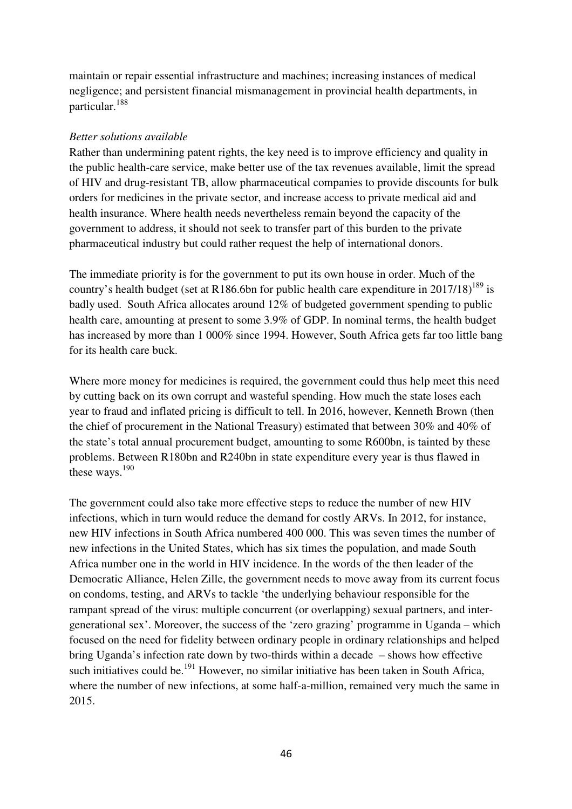maintain or repair essential infrastructure and machines; increasing instances of medical negligence; and persistent financial mismanagement in provincial health departments, in particular.<sup>188</sup>

#### *Better solutions available*

Rather than undermining patent rights, the key need is to improve efficiency and quality in the public health-care service, make better use of the tax revenues available, limit the spread of HIV and drug-resistant TB, allow pharmaceutical companies to provide discounts for bulk orders for medicines in the private sector, and increase access to private medical aid and health insurance. Where health needs nevertheless remain beyond the capacity of the government to address, it should not seek to transfer part of this burden to the private pharmaceutical industry but could rather request the help of international donors.

The immediate priority is for the government to put its own house in order. Much of the country's health budget (set at R186.6bn for public health care expenditure in 2017/18)<sup>189</sup> is badly used. South Africa allocates around 12% of budgeted government spending to public health care, amounting at present to some 3.9% of GDP. In nominal terms, the health budget has increased by more than 1 000% since 1994. However, South Africa gets far too little bang for its health care buck.

Where more money for medicines is required, the government could thus help meet this need by cutting back on its own corrupt and wasteful spending. How much the state loses each year to fraud and inflated pricing is difficult to tell. In 2016, however, Kenneth Brown (then the chief of procurement in the National Treasury) estimated that between 30% and 40% of the state's total annual procurement budget, amounting to some R600bn, is tainted by these problems. Between R180bn and R240bn in state expenditure every year is thus flawed in these ways. $190$ 

The government could also take more effective steps to reduce the number of new HIV infections, which in turn would reduce the demand for costly ARVs. In 2012, for instance, new HIV infections in South Africa numbered 400 000. This was seven times the number of new infections in the United States, which has six times the population, and made South Africa number one in the world in HIV incidence. In the words of the then leader of the Democratic Alliance, Helen Zille, the government needs to move away from its current focus on condoms, testing, and ARVs to tackle 'the underlying behaviour responsible for the rampant spread of the virus: multiple concurrent (or overlapping) sexual partners, and intergenerational sex'. Moreover, the success of the 'zero grazing' programme in Uganda – which focused on the need for fidelity between ordinary people in ordinary relationships and helped bring Uganda's infection rate down by two-thirds within a decade – shows how effective such initiatives could be.<sup>191</sup> However, no similar initiative has been taken in South Africa, where the number of new infections, at some half-a-million, remained very much the same in 2015.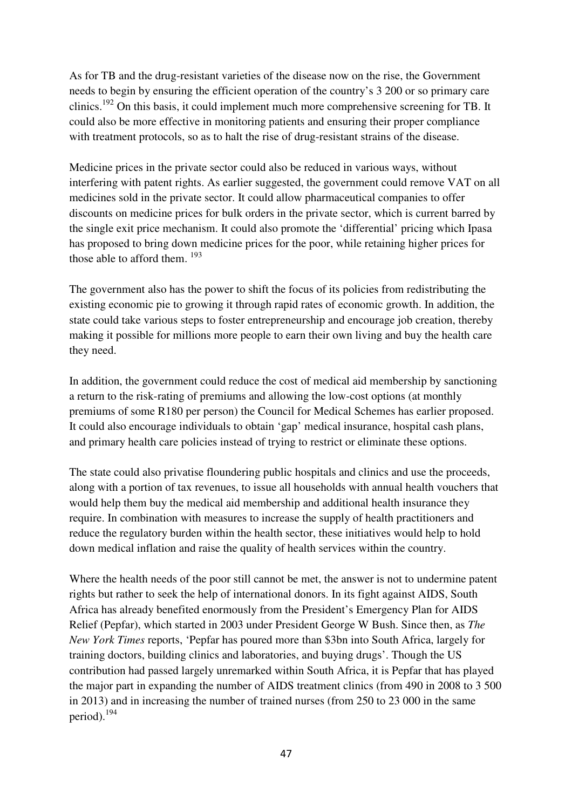As for TB and the drug-resistant varieties of the disease now on the rise, the Government needs to begin by ensuring the efficient operation of the country's 3 200 or so primary care clinics.<sup>192</sup> On this basis, it could implement much more comprehensive screening for TB. It could also be more effective in monitoring patients and ensuring their proper compliance with treatment protocols, so as to halt the rise of drug-resistant strains of the disease.

Medicine prices in the private sector could also be reduced in various ways, without interfering with patent rights. As earlier suggested, the government could remove VAT on all medicines sold in the private sector. It could allow pharmaceutical companies to offer discounts on medicine prices for bulk orders in the private sector, which is current barred by the single exit price mechanism. It could also promote the 'differential' pricing which Ipasa has proposed to bring down medicine prices for the poor, while retaining higher prices for those able to afford them.  $193$ 

The government also has the power to shift the focus of its policies from redistributing the existing economic pie to growing it through rapid rates of economic growth. In addition, the state could take various steps to foster entrepreneurship and encourage job creation, thereby making it possible for millions more people to earn their own living and buy the health care they need.

In addition, the government could reduce the cost of medical aid membership by sanctioning a return to the risk-rating of premiums and allowing the low-cost options (at monthly premiums of some R180 per person) the Council for Medical Schemes has earlier proposed. It could also encourage individuals to obtain 'gap' medical insurance, hospital cash plans, and primary health care policies instead of trying to restrict or eliminate these options.

The state could also privatise floundering public hospitals and clinics and use the proceeds, along with a portion of tax revenues, to issue all households with annual health vouchers that would help them buy the medical aid membership and additional health insurance they require. In combination with measures to increase the supply of health practitioners and reduce the regulatory burden within the health sector, these initiatives would help to hold down medical inflation and raise the quality of health services within the country.

Where the health needs of the poor still cannot be met, the answer is not to undermine patent rights but rather to seek the help of international donors. In its fight against AIDS, South Africa has already benefited enormously from the President's Emergency Plan for AIDS Relief (Pepfar), which started in 2003 under President George W Bush. Since then, as *The New York Times* reports, 'Pepfar has poured more than \$3bn into South Africa, largely for training doctors, building clinics and laboratories, and buying drugs'. Though the US contribution had passed largely unremarked within South Africa, it is Pepfar that has played the major part in expanding the number of AIDS treatment clinics (from 490 in 2008 to 3 500 in 2013) and in increasing the number of trained nurses (from 250 to 23 000 in the same period).<sup>194</sup>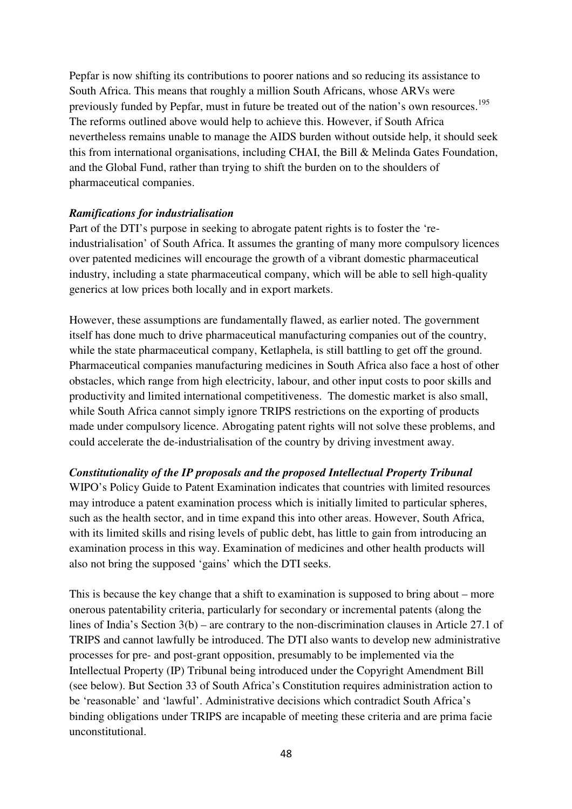Pepfar is now shifting its contributions to poorer nations and so reducing its assistance to South Africa. This means that roughly a million South Africans, whose ARVs were previously funded by Pepfar, must in future be treated out of the nation's own resources.<sup>195</sup> The reforms outlined above would help to achieve this. However, if South Africa nevertheless remains unable to manage the AIDS burden without outside help, it should seek this from international organisations, including CHAI, the Bill & Melinda Gates Foundation, and the Global Fund, rather than trying to shift the burden on to the shoulders of pharmaceutical companies.

# *Ramifications for industrialisation*

Part of the DTI's purpose in seeking to abrogate patent rights is to foster the 'reindustrialisation' of South Africa. It assumes the granting of many more compulsory licences over patented medicines will encourage the growth of a vibrant domestic pharmaceutical industry, including a state pharmaceutical company, which will be able to sell high-quality generics at low prices both locally and in export markets.

However, these assumptions are fundamentally flawed, as earlier noted. The government itself has done much to drive pharmaceutical manufacturing companies out of the country, while the state pharmaceutical company, Ketlaphela, is still battling to get off the ground. Pharmaceutical companies manufacturing medicines in South Africa also face a host of other obstacles, which range from high electricity, labour, and other input costs to poor skills and productivity and limited international competitiveness. The domestic market is also small, while South Africa cannot simply ignore TRIPS restrictions on the exporting of products made under compulsory licence. Abrogating patent rights will not solve these problems, and could accelerate the de-industrialisation of the country by driving investment away.

#### *Constitutionality of the IP proposals and the proposed Intellectual Property Tribunal*

WIPO's Policy Guide to Patent Examination indicates that countries with limited resources may introduce a patent examination process which is initially limited to particular spheres, such as the health sector, and in time expand this into other areas. However, South Africa, with its limited skills and rising levels of public debt, has little to gain from introducing an examination process in this way. Examination of medicines and other health products will also not bring the supposed 'gains' which the DTI seeks.

This is because the key change that a shift to examination is supposed to bring about – more onerous patentability criteria, particularly for secondary or incremental patents (along the lines of India's Section 3(b) – are contrary to the non-discrimination clauses in Article 27.1 of TRIPS and cannot lawfully be introduced. The DTI also wants to develop new administrative processes for pre- and post-grant opposition, presumably to be implemented via the Intellectual Property (IP) Tribunal being introduced under the Copyright Amendment Bill (see below). But Section 33 of South Africa's Constitution requires administration action to be 'reasonable' and 'lawful'. Administrative decisions which contradict South Africa's binding obligations under TRIPS are incapable of meeting these criteria and are prima facie unconstitutional.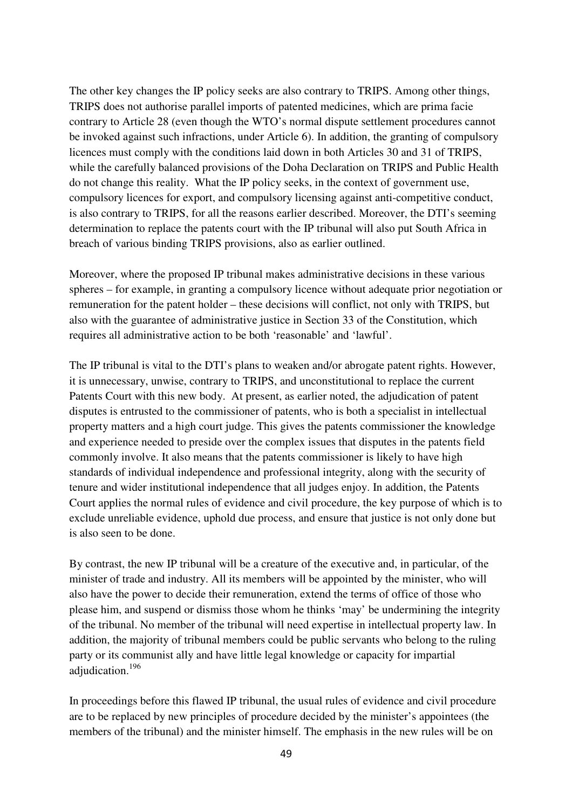The other key changes the IP policy seeks are also contrary to TRIPS. Among other things, TRIPS does not authorise parallel imports of patented medicines, which are prima facie contrary to Article 28 (even though the WTO's normal dispute settlement procedures cannot be invoked against such infractions, under Article 6). In addition, the granting of compulsory licences must comply with the conditions laid down in both Articles 30 and 31 of TRIPS, while the carefully balanced provisions of the Doha Declaration on TRIPS and Public Health do not change this reality. What the IP policy seeks, in the context of government use, compulsory licences for export, and compulsory licensing against anti-competitive conduct, is also contrary to TRIPS, for all the reasons earlier described. Moreover, the DTI's seeming determination to replace the patents court with the IP tribunal will also put South Africa in breach of various binding TRIPS provisions, also as earlier outlined.

Moreover, where the proposed IP tribunal makes administrative decisions in these various spheres – for example, in granting a compulsory licence without adequate prior negotiation or remuneration for the patent holder – these decisions will conflict, not only with TRIPS, but also with the guarantee of administrative justice in Section 33 of the Constitution, which requires all administrative action to be both 'reasonable' and 'lawful'.

The IP tribunal is vital to the DTI's plans to weaken and/or abrogate patent rights. However, it is unnecessary, unwise, contrary to TRIPS, and unconstitutional to replace the current Patents Court with this new body. At present, as earlier noted, the adjudication of patent disputes is entrusted to the commissioner of patents, who is both a specialist in intellectual property matters and a high court judge. This gives the patents commissioner the knowledge and experience needed to preside over the complex issues that disputes in the patents field commonly involve. It also means that the patents commissioner is likely to have high standards of individual independence and professional integrity, along with the security of tenure and wider institutional independence that all judges enjoy. In addition, the Patents Court applies the normal rules of evidence and civil procedure, the key purpose of which is to exclude unreliable evidence, uphold due process, and ensure that justice is not only done but is also seen to be done.

By contrast, the new IP tribunal will be a creature of the executive and, in particular, of the minister of trade and industry. All its members will be appointed by the minister, who will also have the power to decide their remuneration, extend the terms of office of those who please him, and suspend or dismiss those whom he thinks 'may' be undermining the integrity of the tribunal. No member of the tribunal will need expertise in intellectual property law. In addition, the majority of tribunal members could be public servants who belong to the ruling party or its communist ally and have little legal knowledge or capacity for impartial adjudication.<sup>196</sup>

In proceedings before this flawed IP tribunal, the usual rules of evidence and civil procedure are to be replaced by new principles of procedure decided by the minister's appointees (the members of the tribunal) and the minister himself. The emphasis in the new rules will be on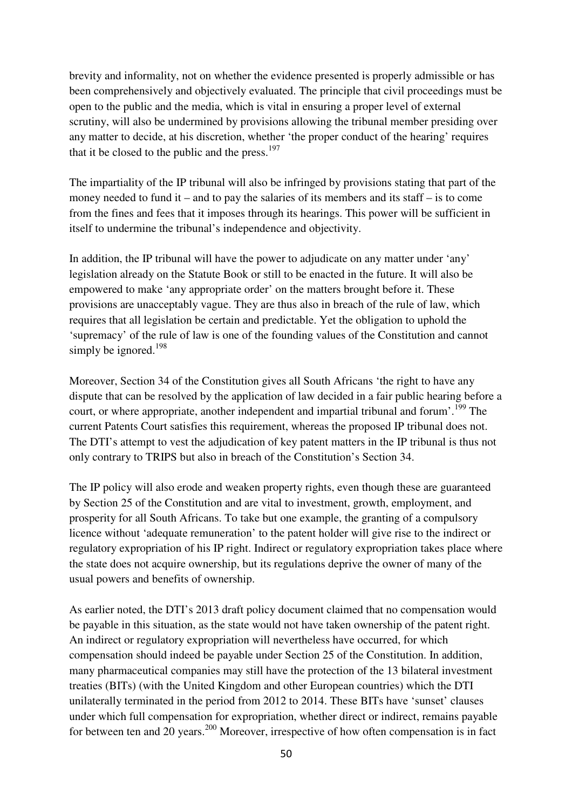brevity and informality, not on whether the evidence presented is properly admissible or has been comprehensively and objectively evaluated. The principle that civil proceedings must be open to the public and the media, which is vital in ensuring a proper level of external scrutiny, will also be undermined by provisions allowing the tribunal member presiding over any matter to decide, at his discretion, whether 'the proper conduct of the hearing' requires that it be closed to the public and the press. $197$ 

The impartiality of the IP tribunal will also be infringed by provisions stating that part of the money needed to fund it – and to pay the salaries of its members and its staff – is to come from the fines and fees that it imposes through its hearings. This power will be sufficient in itself to undermine the tribunal's independence and objectivity.

In addition, the IP tribunal will have the power to adjudicate on any matter under 'any' legislation already on the Statute Book or still to be enacted in the future. It will also be empowered to make 'any appropriate order' on the matters brought before it. These provisions are unacceptably vague. They are thus also in breach of the rule of law, which requires that all legislation be certain and predictable. Yet the obligation to uphold the 'supremacy' of the rule of law is one of the founding values of the Constitution and cannot simply be ignored.<sup>198</sup>

Moreover, Section 34 of the Constitution gives all South Africans 'the right to have any dispute that can be resolved by the application of law decided in a fair public hearing before a court, or where appropriate, another independent and impartial tribunal and forum'.<sup>199</sup> The current Patents Court satisfies this requirement, whereas the proposed IP tribunal does not. The DTI's attempt to vest the adjudication of key patent matters in the IP tribunal is thus not only contrary to TRIPS but also in breach of the Constitution's Section 34.

The IP policy will also erode and weaken property rights, even though these are guaranteed by Section 25 of the Constitution and are vital to investment, growth, employment, and prosperity for all South Africans. To take but one example, the granting of a compulsory licence without 'adequate remuneration' to the patent holder will give rise to the indirect or regulatory expropriation of his IP right. Indirect or regulatory expropriation takes place where the state does not acquire ownership, but its regulations deprive the owner of many of the usual powers and benefits of ownership.

As earlier noted, the DTI's 2013 draft policy document claimed that no compensation would be payable in this situation, as the state would not have taken ownership of the patent right. An indirect or regulatory expropriation will nevertheless have occurred, for which compensation should indeed be payable under Section 25 of the Constitution. In addition, many pharmaceutical companies may still have the protection of the 13 bilateral investment treaties (BITs) (with the United Kingdom and other European countries) which the DTI unilaterally terminated in the period from 2012 to 2014. These BITs have 'sunset' clauses under which full compensation for expropriation, whether direct or indirect, remains payable for between ten and 20 years.<sup>200</sup> Moreover, irrespective of how often compensation is in fact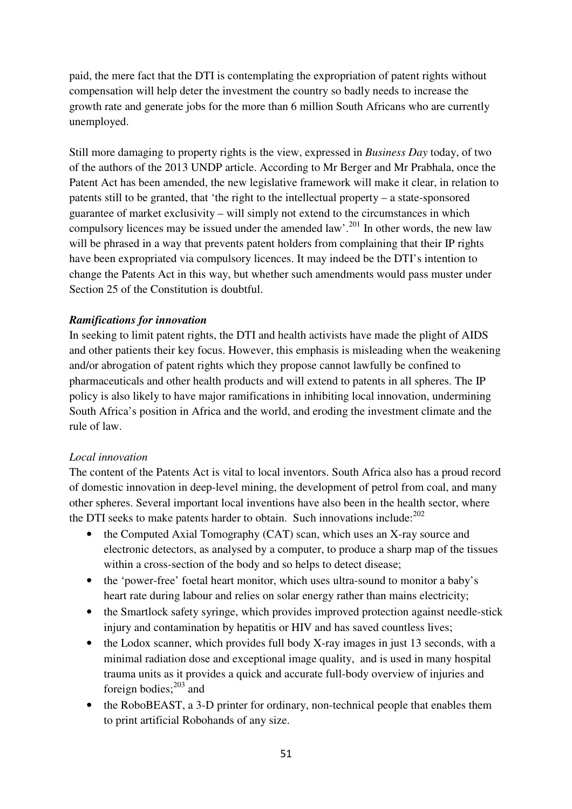paid, the mere fact that the DTI is contemplating the expropriation of patent rights without compensation will help deter the investment the country so badly needs to increase the growth rate and generate jobs for the more than 6 million South Africans who are currently unemployed.

Still more damaging to property rights is the view, expressed in *Business Day* today, of two of the authors of the 2013 UNDP article. According to Mr Berger and Mr Prabhala, once the Patent Act has been amended, the new legislative framework will make it clear, in relation to patents still to be granted, that 'the right to the intellectual property – a state-sponsored guarantee of market exclusivity – will simply not extend to the circumstances in which compulsory licences may be issued under the amended  $law'$ .<sup>201</sup> In other words, the new law will be phrased in a way that prevents patent holders from complaining that their IP rights have been expropriated via compulsory licences. It may indeed be the DTI's intention to change the Patents Act in this way, but whether such amendments would pass muster under Section 25 of the Constitution is doubtful.

#### *Ramifications for innovation*

In seeking to limit patent rights, the DTI and health activists have made the plight of AIDS and other patients their key focus. However, this emphasis is misleading when the weakening and/or abrogation of patent rights which they propose cannot lawfully be confined to pharmaceuticals and other health products and will extend to patents in all spheres. The IP policy is also likely to have major ramifications in inhibiting local innovation, undermining South Africa's position in Africa and the world, and eroding the investment climate and the rule of law.

#### *Local innovation*

The content of the Patents Act is vital to local inventors. South Africa also has a proud record of domestic innovation in deep-level mining, the development of petrol from coal, and many other spheres. Several important local inventions have also been in the health sector, where the DTI seeks to make patents harder to obtain. Such innovations include: $202$ 

- the Computed Axial Tomography (CAT) scan, which uses an X-ray source and electronic detectors, as analysed by a computer, to produce a sharp map of the tissues within a cross-section of the body and so helps to detect disease;
- the 'power-free' foetal heart monitor, which uses ultra-sound to monitor a baby's heart rate during labour and relies on solar energy rather than mains electricity;
- the Smartlock safety syringe, which provides improved protection against needle-stick injury and contamination by hepatitis or HIV and has saved countless lives;
- the Lodox scanner, which provides full body X-ray images in just 13 seconds, with a minimal radiation dose and exceptional image quality, and is used in many hospital trauma units as it provides a quick and accurate full-body overview of injuries and foreign bodies; $^{203}$  and
- the RoboBEAST, a 3-D printer for ordinary, non-technical people that enables them to print artificial Robohands of any size.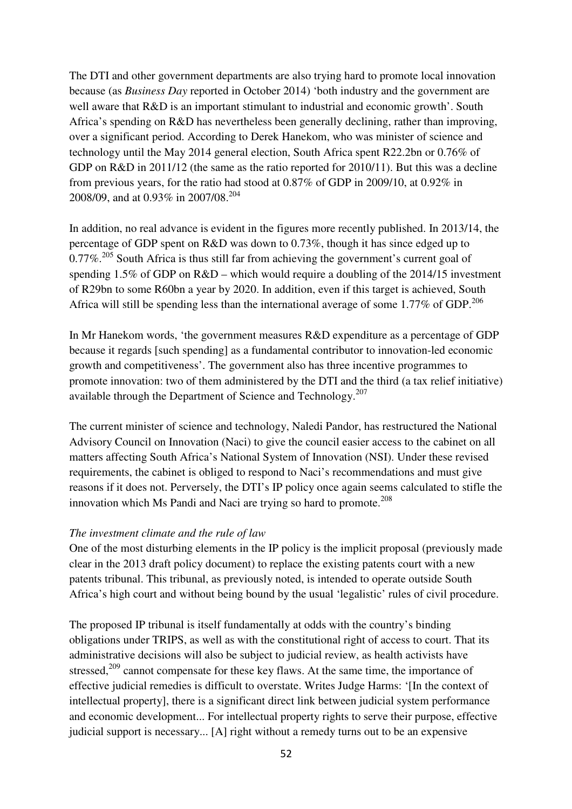The DTI and other government departments are also trying hard to promote local innovation because (as *Business Day* reported in October 2014) 'both industry and the government are well aware that R&D is an important stimulant to industrial and economic growth'. South Africa's spending on R&D has nevertheless been generally declining, rather than improving, over a significant period. According to Derek Hanekom, who was minister of science and technology until the May 2014 general election, South Africa spent R22.2bn or 0.76% of GDP on R&D in 2011/12 (the same as the ratio reported for 2010/11). But this was a decline from previous years, for the ratio had stood at 0.87% of GDP in 2009/10, at 0.92% in 2008/09, and at 0.93% in 2007/08.<sup>204</sup>

In addition, no real advance is evident in the figures more recently published. In 2013/14, the percentage of GDP spent on R&D was down to 0.73%, though it has since edged up to  $0.77\%$ <sup>205</sup> South Africa is thus still far from achieving the government's current goal of spending 1.5% of GDP on R&D – which would require a doubling of the 2014/15 investment of R29bn to some R60bn a year by 2020. In addition, even if this target is achieved, South Africa will still be spending less than the international average of some 1.77% of GDP.<sup>206</sup>

In Mr Hanekom words, 'the government measures R&D expenditure as a percentage of GDP because it regards [such spending] as a fundamental contributor to innovation-led economic growth and competitiveness'. The government also has three incentive programmes to promote innovation: two of them administered by the DTI and the third (a tax relief initiative) available through the Department of Science and Technology.<sup>207</sup>

The current minister of science and technology, Naledi Pandor, has restructured the National Advisory Council on Innovation (Naci) to give the council easier access to the cabinet on all matters affecting South Africa's National System of Innovation (NSI). Under these revised requirements, the cabinet is obliged to respond to Naci's recommendations and must give reasons if it does not. Perversely, the DTI's IP policy once again seems calculated to stifle the innovation which Ms Pandi and Naci are trying so hard to promote.<sup>208</sup>

#### *The investment climate and the rule of law*

One of the most disturbing elements in the IP policy is the implicit proposal (previously made clear in the 2013 draft policy document) to replace the existing patents court with a new patents tribunal. This tribunal, as previously noted, is intended to operate outside South Africa's high court and without being bound by the usual 'legalistic' rules of civil procedure.

The proposed IP tribunal is itself fundamentally at odds with the country's binding obligations under TRIPS, as well as with the constitutional right of access to court. That its administrative decisions will also be subject to judicial review, as health activists have stressed, $209$  cannot compensate for these key flaws. At the same time, the importance of effective judicial remedies is difficult to overstate. Writes Judge Harms: '[In the context of intellectual property], there is a significant direct link between judicial system performance and economic development... For intellectual property rights to serve their purpose, effective judicial support is necessary... [A] right without a remedy turns out to be an expensive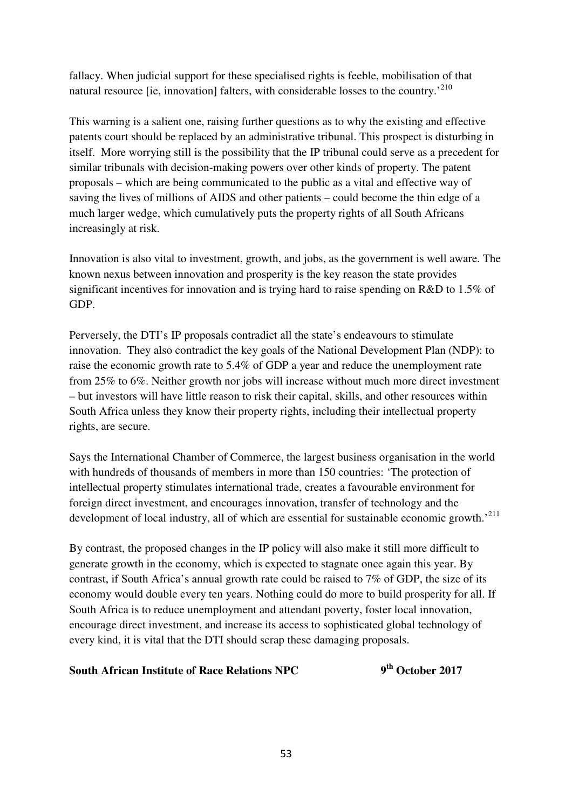fallacy. When judicial support for these specialised rights is feeble, mobilisation of that natural resource [ie, innovation] falters, with considerable losses to the country.<sup>210</sup>

This warning is a salient one, raising further questions as to why the existing and effective patents court should be replaced by an administrative tribunal. This prospect is disturbing in itself. More worrying still is the possibility that the IP tribunal could serve as a precedent for similar tribunals with decision-making powers over other kinds of property. The patent proposals – which are being communicated to the public as a vital and effective way of saving the lives of millions of AIDS and other patients – could become the thin edge of a much larger wedge, which cumulatively puts the property rights of all South Africans increasingly at risk.

Innovation is also vital to investment, growth, and jobs, as the government is well aware. The known nexus between innovation and prosperity is the key reason the state provides significant incentives for innovation and is trying hard to raise spending on R&D to 1.5% of GDP.

Perversely, the DTI's IP proposals contradict all the state's endeavours to stimulate innovation. They also contradict the key goals of the National Development Plan (NDP): to raise the economic growth rate to 5.4% of GDP a year and reduce the unemployment rate from 25% to 6%. Neither growth nor jobs will increase without much more direct investment – but investors will have little reason to risk their capital, skills, and other resources within South Africa unless they know their property rights, including their intellectual property rights, are secure.

Says the International Chamber of Commerce, the largest business organisation in the world with hundreds of thousands of members in more than 150 countries: 'The protection of intellectual property stimulates international trade, creates a favourable environment for foreign direct investment, and encourages innovation, transfer of technology and the development of local industry, all of which are essential for sustainable economic growth.<sup>211</sup>

By contrast, the proposed changes in the IP policy will also make it still more difficult to generate growth in the economy, which is expected to stagnate once again this year. By contrast, if South Africa's annual growth rate could be raised to 7% of GDP, the size of its economy would double every ten years. Nothing could do more to build prosperity for all. If South Africa is to reduce unemployment and attendant poverty, foster local innovation, encourage direct investment, and increase its access to sophisticated global technology of every kind, it is vital that the DTI should scrap these damaging proposals.

#### **South African Institute of Race Relations NPC th October 2017**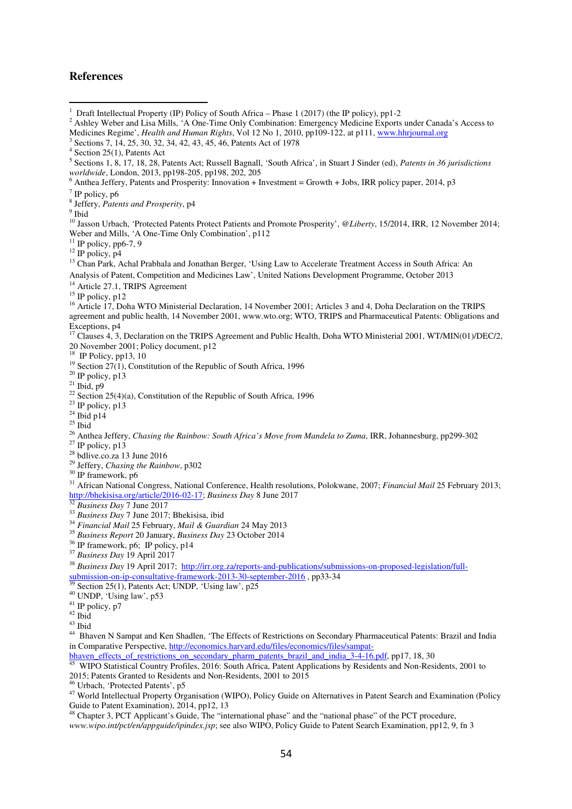#### **References**

 $\overline{a}$ 

- 1 Draft Intellectual Property (IP) Policy of South Africa – Phase 1 (2017) (the IP policy), pp1-2
- 2 Ashley Weber and Lisa Mills, 'A One-Time Only Combination: Emergency Medicine Exports under Canada's Access to Medicines Regime', *Health and Human Rights*, Vol 12 No 1, 2010, pp109-122, at p111, www.hhrjournal.org
- 3 Sections 7, 14, 25, 30, 32, 34, 42, 43, 45, 46, Patents Act of 1978

Anthea Jeffery, Patents and Prosperity: Innovation + Investment = Growth + Jobs, IRR policy paper, 2014, p3

8 Jeffery, *Patents and Prosperity*, p4

<sup>9</sup> Ibid

<sup>10</sup> Jasson Urbach, 'Protected Patents Protect Patients and Promote Prosperity', *@Liberty*, 15/2014, IRR, 12 November 2014; Weber and Mills, 'A One-Time Only Combination', p112

 $11$  IP policy, pp6-7, 9

 $^{12}$  IP policy, p4

<sup>13</sup> Chan Park, Achal Prabhala and Jonathan Berger, 'Using Law to Accelerate Treatment Access in South Africa: An Analysis of Patent, Competition and Medicines Law', United Nations Development Programme, October 2013

<sup>14</sup> Article 27.1, TRIPS Agreement

 $15$  IP policy, p12

<sup>16</sup> Article 17, Doha WTO Ministerial Declaration, 14 November 2001; Articles 3 and 4, Doha Declaration on the TRIPS agreement and public health, 14 November 2001, www.wto.org; WTO, TRIPS and Pharmaceutical Patents: Obligations and Exceptions, p4

<sup>17</sup> Clauses 4, 3, Declaration on the TRIPS Agreement and Public Health, Doha WTO Ministerial 2001, WT/MIN(01)/DEC/2, 20 November 2001; Policy document, p12

<sup>18</sup> IP Policy, pp13, 10

<sup>19</sup> Section 27(1), Constitution of the Republic of South Africa, 1996

- $20$  IP policy, p13
- $^{21}$  Ibid, p9
- <sup>22</sup> Section 25(4)(a), Constitution of the Republic of South Africa, 1996
- $^{23}$  IP policy, p13
- $^{24}$  Ibid p14
- $25$  Ibid

<sup>26</sup> Anthea Jeffery, *Chasing the Rainbow: South Africa's Move from Mandela to Zuma*, IRR, Johannesburg, pp299-302

- $^{27}$  IP policy, p13
- <sup>28</sup> bdlive.co.za 13 June 2016

<sup>29</sup> Jeffery, *Chasing the Rainbow*, p302

 $30$  IP framework, p6

<sup>31</sup> African National Congress, National Conference, Health resolutions, Polokwane, 2007; *Financial Mail* 25 February 2013; http://bhekisisa.org/article/2016-02-17; *Business Day* 8 June 2017

<sup>32</sup> *Business Day* 7 June 2017

- <sup>33</sup> *Business Day* 7 June 2017; Bhekisisa, ibid
- <sup>34</sup> *Financial Mail* 25 February, *Mail & Guardian* 24 May 2013
- <sup>35</sup> *Business Report* 20 January, *Business Day* 23 October 2014
- $36$  IP framework, p6; IP policy, p14
- <sup>37</sup> *Business Day* 19 April 2017

<sup>38</sup> *Business Day* 19 April 2017; http://irr.org.za/reports-and-publications/submissions-on-proposed-legislation/fullsubmission-on-ip-consultative-framework-2013-30-september-2016 , pp33-34

- $39$  Section 25(1), Patents Act; UNDP, 'Using law', p25
- <sup>40</sup> UNDP, 'Using law', p53
- $41$  IP policy, p7
- $42$  Ibid
- <sup>43</sup> Ibid

<sup>44</sup> Bhaven N Sampat and Ken Shadlen, 'The Effects of Restrictions on Secondary Pharmaceutical Patents: Brazil and India in Comparative Perspective, http://economics.harvard.edu/files/economics/files/sampat-

bhaven effects of restrictions on secondary pharm patents brazil and india 3-4-16.pdf, pp17, 18, 30<br><sup>45</sup> WIDO Statistical Company Company pharm patents brazil and india 3-4-16.pdf, pp17, 18, 30

<sup>45</sup> WIPO Statistical Country Profiles, 2016: South Africa, Patent Applications by Residents and Non-Residents, 2001 to 2015; Patents Granted to Residents and Non-Residents, 2001 to 2015

<sup>46</sup> Urbach, 'Protected Patents', p5

<sup>47</sup> World Intellectual Property Organisation (WIPO), Policy Guide on Alternatives in Patent Search and Examination (Policy Guide to Patent Examination), 2014, pp12, 13

<sup>48</sup> Chapter 3, PCT Applicant's Guide, The "international phase" and the "national phase" of the PCT procedure, *www.wipo.int/pct/en/appguide/ipindex.jsp*; see also WIPO, Policy Guide to Patent Search Examination, pp12, 9, fn 3

<sup>4</sup> Section 25(1), Patents Act

<sup>5</sup> Sections 1, 8, 17, 18, 28, Patents Act; Russell Bagnall, 'South Africa', in Stuart J Sinder (ed), *Patents in 36 jurisdictions worldwide*, London, 2013, pp198-205, pp198, 202, 205<br><sup>6</sup> Anthea Jeffery, Patents and Prosperity: Innovation J. J.

 $7$  IP policy, p6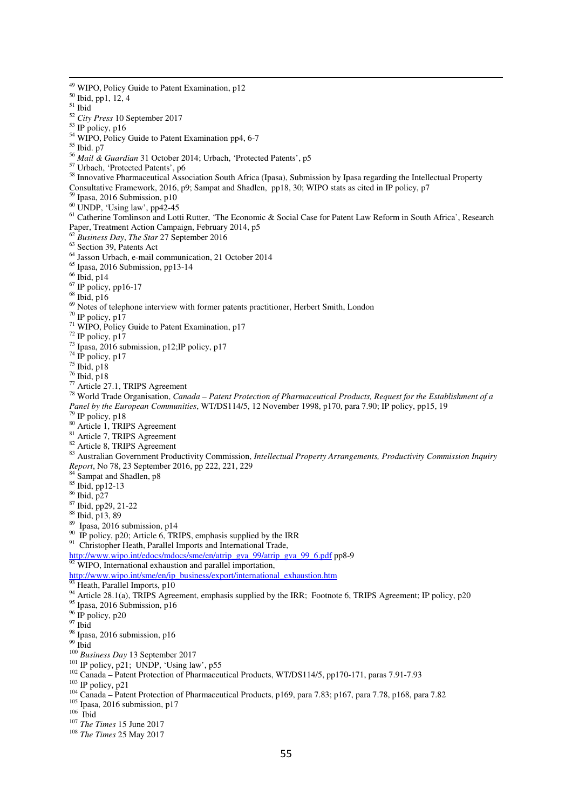WIPO, Policy Guide to Patent Examination, p12 Ibid, pp1, 12, 4 Ibid *City Press* 10 September 2017 IP policy, p16 <sup>54</sup> WIPO, Policy Guide to Patent Examination pp4, 6-7 Ibid. p7 *Mail & Guardian* 31 October 2014; Urbach, 'Protected Patents', p5 Urbach, 'Protected Patents', p6 Innovative Pharmaceutical Association South Africa (Ipasa), Submission by Ipasa regarding the Intellectual Property Consultative Framework, 2016, p9; Sampat and Shadlen, pp18, 30; WIPO stats as cited in IP policy, p7 Ipasa, 2016 Submission, p10 UNDP, 'Using law', pp42-45 Catherine Tomlinson and Lotti Rutter, 'The Economic & Social Case for Patent Law Reform in South Africa', Research Paper, Treatment Action Campaign, February 2014, p5 *Business Day*, *The Star* 27 September 2016 <sup>63</sup> Section 39, Patents Act Jasson Urbach, e-mail communication, 21 October 2014 Ipasa, 2016 Submission, pp13-14 Ibid, p14 <sup>67</sup> IP policy, pp16-17 Ibid, p16 Notes of telephone interview with former patents practitioner, Herbert Smith, London <sup>70</sup> IP policy, p17 <sup>71</sup> WIPO, Policy Guide to Patent Examination, p17 IP policy, p17  $^{73}$  Ipasa, 2016 submission, p12; IP policy, p17 IP policy, p17 Ibid, p18 Ibid, p18 Article 27.1, TRIPS Agreement World Trade Organisation, *Canada – Patent Protection of Pharmaceutical Products, Request for the Establishment of a Panel by the European Communities*, WT/DS114/5, 12 November 1998, p170, para 7.90; IP policy, pp15, 19 IP policy, p18 Article 1, TRIPS Agreement Article 7, TRIPS Agreement <sup>82</sup> Article 8, TRIPS Agreement Australian Government Productivity Commission, *Intellectual Property Arrangements, Productivity Commission Inquiry Report*, No 78, 23 September 2016, pp 222, 221, 229 <sup>84</sup> Sampat and Shadlen, p8 Ibid, pp12-13 Ibid, p27 Ibid, pp29, 21-22 Ibid, p13, 89 Ipasa, 2016 submission, p14 <sup>90</sup> IP policy, p20; Article 6, TRIPS, emphasis supplied by the IRR <sup>91</sup> Christopher Heath, Parallel Imports and International Trade, http://www.wipo.int/edocs/mdocs/sme/en/atrip\_gva\_99/atrip\_gva\_99\_6.pdf pp8-9 <sup>92</sup> WIPO, International exhaustion and parallel importation, http://www.wipo.int/sme/en/ip\_business/export/international\_exhaustion.htm Heath, Parallel Imports, p10 <sup>94</sup> Article 28.1(a), TRIPS Agreement, emphasis supplied by the IRR; Footnote 6, TRIPS Agreement; IP policy, p20 Ipasa, 2016 Submission, p16 IP policy, p20  $^{97}$  Ibid 98 Ipasa, 2016 submission, p16 Ibid *Business Day* 13 September 2017 IP policy, p21; UNDP, 'Using law', p55 <sup>102</sup> Canada – Patent Protection of Pharmaceutical Products, WT/DS114/5, pp170-171, paras 7.91-7.93 IP policy, p21 <sup>104</sup> Canada – Patent Protection of Pharmaceutical Products, p169, para 7.83; p167, para 7.78, p168, para 7.82 <sup>105</sup> Ipasa, 2016 submission, p17 Ibid *The Times* 15 June 2017 *The Times* 25 May 2017

ׇ֬֒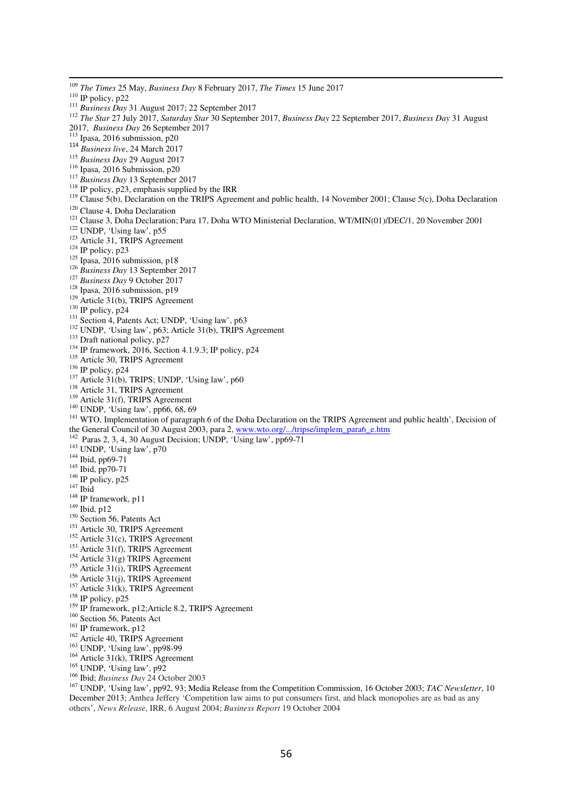ׇ֬֒

- <sup>114</sup> *Business live*, 24 March 2017
- <sup>115</sup> *Business Day* 29 August 2017
- <sup>116</sup> Ipasa, 2016 Submission, p20
- <sup>117</sup> *Business Day* 13 September 2017
- <sup>118</sup> IP policy, p23, emphasis supplied by the IRR
- 
- <sup>119</sup> Clause 5(b), Declaration on the TRIPS Agreement and public health, 14 November 2001; Clause 5(c), Doha Declaration
- <sup>120</sup> Clause 4, Doha Declaration
- <sup>121</sup> Clause 3, Doha Declaration; Para 17, Doha WTO Ministerial Declaration, WT/MIN(01)/DEC/1, 20 November 2001
- <sup>122</sup> UNDP, 'Using law', p55
- <sup>123</sup> Article 31, TRIPS Agreement
- <sup>124</sup> IP policy, p23
- $125$  Ipasa, 2016 submission, p18
- <sup>126</sup> *Business Day* 13 September 2017
- <sup>127</sup> *Business Day* 9 October 2017
- <sup>128</sup> Ipasa, 2016 submission, p19
- <sup>129</sup> Article 31(b), TRIPS Agreement
- <sup>130</sup> IP policy, p24
- <sup>131</sup> Section 4, Patents Act; UNDP, 'Using law', p63
- <sup>132</sup> UNDP, 'Using law', p63; Article 31(b), TRIPS Agreement
- <sup>133</sup> Draft national policy, p27
- <sup>134</sup> IP framework, 2016, Section 4.1.9.3; IP policy, p24
- <sup>135</sup> Article 30, TRIPS Agreement
- $136$  IP policy, p24
- $137$  Article 31(b), TRIPS; UNDP, 'Using law', p60
- <sup>138</sup> Article 31, TRIPS Agreement
- $139$  Article 31(f), TRIPS Agreement
- <sup>140</sup> UNDP, 'Using law', pp66, 68, 69
- <sup>141</sup> WTO, Implementation of paragraph 6 of the Doha Declaration on the TRIPS Agreement and public health', Decision of the General Council of 30 August 2003, para 2, www.wto.org/.../tripse/implem\_para6\_e.htm
- $142$  Paras 2, 3, 4, 30 August Decision; UNDP, 'Using law', pp69-71
- <sup>143</sup> UNDP, 'Using law', p70
- <sup>144</sup> Ibid, pp69-71
- <sup>145</sup> Ibid, pp70-71
- $146$  IP policy, p25
- $147$  Ibid
- <sup>148</sup> IP framework, p11
- <sup>149</sup> Ibid, p12
- $150$  Section 56, Patents Act
- <sup>151</sup> Article 30, TRIPS Agreement
- $152$  Article 31(c), TRIPS Agreement
- <sup>153</sup> Article 31(f), TRIPS Agreement
- $154$  Article 31(g) TRIPS Agreement
- $155$  Article 31(i), TRIPS Agreement
- $156$  Article 31(j), TRIPS Agreement
- $157$  Article 31(k), TRIPS Agreement
- $158$  IP policy, p25
- 
- <sup>159</sup> IP framework, p12; Article 8.2, TRIPS Agreement
- <sup>160</sup> Section 56, Patents Act
- <sup>161</sup> IP framework, p12
- <sup>162</sup> Article 40, TRIPS Agreement
- <sup>163</sup> UNDP, 'Using law', pp98-99
- $164$  Article 31(k), TRIPS Agreement
- <sup>165</sup> UNDP, 'Using law', p92
- <sup>166</sup> Ibid; *Business Day* 24 October 2003

<sup>167</sup> UNDP, 'Using law', pp92, 93; Media Release from the Competition Commission, 16 October 2003; *TAC Newsletter*, 10 December 2013; Anthea Jeffery 'Competition law aims to put consumers first, and black monopolies are as bad as any others', *News Release*, IRR, 6 August 2004; *Business Report* 19 October 2004

<sup>109</sup> *The Times* 25 May, *Business Day* 8 February 2017, *The Times* 15 June 2017

 $110$  IP policy, p22

<sup>111</sup> *Business Day* 31 August 2017; 22 September 2017

<sup>112</sup> *The Star* 27 July 2017, *Saturday Star* 30 September 2017, *Business Day* 22 September 2017, *Business Day* 31 August 2017, *Business Day* 26 September 2017

<sup>113</sup> Ipasa, 2016 submission, p20